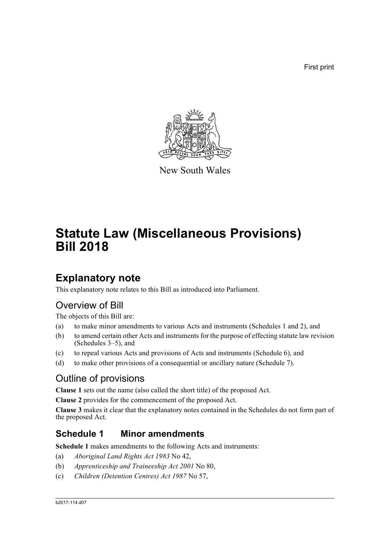First print



New South Wales

# **Statute Law (Miscellaneous Provisions) Bill 2018**

# **Explanatory note**

This explanatory note relates to this Bill as introduced into Parliament.

# Overview of Bill

The objects of this Bill are:

- (a) to make minor amendments to various Acts and instruments (Schedules 1 and 2), and
- (b) to amend certain other Acts and instruments for the purpose of effecting statute law revision (Schedules 3–5), and
- (c) to repeal various Acts and provisions of Acts and instruments (Schedule 6), and
- (d) to make other provisions of a consequential or ancillary nature (Schedule 7).

# Outline of provisions

**Clause 1** sets out the name (also called the short title) of the proposed Act.

**Clause 2** provides for the commencement of the proposed Act.

**Clause 3** makes it clear that the explanatory notes contained in the Schedules do not form part of the proposed Act.

# **Schedule 1 Minor amendments**

**Schedule 1** makes amendments to the following Acts and instruments:

- (a) *Aboriginal Land Rights Act 1983* No 42,
- (b) *Apprenticeship and Traineeship Act 2001* No 80,
- (c) *Children (Detention Centres) Act 1987* No 57,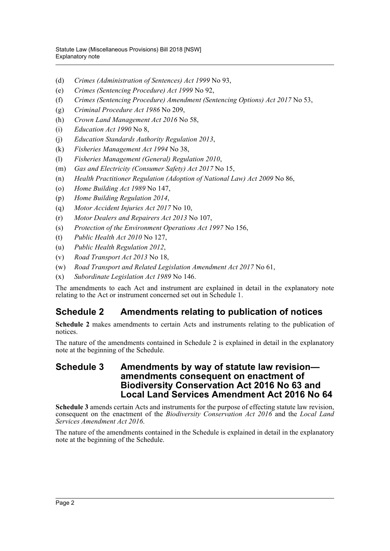- (d) *Crimes (Administration of Sentences) Act 1999* No 93,
- (e) *Crimes (Sentencing Procedure) Act 1999* No 92,
- (f) *Crimes (Sentencing Procedure) Amendment (Sentencing Options) Act 2017* No 53,
- (g) *Criminal Procedure Act 1986* No 209,
- (h) *Crown Land Management Act 2016* No 58,
- (i) *Education Act 1990* No 8,
- (j) *Education Standards Authority Regulation 2013*,
- (k) *Fisheries Management Act 1994* No 38,
- (l) *Fisheries Management (General) Regulation 2010*,
- (m) *Gas and Electricity (Consumer Safety) Act 2017* No 15,
- (n) *Health Practitioner Regulation (Adoption of National Law) Act 2009* No 86,
- (o) *Home Building Act 1989* No 147,
- (p) *Home Building Regulation 2014*,
- (q) *Motor Accident Injuries Act 2017* No 10,
- (r) *Motor Dealers and Repairers Act 2013* No 107,
- (s) *Protection of the Environment Operations Act 1997* No 156,
- (t) *Public Health Act 2010* No 127,
- (u) *Public Health Regulation 2012*,
- (v) *Road Transport Act 2013* No 18,
- (w) *Road Transport and Related Legislation Amendment Act 2017* No 61,
- (x) *Subordinate Legislation Act 1989* No 146.

The amendments to each Act and instrument are explained in detail in the explanatory note relating to the Act or instrument concerned set out in Schedule 1.

# **Schedule 2 Amendments relating to publication of notices**

**Schedule 2** makes amendments to certain Acts and instruments relating to the publication of notices.

The nature of the amendments contained in Schedule 2 is explained in detail in the explanatory note at the beginning of the Schedule.

### **Schedule 3 Amendments by way of statute law revision amendments consequent on enactment of Biodiversity Conservation Act 2016 No 63 and Local Land Services Amendment Act 2016 No 64**

**Schedule 3** amends certain Acts and instruments for the purpose of effecting statute law revision, consequent on the enactment of the *Biodiversity Conservation Act 2016* and the *Local Land Services Amendment Act 2016*.

The nature of the amendments contained in the Schedule is explained in detail in the explanatory note at the beginning of the Schedule.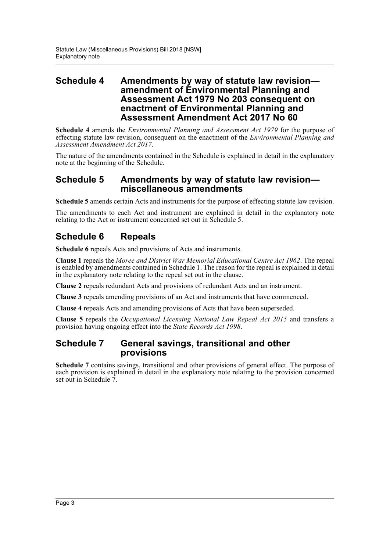### **Schedule 4 Amendments by way of statute law revision amendment of Environmental Planning and Assessment Act 1979 No 203 consequent on enactment of Environmental Planning and Assessment Amendment Act 2017 No 60**

**Schedule 4** amends the *Environmental Planning and Assessment Act 1979* for the purpose of effecting statute law revision, consequent on the enactment of the *Environmental Planning and Assessment Amendment Act 2017*.

The nature of the amendments contained in the Schedule is explained in detail in the explanatory note at the beginning of the Schedule.

### **Schedule 5 Amendments by way of statute law revision miscellaneous amendments**

**Schedule 5** amends certain Acts and instruments for the purpose of effecting statute law revision.

The amendments to each Act and instrument are explained in detail in the explanatory note relating to the Act or instrument concerned set out in Schedule 5.

# **Schedule 6 Repeals**

**Schedule 6** repeals Acts and provisions of Acts and instruments.

**Clause 1** repeals the *Moree and District War Memorial Educational Centre Act 1962*. The repeal is enabled by amendments contained in Schedule 1. The reason for the repeal is explained in detail in the explanatory note relating to the repeal set out in the clause.

**Clause 2** repeals redundant Acts and provisions of redundant Acts and an instrument.

**Clause 3** repeals amending provisions of an Act and instruments that have commenced.

**Clause 4** repeals Acts and amending provisions of Acts that have been superseded.

**Clause 5** repeals the *Occupational Licensing National Law Repeal Act 2015* and transfers a provision having ongoing effect into the *State Records Act 1998*.

### **Schedule 7 General savings, transitional and other provisions**

**Schedule 7** contains savings, transitional and other provisions of general effect. The purpose of each provision is explained in detail in the explanatory note relating to the provision concerned set out in Schedule 7.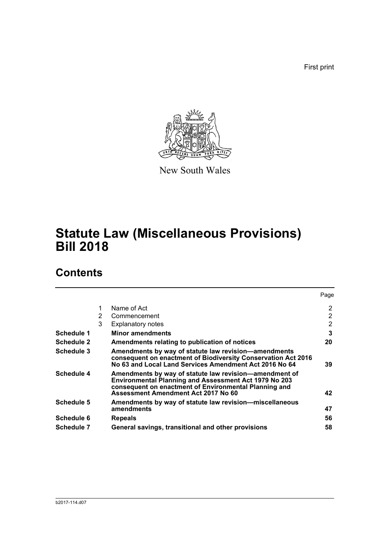First print



New South Wales

# **Statute Law (Miscellaneous Provisions) Bill 2018**

# **Contents**

|                   |   |                                                                                                                                                                                                                        | Page |
|-------------------|---|------------------------------------------------------------------------------------------------------------------------------------------------------------------------------------------------------------------------|------|
|                   | 1 | Name of Act                                                                                                                                                                                                            | 2    |
|                   | 2 | Commencement                                                                                                                                                                                                           | 2    |
|                   | 3 | <b>Explanatory notes</b>                                                                                                                                                                                               | 2    |
| Schedule 1        |   | <b>Minor amendments</b>                                                                                                                                                                                                | 3    |
| <b>Schedule 2</b> |   | Amendments relating to publication of notices                                                                                                                                                                          | 20   |
| Schedule 3        |   | Amendments by way of statute law revision-amendments<br>consequent on enactment of Biodiversity Conservation Act 2016<br>No 63 and Local Land Services Amendment Act 2016 No 64                                        | 39   |
| Schedule 4        |   | Amendments by way of statute law revision—amendment of<br><b>Environmental Planning and Assessment Act 1979 No 203</b><br>consequent on enactment of Environmental Planning and<br>Assessment Amendment Act 2017 No 60 | 42   |
| Schedule 5        |   | Amendments by way of statute law revision-miscellaneous<br>amendments                                                                                                                                                  | 47   |
| Schedule 6        |   | <b>Repeals</b>                                                                                                                                                                                                         | 56   |
| <b>Schedule 7</b> |   | General savings, transitional and other provisions                                                                                                                                                                     | 58   |
|                   |   |                                                                                                                                                                                                                        |      |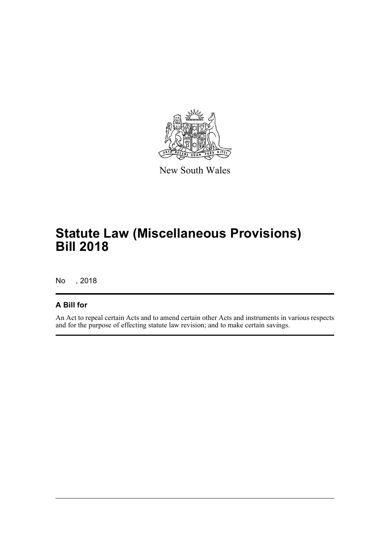

New South Wales

# **Statute Law (Miscellaneous Provisions) Bill 2018**

No , 2018

## **A Bill for**

An Act to repeal certain Acts and to amend certain other Acts and instruments in various respects and for the purpose of effecting statute law revision; and to make certain savings.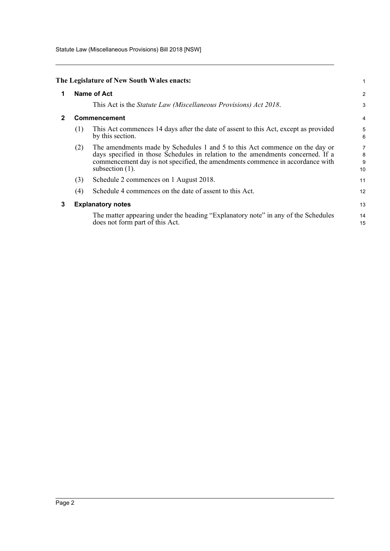Statute Law (Miscellaneous Provisions) Bill 2018 [NSW]

<span id="page-5-2"></span><span id="page-5-1"></span><span id="page-5-0"></span>

|              |     | The Legislature of New South Wales enacts:                                                                                                                                                                                                                            | 1                 |
|--------------|-----|-----------------------------------------------------------------------------------------------------------------------------------------------------------------------------------------------------------------------------------------------------------------------|-------------------|
| 1            |     | Name of Act                                                                                                                                                                                                                                                           | $\overline{2}$    |
|              |     | This Act is the Statute Law (Miscellaneous Provisions) Act 2018.                                                                                                                                                                                                      | 3                 |
| $\mathbf{2}$ |     | <b>Commencement</b>                                                                                                                                                                                                                                                   | 4                 |
|              | (1) | This Act commences 14 days after the date of assent to this Act, except as provided<br>by this section.                                                                                                                                                               | 5<br>6            |
|              | (2) | The amendments made by Schedules 1 and 5 to this Act commence on the day or<br>days specified in those Schedules in relation to the amendments concerned. If a<br>commencement day is not specified, the amendments commence in accordance with<br>subsection $(1)$ . | 7<br>8<br>9<br>10 |
|              | (3) | Schedule 2 commences on 1 August 2018.                                                                                                                                                                                                                                | 11                |
|              | (4) | Schedule 4 commences on the date of assent to this Act.                                                                                                                                                                                                               | 12                |
| 3            |     | <b>Explanatory notes</b>                                                                                                                                                                                                                                              | 13                |
|              |     | The matter appearing under the heading "Explanatory note" in any of the Schedules<br>does not form part of this Act.                                                                                                                                                  | 14<br>15          |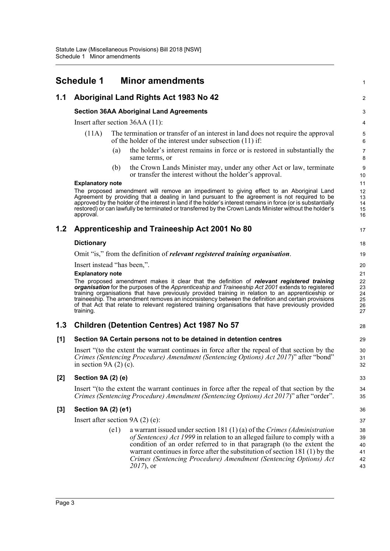<span id="page-6-0"></span>

|       | <b>Schedule 1</b>                 |      | <b>Minor amendments</b>                                                                                                                                                                                                                                                                                                                                                                                                                                                                                          | 1                                |
|-------|-----------------------------------|------|------------------------------------------------------------------------------------------------------------------------------------------------------------------------------------------------------------------------------------------------------------------------------------------------------------------------------------------------------------------------------------------------------------------------------------------------------------------------------------------------------------------|----------------------------------|
| 1.1   |                                   |      | Aboriginal Land Rights Act 1983 No 42                                                                                                                                                                                                                                                                                                                                                                                                                                                                            | $\overline{\mathbf{c}}$          |
|       |                                   |      | <b>Section 36AA Aboriginal Land Agreements</b>                                                                                                                                                                                                                                                                                                                                                                                                                                                                   | 3                                |
|       |                                   |      | Insert after section 36AA (11):                                                                                                                                                                                                                                                                                                                                                                                                                                                                                  | 4                                |
|       | (11A)                             |      | The termination or transfer of an interest in land does not require the approval<br>of the holder of the interest under subsection (11) if:                                                                                                                                                                                                                                                                                                                                                                      | 5<br>6                           |
|       |                                   | (a)  | the holder's interest remains in force or is restored in substantially the<br>same terms, or                                                                                                                                                                                                                                                                                                                                                                                                                     | 7<br>8                           |
|       |                                   | (b)  | the Crown Lands Minister may, under any other Act or law, terminate<br>or transfer the interest without the holder's approval.                                                                                                                                                                                                                                                                                                                                                                                   | 9<br>10                          |
|       | <b>Explanatory note</b>           |      |                                                                                                                                                                                                                                                                                                                                                                                                                                                                                                                  | 11                               |
|       | approval.                         |      | The proposed amendment will remove an impediment to giving effect to an Aboriginal Land<br>Agreement by providing that a dealing in land pursuant to the agreement is not required to be<br>approved by the holder of the interest in land if the holder's interest remains in force (or is substantially<br>restored) or can lawfully be terminated or transferred by the Crown Lands Minister without the holder's                                                                                             | 12<br>13<br>14<br>15<br>16       |
| 1.2   |                                   |      | Apprenticeship and Traineeship Act 2001 No 80                                                                                                                                                                                                                                                                                                                                                                                                                                                                    | 17                               |
|       | <b>Dictionary</b>                 |      |                                                                                                                                                                                                                                                                                                                                                                                                                                                                                                                  | 18                               |
|       |                                   |      | Omit "is," from the definition of <i>relevant registered training organisation</i> .                                                                                                                                                                                                                                                                                                                                                                                                                             | 19                               |
|       | Insert instead "has been,".       |      |                                                                                                                                                                                                                                                                                                                                                                                                                                                                                                                  | 20                               |
|       | <b>Explanatory note</b>           |      |                                                                                                                                                                                                                                                                                                                                                                                                                                                                                                                  | 21                               |
|       | training.                         |      | The proposed amendment makes it clear that the definition of relevant registered training<br>organisation for the purposes of the Apprenticeship and Traineeship Act 2001 extends to registered<br>training organisations that have previously provided training in relation to an apprenticeship or<br>traineeship. The amendment removes an inconsistency between the definition and certain provisions<br>of that Act that relate to relevant registered training organisations that have previously provided | 22<br>23<br>24<br>25<br>26<br>27 |
| 1.3   |                                   |      | <b>Children (Detention Centres) Act 1987 No 57</b>                                                                                                                                                                                                                                                                                                                                                                                                                                                               | 28                               |
| [1]   |                                   |      | Section 9A Certain persons not to be detained in detention centres                                                                                                                                                                                                                                                                                                                                                                                                                                               | 29                               |
|       | in section 9A $(2)$ $(c)$ .       |      | Insert "to the extent the warrant continues in force after the repeal of that section by the<br>Crimes (Sentencing Procedure) Amendment (Sentencing Options) Act 2017)" after "bond"                                                                                                                                                                                                                                                                                                                             | 30<br>31<br>32                   |
| $[2]$ | <b>Section 9A (2) (e)</b>         |      |                                                                                                                                                                                                                                                                                                                                                                                                                                                                                                                  | 33                               |
|       |                                   |      | Insert "to the extent the warrant continues in force after the repeal of that section by the<br>Crimes (Sentencing Procedure) Amendment (Sentencing Options) Act 2017)" after "order".                                                                                                                                                                                                                                                                                                                           | 34<br>35                         |
| $[3]$ | Section 9A (2) (e1)               |      |                                                                                                                                                                                                                                                                                                                                                                                                                                                                                                                  | 36                               |
|       | Insert after section $9A(2)$ (e): |      |                                                                                                                                                                                                                                                                                                                                                                                                                                                                                                                  | 37                               |
|       |                                   | (e1) | a warrant issued under section 181 $(1)(a)$ of the Crimes (Administration                                                                                                                                                                                                                                                                                                                                                                                                                                        | 38                               |
|       |                                   |      | of Sentences) Act 1999 in relation to an alleged failure to comply with a                                                                                                                                                                                                                                                                                                                                                                                                                                        | 39                               |
|       |                                   |      | condition of an order referred to in that paragraph (to the extent the                                                                                                                                                                                                                                                                                                                                                                                                                                           | 40                               |
|       |                                   |      | warrant continues in force after the substitution of section 181 (1) by the<br>Crimes (Sentencing Procedure) Amendment (Sentencing Options) Act                                                                                                                                                                                                                                                                                                                                                                  | 41<br>42                         |
|       |                                   |      | $2017$ , or                                                                                                                                                                                                                                                                                                                                                                                                                                                                                                      | 43                               |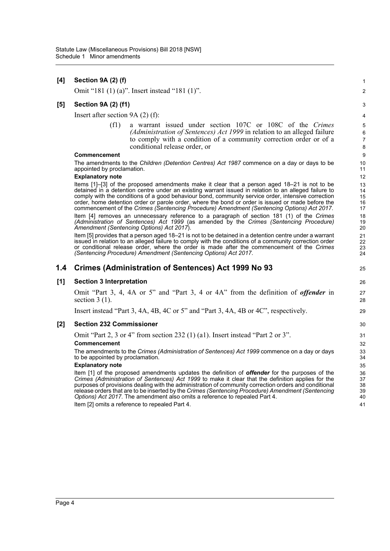| [4] | Section 9A (2) (f)                                                                                                                                                                                                                                                                                                                                                                                                                                                                                            | $\mathbf{1}$                  |
|-----|---------------------------------------------------------------------------------------------------------------------------------------------------------------------------------------------------------------------------------------------------------------------------------------------------------------------------------------------------------------------------------------------------------------------------------------------------------------------------------------------------------------|-------------------------------|
|     | Omit "181 (1) (a)". Insert instead "181 (1)".                                                                                                                                                                                                                                                                                                                                                                                                                                                                 | $\overline{2}$                |
| [5] | <b>Section 9A (2) (f1)</b>                                                                                                                                                                                                                                                                                                                                                                                                                                                                                    | 3                             |
|     | Insert after section $9A(2)$ (f):                                                                                                                                                                                                                                                                                                                                                                                                                                                                             | 4                             |
|     | (f1)<br>a warrant issued under section 107C or 108C of the Crimes<br>(Administration of Sentences) Act 1999 in relation to an alleged failure<br>to comply with a condition of a community correction order or of a<br>conditional release order, or                                                                                                                                                                                                                                                          | 5<br>6<br>$\overline{7}$<br>8 |
|     | <b>Commencement</b>                                                                                                                                                                                                                                                                                                                                                                                                                                                                                           | 9                             |
|     | The amendments to the <i>Children (Detention Centres) Act 1987</i> commence on a day or days to be<br>appointed by proclamation.                                                                                                                                                                                                                                                                                                                                                                              | 10<br>11                      |
|     | <b>Explanatory note</b>                                                                                                                                                                                                                                                                                                                                                                                                                                                                                       | 12                            |
|     | Items [1]-[3] of the proposed amendments make it clear that a person aged 18-21 is not to be<br>detained in a detention centre under an existing warrant issued in relation to an alleged failure to<br>comply with the conditions of a good behaviour bond, community service order, intensive correction<br>order, home detention order or parole order, where the bond or order is issued or made before the<br>commencement of the Crimes (Sentencing Procedure) Amendment (Sentencing Options) Act 2017. | 13<br>14<br>15<br>16<br>17    |
|     | Item [4] removes an unnecessary reference to a paragraph of section 181 (1) of the Crimes<br>(Administration of Sentences) Act 1999 (as amended by the Crimes (Sentencing Procedure)<br>Amendment (Sentencing Options) Act 2017).                                                                                                                                                                                                                                                                             | 18<br>19<br>20                |
|     | Item [5] provides that a person aged 18-21 is not to be detained in a detention centre under a warrant<br>issued in relation to an alleged failure to comply with the conditions of a community correction order<br>or conditional release order, where the order is made after the commencement of the Crimes<br>(Sentencing Procedure) Amendment (Sentencing Options) Act 2017.                                                                                                                             | 21<br>22<br>23<br>24          |
| 1.4 | Crimes (Administration of Sentences) Act 1999 No 93                                                                                                                                                                                                                                                                                                                                                                                                                                                           | 25                            |
| [1] | <b>Section 3 Interpretation</b>                                                                                                                                                                                                                                                                                                                                                                                                                                                                               | 26                            |
|     | Omit "Part 3, 4, 4A or 5" and "Part 3, 4 or 4A" from the definition of <i>offender</i> in<br>section $3(1)$ .                                                                                                                                                                                                                                                                                                                                                                                                 | 27<br>28                      |
|     | Insert instead "Part 3, 4A, 4B, 4C or 5" and "Part 3, 4A, 4B or 4C", respectively.                                                                                                                                                                                                                                                                                                                                                                                                                            | 29                            |
| [2] | <b>Section 232 Commissioner</b>                                                                                                                                                                                                                                                                                                                                                                                                                                                                               | 30                            |
|     | Omit "Part 2, 3 or 4" from section 232 (1) (a1). Insert instead "Part 2 or 3".                                                                                                                                                                                                                                                                                                                                                                                                                                | 31                            |
|     | Commencement                                                                                                                                                                                                                                                                                                                                                                                                                                                                                                  | 32                            |
|     | The amendments to the Crimes (Administration of Sentences) Act 1999 commence on a day or days<br>to be appointed by proclamation.                                                                                                                                                                                                                                                                                                                                                                             | 33<br>34                      |
|     | <b>Explanatory note</b>                                                                                                                                                                                                                                                                                                                                                                                                                                                                                       | 35                            |
|     | Item [1] of the proposed amendments updates the definition of <b>offender</b> for the purposes of the<br>Crimes (Administration of Sentences) Act 1999 to make it clear that the definition applies for the<br>purposes of provisions dealing with the administration of community correction orders and conditional<br>release orders that are to be inserted by the Crimes (Sentencing Procedure) Amendment (Sentencing<br>Options) Act 2017. The amendment also omits a reference to repealed Part 4.      | 36<br>37<br>38<br>39<br>40    |
|     | Item [2] omits a reference to repealed Part 4.                                                                                                                                                                                                                                                                                                                                                                                                                                                                | 41                            |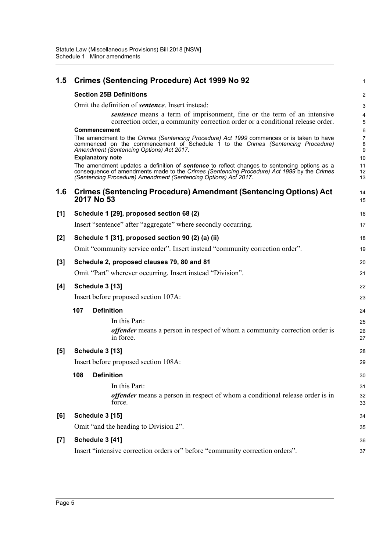| 1.5   | Crimes (Sentencing Procedure) Act 1999 No 92                                                                                                                                                                                                                         | 1                                   |
|-------|----------------------------------------------------------------------------------------------------------------------------------------------------------------------------------------------------------------------------------------------------------------------|-------------------------------------|
|       | <b>Section 25B Definitions</b>                                                                                                                                                                                                                                       | 2                                   |
|       | Omit the definition of <b>sentence</b> . Insert instead:                                                                                                                                                                                                             | 3                                   |
|       | sentence means a term of imprisonment, fine or the term of an intensive<br>correction order, a community correction order or a conditional release order.                                                                                                            | 4<br>5                              |
|       | <b>Commencement</b><br>The amendment to the Crimes (Sentencing Procedure) Act 1999 commences or is taken to have<br>commenced on the commencement of Schedule 1 to the Crimes (Sentencing Procedure)<br>Amendment (Sentencing Options) Act 2017.                     | 6<br>$\overline{7}$<br>$\bf 8$<br>9 |
|       | <b>Explanatory note</b>                                                                                                                                                                                                                                              | 10                                  |
|       | The amendment updates a definition of <b>sentence</b> to reflect changes to sentencing options as a<br>consequence of amendments made to the Crimes (Sentencing Procedure) Act 1999 by the Crimes<br>(Sentencing Procedure) Amendment (Sentencing Options) Act 2017. | 11<br>12<br>13                      |
| 1.6   | <b>Crimes (Sentencing Procedure) Amendment (Sentencing Options) Act</b><br>2017 No 53                                                                                                                                                                                | 14<br>15                            |
| [1]   | Schedule 1 [29], proposed section 68 (2)                                                                                                                                                                                                                             | 16                                  |
|       | Insert "sentence" after "aggregate" where secondly occurring.                                                                                                                                                                                                        | 17                                  |
| $[2]$ | Schedule 1 [31], proposed section 90 (2) (a) (ii)                                                                                                                                                                                                                    | 18                                  |
|       | Omit "community service order". Insert instead "community correction order".                                                                                                                                                                                         | 19                                  |
| $[3]$ | Schedule 2, proposed clauses 79, 80 and 81                                                                                                                                                                                                                           | 20                                  |
|       | Omit "Part" wherever occurring. Insert instead "Division".                                                                                                                                                                                                           | 21                                  |
| [4]   | Schedule 3 [13]                                                                                                                                                                                                                                                      | 22                                  |
|       | Insert before proposed section 107A:                                                                                                                                                                                                                                 | 23                                  |
|       | <b>Definition</b><br>107                                                                                                                                                                                                                                             | 24                                  |
|       | In this Part:                                                                                                                                                                                                                                                        | 25                                  |
|       | <i>offender</i> means a person in respect of whom a community correction order is<br>in force.                                                                                                                                                                       | 26<br>27                            |
| [5]   | Schedule 3 [13]                                                                                                                                                                                                                                                      | 28                                  |
|       | Insert before proposed section 108A:                                                                                                                                                                                                                                 | 29                                  |
|       | <b>Definition</b><br>108                                                                                                                                                                                                                                             | 30                                  |
|       | In this Part:                                                                                                                                                                                                                                                        | 31                                  |
|       | <i>offender</i> means a person in respect of whom a conditional release order is in<br>force.                                                                                                                                                                        | 32<br>33                            |
| [6]   | Schedule 3 [15]                                                                                                                                                                                                                                                      | 34                                  |
|       | Omit "and the heading to Division 2".                                                                                                                                                                                                                                | 35                                  |
| [7]   | Schedule 3 [41]                                                                                                                                                                                                                                                      | 36                                  |
|       | Insert "intensive correction orders or" before "community correction orders".                                                                                                                                                                                        | 37                                  |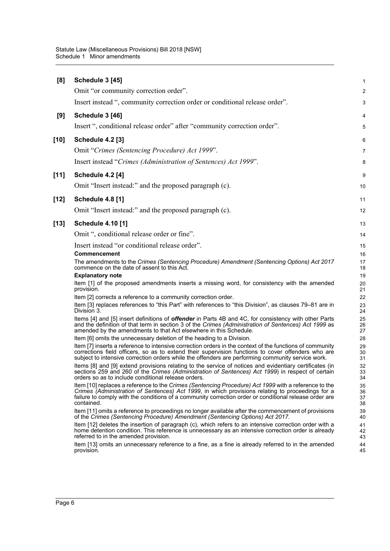| [8]    | Schedule 3 [45]                                                                                                                                                                                                                                                                                                                  | $\mathbf{1}$         |
|--------|----------------------------------------------------------------------------------------------------------------------------------------------------------------------------------------------------------------------------------------------------------------------------------------------------------------------------------|----------------------|
|        | Omit "or community correction order".                                                                                                                                                                                                                                                                                            | 2                    |
|        | Insert instead ", community correction order or conditional release order".                                                                                                                                                                                                                                                      | 3                    |
| [9]    | Schedule 3 [46]                                                                                                                                                                                                                                                                                                                  | 4                    |
|        | Insert ", conditional release order" after "community correction order".                                                                                                                                                                                                                                                         | 5                    |
| $[10]$ | <b>Schedule 4.2 [3]</b>                                                                                                                                                                                                                                                                                                          | 6                    |
|        | Omit "Crimes (Sentencing Procedure) Act 1999".                                                                                                                                                                                                                                                                                   | 7                    |
|        | Insert instead "Crimes (Administration of Sentences) Act 1999".                                                                                                                                                                                                                                                                  | 8                    |
| [11]   | <b>Schedule 4.2 [4]</b>                                                                                                                                                                                                                                                                                                          | 9                    |
|        | Omit "Insert instead:" and the proposed paragraph (c).                                                                                                                                                                                                                                                                           | 10                   |
| $[12]$ | <b>Schedule 4.8 [1]</b>                                                                                                                                                                                                                                                                                                          | 11                   |
|        | Omit "Insert instead:" and the proposed paragraph (c).                                                                                                                                                                                                                                                                           | 12                   |
| $[13]$ | <b>Schedule 4.10 [1]</b>                                                                                                                                                                                                                                                                                                         | 13                   |
|        | Omit ", conditional release order or fine".                                                                                                                                                                                                                                                                                      | 14                   |
|        | Insert instead "or conditional release order".                                                                                                                                                                                                                                                                                   | 15                   |
|        | Commencement                                                                                                                                                                                                                                                                                                                     | 16                   |
|        | The amendments to the Crimes (Sentencing Procedure) Amendment (Sentencing Options) Act 2017<br>commence on the date of assent to this Act.                                                                                                                                                                                       | 17<br>18             |
|        | <b>Explanatory note</b>                                                                                                                                                                                                                                                                                                          | 19                   |
|        | Item [1] of the proposed amendments inserts a missing word, for consistency with the amended<br>provision.                                                                                                                                                                                                                       | 20<br>21             |
|        | Item [2] corrects a reference to a community correction order.                                                                                                                                                                                                                                                                   | 22                   |
|        | Item [3] replaces references to "this Part" with references to "this Division", as clauses 79–81 are in<br>Division 3.                                                                                                                                                                                                           | 23<br>24             |
|        | Items [4] and [5] insert definitions of <b>offender</b> in Parts 4B and 4C, for consistency with other Parts<br>and the definition of that term in section 3 of the Crimes (Administration of Sentences) Act 1999 as<br>amended by the amendments to that Act elsewhere in this Schedule.                                        | 25<br>26<br>27       |
|        | Item [6] omits the unnecessary deletion of the heading to a Division.                                                                                                                                                                                                                                                            | 28                   |
|        | Item [7] inserts a reference to intensive correction orders in the context of the functions of community<br>corrections field officers, so as to extend their supervision functions to cover offenders who are<br>subject to intensive correction orders while the offenders are performing community service work.              | 29<br>30<br>31       |
|        | Items [8] and [9] extend provisions relating to the service of notices and evidentiary certificates (in<br>sections 259 and 260 of the Crimes (Administration of Sentences) Act 1999) in respect of certain<br>orders so as to include conditional release orders.                                                               | 32<br>33<br>34       |
|        | Item [10] replaces a reference to the Crimes (Sentencing Procedure) Act 1999 with a reference to the<br>Crimes (Administration of Sentences) Act 1999, in which provisions relating to proceedings for a<br>failure to comply with the conditions of a community correction order or conditional release order are<br>contained. | 35<br>36<br>37<br>38 |
|        | Item [11] omits a reference to proceedings no longer available after the commencement of provisions<br>of the Crimes (Sentencing Procedure) Amendment (Sentencing Options) Act 2017.                                                                                                                                             | 39<br>40             |
|        | Item [12] deletes the insertion of paragraph (c), which refers to an intensive correction order with a<br>home detention condition. This reference is unnecessary as an intensive correction order is already<br>referred to in the amended provision.                                                                           | 41<br>42<br>43       |
|        | Item [13] omits an unnecessary reference to a fine, as a fine is already referred to in the amended<br>provision.                                                                                                                                                                                                                | 44<br>45             |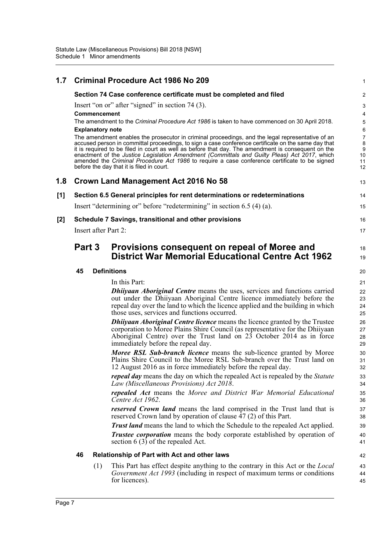| 1.7   |        |                                         | <b>Criminal Procedure Act 1986 No 209</b>                                                                                                                                                                                                                                                                                                                                                                                                                                                                                                                                                                                                                                                                        | 1                                                 |
|-------|--------|-----------------------------------------|------------------------------------------------------------------------------------------------------------------------------------------------------------------------------------------------------------------------------------------------------------------------------------------------------------------------------------------------------------------------------------------------------------------------------------------------------------------------------------------------------------------------------------------------------------------------------------------------------------------------------------------------------------------------------------------------------------------|---------------------------------------------------|
|       |        |                                         | Section 74 Case conference certificate must be completed and filed                                                                                                                                                                                                                                                                                                                                                                                                                                                                                                                                                                                                                                               | $\overline{\mathbf{c}}$                           |
|       |        | Commencement<br><b>Explanatory note</b> | Insert "on or" after "signed" in section 74 (3).<br>The amendment to the Criminal Procedure Act 1986 is taken to have commenced on 30 April 2018.<br>The amendment enables the prosecutor in criminal proceedings, and the legal representative of an<br>accused person in committal proceedings, to sign a case conference certificate on the same day that<br>it is required to be filed in court as well as before that day. The amendment is consequent on the<br>enactment of the Justice Legislation Amendment (Committals and Guilty Pleas) Act 2017, which<br>amended the Criminal Procedure Act 1986 to require a case conference certificate to be signed<br>before the day that it is filed in court. | 3<br>4<br>5<br>6<br>7<br>8<br>9<br>10<br>11<br>12 |
| 1.8   |        |                                         | Crown Land Management Act 2016 No 58                                                                                                                                                                                                                                                                                                                                                                                                                                                                                                                                                                                                                                                                             | 13                                                |
| [1]   |        |                                         | Section 6.5 General principles for rent determinations or redeterminations                                                                                                                                                                                                                                                                                                                                                                                                                                                                                                                                                                                                                                       | 14                                                |
|       |        |                                         | Insert "determining or" before "redetermining" in section 6.5 (4) (a).                                                                                                                                                                                                                                                                                                                                                                                                                                                                                                                                                                                                                                           | 15                                                |
| $[2]$ |        |                                         | Schedule 7 Savings, transitional and other provisions                                                                                                                                                                                                                                                                                                                                                                                                                                                                                                                                                                                                                                                            | 16                                                |
|       |        | <b>Insert after Part 2:</b>             |                                                                                                                                                                                                                                                                                                                                                                                                                                                                                                                                                                                                                                                                                                                  | 17                                                |
|       | Part 3 |                                         | Provisions consequent on repeal of Moree and<br><b>District War Memorial Educational Centre Act 1962</b>                                                                                                                                                                                                                                                                                                                                                                                                                                                                                                                                                                                                         | 18<br>19                                          |
|       | 45     |                                         | <b>Definitions</b>                                                                                                                                                                                                                                                                                                                                                                                                                                                                                                                                                                                                                                                                                               | 20                                                |
|       |        |                                         | In this Part:                                                                                                                                                                                                                                                                                                                                                                                                                                                                                                                                                                                                                                                                                                    | 21                                                |
|       |        |                                         | <b>Dhiiyaan Aboriginal Centre</b> means the uses, services and functions carried<br>out under the Dhiiyaan Aboriginal Centre licence immediately before the<br>repeal day over the land to which the licence applied and the building in which<br>those uses, services and functions occurred.                                                                                                                                                                                                                                                                                                                                                                                                                   | 22<br>23<br>24<br>25                              |
|       |        |                                         | <b>Dhiiyaan Aboriginal Centre licence</b> means the licence granted by the Trustee<br>corporation to Moree Plains Shire Council (as representative for the Dhiiyaan<br>Aboriginal Centre) over the Trust land on 23 October 2014 as in force<br>immediately before the repeal day.                                                                                                                                                                                                                                                                                                                                                                                                                               | 26<br>27<br>28<br>29                              |
|       |        |                                         | Moree RSL Sub-branch licence means the sub-licence granted by Moree<br>Plains Shire Council to the Moree RSL Sub-branch over the Trust land on<br>12 August 2016 as in force immediately before the repeal day.                                                                                                                                                                                                                                                                                                                                                                                                                                                                                                  | 30<br>31<br>32                                    |
|       |        |                                         | repeal day means the day on which the repealed Act is repealed by the Statute<br>Law (Miscellaneous Provisions) Act 2018.                                                                                                                                                                                                                                                                                                                                                                                                                                                                                                                                                                                        | 33<br>34                                          |
|       |        |                                         | repealed Act means the Moree and District War Memorial Educational<br>Centre Act 1962.                                                                                                                                                                                                                                                                                                                                                                                                                                                                                                                                                                                                                           | 35<br>36                                          |
|       |        |                                         | <b>reserved Crown land</b> means the land comprised in the Trust land that is<br>reserved Crown land by operation of clause 47 (2) of this Part.                                                                                                                                                                                                                                                                                                                                                                                                                                                                                                                                                                 | 37<br>38                                          |
|       |        |                                         | <b>Trust land</b> means the land to which the Schedule to the repealed Act applied.<br>Trustee corporation means the body corporate established by operation of<br>section $6(3)$ of the repealed Act.                                                                                                                                                                                                                                                                                                                                                                                                                                                                                                           | 39<br>40<br>41                                    |
|       | 46     |                                         | Relationship of Part with Act and other laws                                                                                                                                                                                                                                                                                                                                                                                                                                                                                                                                                                                                                                                                     | 42                                                |
|       |        | (1)                                     | This Part has effect despite anything to the contrary in this Act or the <i>Local</i><br>Government Act 1993 (including in respect of maximum terms or conditions<br>for licences).                                                                                                                                                                                                                                                                                                                                                                                                                                                                                                                              | 43<br>44<br>45                                    |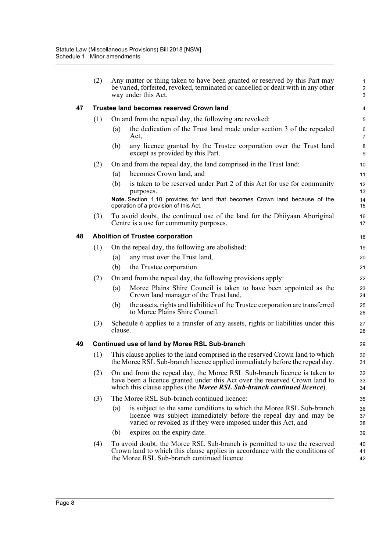|    | (2) |         | Any matter or thing taken to have been granted or reserved by this Part may<br>be varied, forfeited, revoked, terminated or cancelled or dealt with in any other<br>way under this Act.                                           | $\mathbf{1}$<br>$\overline{2}$<br>3 |
|----|-----|---------|-----------------------------------------------------------------------------------------------------------------------------------------------------------------------------------------------------------------------------------|-------------------------------------|
| 47 |     |         | <b>Trustee land becomes reserved Crown land</b>                                                                                                                                                                                   | 4                                   |
|    | (1) |         | On and from the repeal day, the following are revoked:                                                                                                                                                                            | 5                                   |
|    |     | (a)     | the dedication of the Trust land made under section 3 of the repealed<br>Act,                                                                                                                                                     | 6<br>$\overline{7}$                 |
|    |     | (b)     | any licence granted by the Trustee corporation over the Trust land<br>except as provided by this Part.                                                                                                                            | 8<br>9                              |
|    | (2) |         | On and from the repeal day, the land comprised in the Trust land:                                                                                                                                                                 | 10                                  |
|    |     | (a)     | becomes Crown land, and                                                                                                                                                                                                           | 11                                  |
|    |     | (b)     | is taken to be reserved under Part 2 of this Act for use for community<br>purposes.                                                                                                                                               | 12<br>13                            |
|    |     |         | Note. Section 1.10 provides for land that becomes Crown land because of the<br>operation of a provision of this Act.                                                                                                              | 14<br>15                            |
|    | (3) |         | To avoid doubt, the continued use of the land for the Dhiiyaan Aboriginal<br>Centre is a use for community purposes.                                                                                                              | 16<br>17                            |
| 48 |     |         | <b>Abolition of Trustee corporation</b>                                                                                                                                                                                           | 18                                  |
|    | (1) |         | On the repeal day, the following are abolished:                                                                                                                                                                                   | 19                                  |
|    |     | (a)     | any trust over the Trust land,                                                                                                                                                                                                    | 20                                  |
|    |     | (b)     | the Trustee corporation.                                                                                                                                                                                                          | 21                                  |
|    | (2) |         | On and from the repeal day, the following provisions apply:                                                                                                                                                                       | 22                                  |
|    |     | (a)     | Moree Plains Shire Council is taken to have been appointed as the<br>Crown land manager of the Trust land,                                                                                                                        | 23<br>24                            |
|    |     | (b)     | the assets, rights and liabilities of the Trustee corporation are transferred<br>to Moree Plains Shire Council.                                                                                                                   | 25<br>26                            |
|    | (3) | clause. | Schedule 6 applies to a transfer of any assets, rights or liabilities under this                                                                                                                                                  | 27<br>28                            |
| 49 |     |         | Continued use of land by Moree RSL Sub-branch                                                                                                                                                                                     | 29                                  |
|    | (1) |         | This clause applies to the land comprised in the reserved Crown land to which<br>the Moree RSL Sub-branch licence applied immediately before the repeal day.                                                                      | 30<br>31                            |
|    | (2) |         | On and from the repeal day, the Moree RSL Sub-branch licence is taken to<br>have been a licence granted under this Act over the reserved Crown land to<br>which this clause applies (the Moree RSL Sub-branch continued licence). | 32<br>33<br>34                      |
|    | (3) |         | The Moree RSL Sub-branch continued licence:                                                                                                                                                                                       | 35                                  |
|    |     | (a)     | is subject to the same conditions to which the Moree RSL Sub-branch<br>licence was subject immediately before the repeal day and may be<br>varied or revoked as if they were imposed under this Act, and                          | 36<br>37<br>38                      |
|    |     | (b)     | expires on the expiry date.                                                                                                                                                                                                       | 39                                  |
|    | (4) |         | To avoid doubt, the Moree RSL Sub-branch is permitted to use the reserved<br>Crown land to which this clause applies in accordance with the conditions of<br>the Moree RSL Sub-branch continued licence.                          | 40<br>41<br>42                      |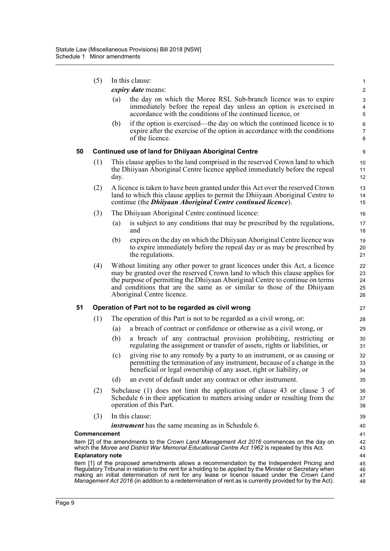|    | (5)                     |      | In this clause:                                                                                                                                                                                                                                                                                                                                        | $\mathbf{1}$                                                       |
|----|-------------------------|------|--------------------------------------------------------------------------------------------------------------------------------------------------------------------------------------------------------------------------------------------------------------------------------------------------------------------------------------------------------|--------------------------------------------------------------------|
|    |                         |      | expiry date means:                                                                                                                                                                                                                                                                                                                                     | $\sqrt{2}$                                                         |
|    |                         | (a)  | the day on which the Moree RSL Sub-branch licence was to expire<br>immediately before the repeal day unless an option is exercised in<br>accordance with the conditions of the continued licence, or                                                                                                                                                   | $\ensuremath{\mathsf{3}}$<br>$\overline{\mathbf{4}}$<br>$\sqrt{5}$ |
|    |                         | (b)  | if the option is exercised—the day on which the continued licence is to<br>expire after the exercise of the option in accordance with the conditions<br>of the licence.                                                                                                                                                                                | 6<br>$\overline{7}$<br>8                                           |
| 50 |                         |      | <b>Continued use of land for Dhiiyaan Aboriginal Centre</b>                                                                                                                                                                                                                                                                                            | 9                                                                  |
|    | (1)                     | day. | This clause applies to the land comprised in the reserved Crown land to which<br>the Dhiiyaan Aboriginal Centre licence applied immediately before the repeal                                                                                                                                                                                          | 10<br>11<br>12                                                     |
|    | (2)                     |      | A licence is taken to have been granted under this Act over the reserved Crown<br>land to which this clause applies to permit the Dhiiyaan Aboriginal Centre to<br>continue (the <i>Dhiiyaan Aboriginal Centre continued licence</i> ).                                                                                                                | 13<br>14<br>15                                                     |
|    | (3)                     |      | The Dhiiyaan Aboriginal Centre continued licence:                                                                                                                                                                                                                                                                                                      | 16                                                                 |
|    |                         | (a)  | is subject to any conditions that may be prescribed by the regulations,<br>and                                                                                                                                                                                                                                                                         | 17<br>18                                                           |
|    |                         | (b)  | expires on the day on which the Dhiiyaan Aboriginal Centre licence was<br>to expire immediately before the repeal day or as may be prescribed by<br>the regulations.                                                                                                                                                                                   | 19<br>20<br>21                                                     |
|    | (4)                     |      | Without limiting any other power to grant licences under this Act, a licence<br>may be granted over the reserved Crown land to which this clause applies for<br>the purpose of permitting the Dhiiyaan Aboriginal Centre to continue on terms<br>and conditions that are the same as or similar to those of the Dhiiyaan<br>Aboriginal Centre licence. | 22<br>23<br>24<br>25<br>26                                         |
| 51 |                         |      | Operation of Part not to be regarded as civil wrong                                                                                                                                                                                                                                                                                                    | 27                                                                 |
|    | (1)                     |      | The operation of this Part is not to be regarded as a civil wrong, or:                                                                                                                                                                                                                                                                                 | 28                                                                 |
|    |                         | (a)  | a breach of contract or confidence or otherwise as a civil wrong, or                                                                                                                                                                                                                                                                                   | 29                                                                 |
|    |                         | (b)  | a breach of any contractual provision prohibiting, restricting or<br>regulating the assignment or transfer of assets, rights or liabilities, or                                                                                                                                                                                                        | 30<br>31                                                           |
|    |                         | (c)  | giving rise to any remedy by a party to an instrument, or as causing or<br>permitting the termination of any instrument, because of a change in the<br>beneficial or legal ownership of any asset, right or liability, or                                                                                                                              | 32<br>33<br>34                                                     |
|    |                         | (d)  | an event of default under any contract or other instrument.                                                                                                                                                                                                                                                                                            | 35                                                                 |
|    | (2)                     |      | Subclause $(1)$ does not limit the application of clause 43 or clause 3 of<br>Schedule 6 in their application to matters arising under or resulting from the<br>operation of this Part.                                                                                                                                                                | 36<br>37<br>38                                                     |
|    | (3)                     |      | In this clause:                                                                                                                                                                                                                                                                                                                                        | 39                                                                 |
|    |                         |      | <i>instrument</i> has the same meaning as in Schedule 6.                                                                                                                                                                                                                                                                                               | 40                                                                 |
|    | Commencement            |      |                                                                                                                                                                                                                                                                                                                                                        | 41                                                                 |
|    |                         |      | Item [2] of the amendments to the Crown Land Management Act 2016 commences on the day on<br>which the Moree and District War Memorial Educational Centre Act 1962 is repealed by this Act.                                                                                                                                                             | 42<br>43                                                           |
|    | <b>Explanatory note</b> |      | Item [1] of the proposed amendments allows a recommendation by the Independent Pricing and                                                                                                                                                                                                                                                             | 44<br>45                                                           |
|    |                         |      | Regulatory Tribunal in relation to the rent for a holding to be applied by the Minister or Secretary when<br>making an initial determination of rent for any lease or licence issued under the Crown Land<br>Management Act 2016 (in addition to a redetermination of rent as is currently provided for by the Act).                                   | 46<br>47<br>48                                                     |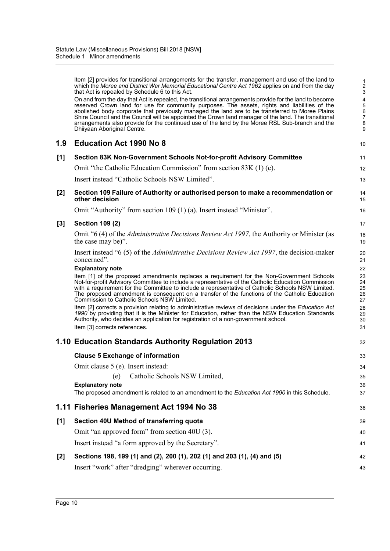|       | Item [2] provides for transitional arrangements for the transfer, management and use of the land to<br>which the Moree and District War Memorial Educational Centre Act 1962 applies on and from the day<br>that Act is repealed by Schedule 6 to this Act.                                                                                                                                                                                                                                                                                          | $\frac{1}{2}$<br>3                               |
|-------|------------------------------------------------------------------------------------------------------------------------------------------------------------------------------------------------------------------------------------------------------------------------------------------------------------------------------------------------------------------------------------------------------------------------------------------------------------------------------------------------------------------------------------------------------|--------------------------------------------------|
|       | On and from the day that Act is repealed, the transitional arrangements provide for the land to become<br>reserved Crown land for use for community purposes. The assets, rights and liabilities of the<br>abolished body corporate that previously managed the land are to be transferred to Moree Plains<br>Shire Council and the Council will be appointed the Crown land manager of the land. The transitional<br>arrangements also provide for the continued use of the land by the Moree RSL Sub-branch and the<br>Dhiiyaan Aboriginal Centre. | $\frac{4}{5}$<br>6<br>$\boldsymbol{7}$<br>8<br>9 |
| 1.9   | <b>Education Act 1990 No 8</b>                                                                                                                                                                                                                                                                                                                                                                                                                                                                                                                       | 10                                               |
| [1]   | Section 83K Non-Government Schools Not-for-profit Advisory Committee                                                                                                                                                                                                                                                                                                                                                                                                                                                                                 | 11                                               |
|       | Omit "the Catholic Education Commission" from section 83K (1) (c).                                                                                                                                                                                                                                                                                                                                                                                                                                                                                   | 12                                               |
|       | Insert instead "Catholic Schools NSW Limited".                                                                                                                                                                                                                                                                                                                                                                                                                                                                                                       | 13                                               |
| [2]   | Section 109 Failure of Authority or authorised person to make a recommendation or<br>other decision                                                                                                                                                                                                                                                                                                                                                                                                                                                  | 14<br>15                                         |
|       | Omit "Authority" from section 109 (1) (a). Insert instead "Minister".                                                                                                                                                                                                                                                                                                                                                                                                                                                                                | 16                                               |
| $[3]$ | <b>Section 109 (2)</b>                                                                                                                                                                                                                                                                                                                                                                                                                                                                                                                               | 17                                               |
|       | Omit "6 (4) of the <i>Administrative Decisions Review Act 1997</i> , the Authority or Minister (as<br>the case may be)".                                                                                                                                                                                                                                                                                                                                                                                                                             | 18<br>19                                         |
|       | Insert instead "6 (5) of the <i>Administrative Decisions Review Act 1997</i> , the decision-maker<br>concerned".                                                                                                                                                                                                                                                                                                                                                                                                                                     | 20<br>21                                         |
|       | <b>Explanatory note</b><br>Item [1] of the proposed amendments replaces a requirement for the Non-Government Schools<br>Not-for-profit Advisory Committee to include a representative of the Catholic Education Commission<br>with a requirement for the Committee to include a representative of Catholic Schools NSW Limited.<br>The proposed amendment is consequent on a transfer of the functions of the Catholic Education<br>Commission to Catholic Schools NSW Limited.                                                                      | 22<br>23<br>24<br>25<br>26<br>27                 |
|       | Item [2] corrects a provision relating to administrative reviews of decisions under the Education Act<br>1990 by providing that it is the Minister for Education, rather than the NSW Education Standards<br>Authority, who decides an application for registration of a non-government school.<br>Item [3] corrects references.                                                                                                                                                                                                                     | 28<br>29<br>30<br>31                             |
|       | 1.10 Education Standards Authority Regulation 2013                                                                                                                                                                                                                                                                                                                                                                                                                                                                                                   | 32                                               |
|       |                                                                                                                                                                                                                                                                                                                                                                                                                                                                                                                                                      |                                                  |
|       | <b>Clause 5 Exchange of information</b>                                                                                                                                                                                                                                                                                                                                                                                                                                                                                                              | 33                                               |
|       | Omit clause 5 (e). Insert instead:<br>Catholic Schools NSW Limited,<br>(e)                                                                                                                                                                                                                                                                                                                                                                                                                                                                           | 34                                               |
|       | <b>Explanatory note</b>                                                                                                                                                                                                                                                                                                                                                                                                                                                                                                                              | 35<br>36                                         |
|       | The proposed amendment is related to an amendment to the Education Act 1990 in this Schedule.                                                                                                                                                                                                                                                                                                                                                                                                                                                        | 37                                               |
|       | 1.11 Fisheries Management Act 1994 No 38                                                                                                                                                                                                                                                                                                                                                                                                                                                                                                             | 38                                               |
| [1]   | Section 40U Method of transferring quota                                                                                                                                                                                                                                                                                                                                                                                                                                                                                                             | 39                                               |
|       | Omit "an approved form" from section 40U (3).                                                                                                                                                                                                                                                                                                                                                                                                                                                                                                        | 40                                               |
|       | Insert instead "a form approved by the Secretary".                                                                                                                                                                                                                                                                                                                                                                                                                                                                                                   | 41                                               |
| $[2]$ | Sections 198, 199 (1) and (2), 200 (1), 202 (1) and 203 (1), (4) and (5)                                                                                                                                                                                                                                                                                                                                                                                                                                                                             | 42                                               |
|       | Insert "work" after "dredging" wherever occurring.                                                                                                                                                                                                                                                                                                                                                                                                                                                                                                   | 43                                               |
|       |                                                                                                                                                                                                                                                                                                                                                                                                                                                                                                                                                      |                                                  |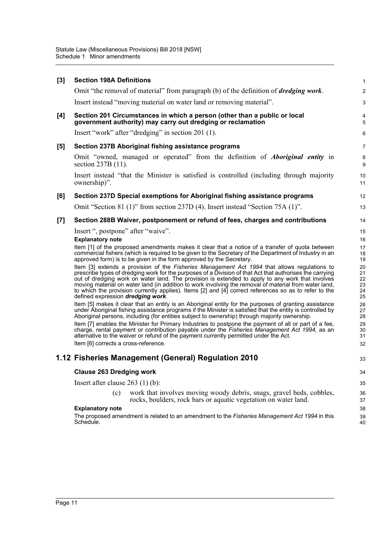| [3] | <b>Section 198A Definitions</b>                                                                                                                                                                                                                                                                                                                                                                                                                                                                                                                                     | $\mathbf{1}$                     |
|-----|---------------------------------------------------------------------------------------------------------------------------------------------------------------------------------------------------------------------------------------------------------------------------------------------------------------------------------------------------------------------------------------------------------------------------------------------------------------------------------------------------------------------------------------------------------------------|----------------------------------|
|     | Omit "the removal of material" from paragraph (b) of the definition of <i>dredging work</i> .                                                                                                                                                                                                                                                                                                                                                                                                                                                                       | $\overline{c}$                   |
|     | Insert instead "moving material on water land or removing material".                                                                                                                                                                                                                                                                                                                                                                                                                                                                                                | 3                                |
| [4] | Section 201 Circumstances in which a person (other than a public or local<br>government authority) may carry out dredging or reclamation                                                                                                                                                                                                                                                                                                                                                                                                                            | $\overline{\mathbf{4}}$<br>5     |
|     | Insert "work" after "dredging" in section 201 (1).                                                                                                                                                                                                                                                                                                                                                                                                                                                                                                                  | 6                                |
| [5] | Section 237B Aboriginal fishing assistance programs                                                                                                                                                                                                                                                                                                                                                                                                                                                                                                                 | $\overline{7}$                   |
|     | Omit "owned, managed or operated" from the definition of <i>Aboriginal entity</i> in<br>section 237B (11).                                                                                                                                                                                                                                                                                                                                                                                                                                                          | 8<br>9                           |
|     | Insert instead "that the Minister is satisfied is controlled (including through majority<br>ownership)".                                                                                                                                                                                                                                                                                                                                                                                                                                                            | 10<br>11                         |
| [6] | Section 237D Special exemptions for Aboriginal fishing assistance programs                                                                                                                                                                                                                                                                                                                                                                                                                                                                                          | 12                               |
|     | Omit "Section 81 (1)" from section 237D (4). Insert instead "Section 75A (1)".                                                                                                                                                                                                                                                                                                                                                                                                                                                                                      | 13                               |
| [7] | Section 288B Waiver, postponement or refund of fees, charges and contributions                                                                                                                                                                                                                                                                                                                                                                                                                                                                                      | 14                               |
|     | Insert ", postpone" after "waive".                                                                                                                                                                                                                                                                                                                                                                                                                                                                                                                                  | 15                               |
|     | <b>Explanatory note</b>                                                                                                                                                                                                                                                                                                                                                                                                                                                                                                                                             | 16                               |
|     | Item [1] of the proposed amendments makes it clear that a notice of a transfer of quota between<br>commercial fishers (which is required to be given to the Secretary of the Department of Industry in an<br>approved form) is to be given in the form approved by the Secretary.                                                                                                                                                                                                                                                                                   | 17<br>18<br>19                   |
|     | Item [3] extends a provision of the Fisheries Management Act 1994 that allows regulations to<br>prescribe types of dredging work for the purposes of a Division of that Act that authorises the carrying<br>out of dredging work on water land. The provision is extended to apply to any work that involves<br>moving material on water land (in addition to work involving the removal of material from water land,<br>to which the provision currently applies). Items [2] and [4] correct references so as to refer to the<br>defined expression dredging work. | 20<br>21<br>22<br>23<br>24<br>25 |
|     | Item [5] makes it clear that an entity is an Aboriginal entity for the purposes of granting assistance<br>under Aboriginal fishing assistance programs if the Minister is satisfied that the entity is controlled by<br>Aboriginal persons, including (for entities subject to ownership) through majority ownership.                                                                                                                                                                                                                                               | 26<br>27<br>28                   |
|     | Item [7] enables the Minister for Primary Industries to postpone the payment of all or part of a fee,<br>charge, rental payment or contribution payable under the <i>Fisheries Management Act 1994</i> , as an<br>alternative to the waiver or refund of the payment currently permitted under the Act.                                                                                                                                                                                                                                                             | 29<br>30<br>31                   |
|     | Item [6] corrects a cross-reference.                                                                                                                                                                                                                                                                                                                                                                                                                                                                                                                                | 32                               |
|     | 1.12 Fisheries Management (General) Regulation 2010                                                                                                                                                                                                                                                                                                                                                                                                                                                                                                                 | 33                               |
|     | <b>Clause 263 Dredging work</b>                                                                                                                                                                                                                                                                                                                                                                                                                                                                                                                                     | 34                               |
|     | Insert after clause $263$ (1) (b):                                                                                                                                                                                                                                                                                                                                                                                                                                                                                                                                  | 35                               |
|     | work that involves moving woody debris, snags, gravel beds, cobbles,<br>(c)<br>rocks, boulders, rock bars or aquatic vegetation on water land.                                                                                                                                                                                                                                                                                                                                                                                                                      | 36<br>37                         |
|     | <b>Explanatory note</b>                                                                                                                                                                                                                                                                                                                                                                                                                                                                                                                                             | 38                               |
|     | The proposed amendment is related to an amendment to the Fisheries Management Act 1994 in this<br>Schedule.                                                                                                                                                                                                                                                                                                                                                                                                                                                         | 39<br>40                         |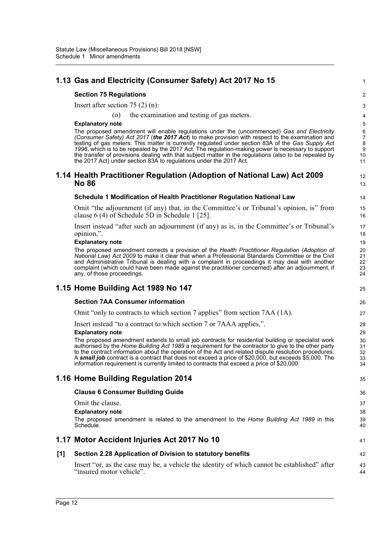|       | 1.13 Gas and Electricity (Consumer Safety) Act 2017 No 15                                                                                                                                                                                                                                                                                                                                                                                                                                                                                                                                | 1                                             |
|-------|------------------------------------------------------------------------------------------------------------------------------------------------------------------------------------------------------------------------------------------------------------------------------------------------------------------------------------------------------------------------------------------------------------------------------------------------------------------------------------------------------------------------------------------------------------------------------------------|-----------------------------------------------|
|       | <b>Section 75 Regulations</b>                                                                                                                                                                                                                                                                                                                                                                                                                                                                                                                                                            | 2                                             |
|       | Insert after section $75(2)(n)$ :                                                                                                                                                                                                                                                                                                                                                                                                                                                                                                                                                        | 3                                             |
|       | the examination and testing of gas meters.<br>$\circ$                                                                                                                                                                                                                                                                                                                                                                                                                                                                                                                                    | 4                                             |
|       | <b>Explanatory note</b>                                                                                                                                                                                                                                                                                                                                                                                                                                                                                                                                                                  | 5                                             |
|       | The proposed amendment will enable regulations under the (uncommenced) Gas and Electricity<br>(Consumer Safety) Act 2017 (the 2017 Act) to make provision with respect to the examination and<br>testing of gas meters. This matter is currently regulated under section 83A of the Gas Supply Act<br>1996, which is to be repealed by the 2017 Act. The regulation-making power is necessary to support<br>the transfer of provisions dealing with that subject matter in the regulations (also to be repealed by<br>the 2017 Act) under section 83A to regulations under the 2017 Act. | $\,6$<br>$\overline{7}$<br>8<br>9<br>10<br>11 |
|       | 1.14 Health Practitioner Regulation (Adoption of National Law) Act 2009<br><b>No 86</b>                                                                                                                                                                                                                                                                                                                                                                                                                                                                                                  | 12<br>13                                      |
|       | Schedule 1 Modification of Health Practitioner Regulation National Law                                                                                                                                                                                                                                                                                                                                                                                                                                                                                                                   | 14                                            |
|       | Omit "the adjournment (if any) that, in the Committee's or Tribunal's opinion, is" from<br>clause $6(4)$ of Schedule $5D$ in Schedule 1 [25].                                                                                                                                                                                                                                                                                                                                                                                                                                            | 15<br>16                                      |
|       | Insert instead "after such an adjournment (if any) as is, in the Committee's or Tribunal's<br>opinion,".                                                                                                                                                                                                                                                                                                                                                                                                                                                                                 | 17<br>18                                      |
|       | <b>Explanatory note</b><br>The proposed amendment corrects a provision of the Health Practitioner Regulation (Adoption of                                                                                                                                                                                                                                                                                                                                                                                                                                                                | 19<br>20                                      |
|       | National Law) Act 2009 to make it clear that when a Professional Standards Committee or the Civil<br>and Administrative Tribunal is dealing with a complaint in proceedings it may deal with another<br>complaint (which could have been made against the practitioner concerned) after an adjournment, if<br>any, of those proceedings.                                                                                                                                                                                                                                                 | 21<br>22<br>23<br>24                          |
|       |                                                                                                                                                                                                                                                                                                                                                                                                                                                                                                                                                                                          |                                               |
|       | 1.15 Home Building Act 1989 No 147                                                                                                                                                                                                                                                                                                                                                                                                                                                                                                                                                       | 25                                            |
|       | <b>Section 7AA Consumer information</b>                                                                                                                                                                                                                                                                                                                                                                                                                                                                                                                                                  | 26                                            |
|       | Omit "only to contracts to which section 7 applies" from section 7AA (1A).                                                                                                                                                                                                                                                                                                                                                                                                                                                                                                               | 27                                            |
|       | Insert instead "to a contract to which section 7 or 7AAA applies,".                                                                                                                                                                                                                                                                                                                                                                                                                                                                                                                      | 28                                            |
|       | <b>Explanatory note</b>                                                                                                                                                                                                                                                                                                                                                                                                                                                                                                                                                                  | 29                                            |
|       | The proposed amendment extends to small job contracts for residential building or specialist work                                                                                                                                                                                                                                                                                                                                                                                                                                                                                        | 30                                            |
|       | authorised by the Home Building Act 1989 a requirement for the contractor to give to the other party<br>to the contract information about the operation of the Act and related dispute resolution procedures.                                                                                                                                                                                                                                                                                                                                                                            | 31<br>32                                      |
|       | A small job contract is a contract that does not exceed a price of \$20,000, but exceeds \$5,000. The<br>information requirement is currently limited to contracts that exceed a price of \$20,000.                                                                                                                                                                                                                                                                                                                                                                                      | 33<br>34                                      |
|       | 1.16 Home Building Regulation 2014                                                                                                                                                                                                                                                                                                                                                                                                                                                                                                                                                       | 35                                            |
|       | <b>Clause 6 Consumer Building Guide</b>                                                                                                                                                                                                                                                                                                                                                                                                                                                                                                                                                  | 36                                            |
|       | Omit the clause.                                                                                                                                                                                                                                                                                                                                                                                                                                                                                                                                                                         | 37                                            |
|       | <b>Explanatory note</b>                                                                                                                                                                                                                                                                                                                                                                                                                                                                                                                                                                  | 38                                            |
|       | The proposed amendment is related to the amendment to the Home Building Act 1989 in this<br>Schedule.                                                                                                                                                                                                                                                                                                                                                                                                                                                                                    | 39<br>40                                      |
|       | 1.17 Motor Accident Injuries Act 2017 No 10                                                                                                                                                                                                                                                                                                                                                                                                                                                                                                                                              | 41                                            |
| $[1]$ | Section 2.28 Application of Division to statutory benefits                                                                                                                                                                                                                                                                                                                                                                                                                                                                                                                               | 42                                            |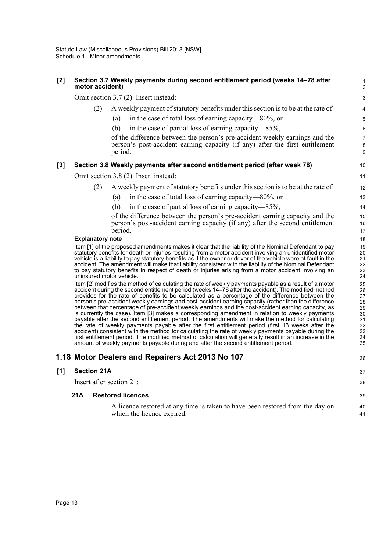| $[2]$ | motor accident)         | Section 3.7 Weekly payments during second entitlement period (weeks 14-78 after                                                                                                                                           | 1<br>$\overline{c}$ |
|-------|-------------------------|---------------------------------------------------------------------------------------------------------------------------------------------------------------------------------------------------------------------------|---------------------|
|       |                         | Omit section 3.7 (2). Insert instead:                                                                                                                                                                                     | 3                   |
|       | (2)                     | A weekly payment of statutory benefits under this section is to be at the rate of:                                                                                                                                        | 4                   |
|       |                         | in the case of total loss of earning capacity—80%, or<br>(a)                                                                                                                                                              | 5                   |
|       |                         | in the case of partial loss of earning capacity—85%,<br>(b)                                                                                                                                                               | 6                   |
|       |                         | of the difference between the person's pre-accident weekly earnings and the<br>person's post-accident earning capacity (if any) after the first entitlement<br>period.                                                    | 7<br>8<br>9         |
| [3]   |                         | Section 3.8 Weekly payments after second entitlement period (after week 78)                                                                                                                                               | 10                  |
|       |                         | Omit section 3.8 (2). Insert instead:                                                                                                                                                                                     | 11                  |
|       | (2)                     | A weekly payment of statutory benefits under this section is to be at the rate of:                                                                                                                                        | 12                  |
|       |                         | in the case of total loss of earning capacity-80%, or<br>(a)                                                                                                                                                              | 13                  |
|       |                         | in the case of partial loss of earning capacity—85%,<br>(b)                                                                                                                                                               | 14                  |
|       |                         | of the difference between the person's pre-accident earning capacity and the                                                                                                                                              | 15                  |
|       |                         | person's post-accident earning capacity (if any) after the second entitlement                                                                                                                                             | 16                  |
|       |                         | period.                                                                                                                                                                                                                   | 17                  |
|       | <b>Explanatory note</b> | Item [1] of the proposed amendments makes it clear that the liability of the Nominal Defendant to pay                                                                                                                     | 18<br>19            |
|       |                         | statutory benefits for death or injuries resulting from a motor accident involving an unidentified motor                                                                                                                  | 20                  |
|       |                         | vehicle is a liability to pay statutory benefits as if the owner or driver of the vehicle were at fault in the<br>accident. The amendment will make that liability consistent with the liability of the Nominal Defendant | 21<br>22            |
|       |                         | to pay statutory benefits in respect of death or injuries arising from a motor accident involving an<br>uninsured motor vehicle.                                                                                          | 23<br>24            |
|       |                         | Item [2] modifies the method of calculating the rate of weekly payments payable as a result of a motor                                                                                                                    | 25                  |
|       |                         | accident during the second entitlement period (weeks 14-78 after the accident). The modified method                                                                                                                       | 26                  |
|       |                         | provides for the rate of benefits to be calculated as a percentage of the difference between the<br>person's pre-accident weekly earnings and post-accident earning capacity (rather than the difference                  | 27<br>28            |
|       |                         | between that percentage of pre-accident weekly earnings and the post-accident earning capacity, as                                                                                                                        | 29                  |
|       |                         | is currently the case). Item [3] makes a corresponding amendment in relation to weekly payments<br>payable after the second entitlement period. The amendments will make the method for calculating                       | 30<br>31            |
|       |                         | the rate of weekly payments payable after the first entitlement period (first 13 weeks after the                                                                                                                          | 32                  |
|       |                         | accident) consistent with the method for calculating the rate of weekly payments payable during the<br>first entitlement period. The modified method of calculation will generally result in an increase in the           | 33<br>34            |
|       |                         | amount of weekly payments payable during and after the second entitlement period.                                                                                                                                         | 35                  |
|       |                         | 1.18 Motor Dealers and Repairers Act 2013 No 107                                                                                                                                                                          | 36                  |
| [1]   | <b>Section 21A</b>      |                                                                                                                                                                                                                           | 37                  |
|       |                         | Insert after section 21:                                                                                                                                                                                                  | 38                  |
|       | 21A                     | <b>Restored licences</b>                                                                                                                                                                                                  | 39                  |
|       |                         | A licence restored at any time is taken to have been restored from the day on<br>which the licence expired.                                                                                                               | 40<br>41            |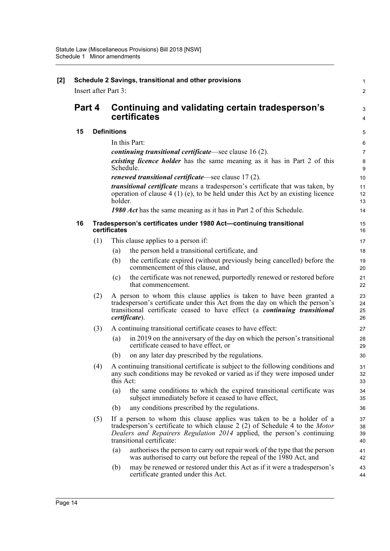|        |     | Schedule 2 Savings, transitional and other provisions<br><b>Insert after Part 3:</b>                                                                                                                                                                        |  |
|--------|-----|-------------------------------------------------------------------------------------------------------------------------------------------------------------------------------------------------------------------------------------------------------------|--|
|        |     |                                                                                                                                                                                                                                                             |  |
| Part 4 |     | Continuing and validating certain tradesperson's                                                                                                                                                                                                            |  |
|        |     | certificates                                                                                                                                                                                                                                                |  |
| 15     |     | <b>Definitions</b>                                                                                                                                                                                                                                          |  |
|        |     | In this Part:                                                                                                                                                                                                                                               |  |
|        |     | <i>continuing transitional certificate</i> —see clause 16 (2).                                                                                                                                                                                              |  |
|        |     | <i>existing licence holder</i> has the same meaning as it has in Part 2 of this<br>Schedule.                                                                                                                                                                |  |
|        |     | <i>renewed transitional certificate</i> —see clause 17(2).                                                                                                                                                                                                  |  |
|        |     | <i>transitional certificate</i> means a tradesperson's certificate that was taken, by<br>operation of clause $4(1)(e)$ , to be held under this Act by an existing licence<br>holder.                                                                        |  |
|        |     | <b>1980 Act</b> has the same meaning as it has in Part 2 of this Schedule.                                                                                                                                                                                  |  |
| 16     |     | Tradesperson's certificates under 1980 Act-continuing transitional<br>certificates                                                                                                                                                                          |  |
|        | (1) | This clause applies to a person if:                                                                                                                                                                                                                         |  |
|        |     | the person held a transitional certificate, and<br>(a)                                                                                                                                                                                                      |  |
|        |     | the certificate expired (without previously being cancelled) before the<br>(b)<br>commencement of this clause, and                                                                                                                                          |  |
|        |     | the certificate was not renewed, purportedly renewed or restored before<br>(c)<br>that commencement.                                                                                                                                                        |  |
|        | (2) | A person to whom this clause applies is taken to have been granted a<br>tradesperson's certificate under this Act from the day on which the person's<br>transitional certificate ceased to have effect (a <i>continuing transitional</i><br>certificate).   |  |
|        | (3) | A continuing transitional certificate ceases to have effect:                                                                                                                                                                                                |  |
|        |     | in 2019 on the anniversary of the day on which the person's transitional<br>(a)<br>certificate ceased to have effect, or                                                                                                                                    |  |
|        |     | on any later day prescribed by the regulations.<br>(b)                                                                                                                                                                                                      |  |
|        | (4) | A continuing transitional certificate is subject to the following conditions and<br>any such conditions may be revoked or varied as if they were imposed under<br>this Act:                                                                                 |  |
|        |     | the same conditions to which the expired transitional certificate was<br>(a)<br>subject immediately before it ceased to have effect,                                                                                                                        |  |
|        |     | (b)<br>any conditions prescribed by the regulations.                                                                                                                                                                                                        |  |
|        | (5) | If a person to whom this clause applies was taken to be a holder of a<br>tradesperson's certificate to which clause 2 (2) of Schedule 4 to the Motor<br>Dealers and Repairers Regulation 2014 applied, the person's continuing<br>transitional certificate: |  |
|        |     | authorises the person to carry out repair work of the type that the person<br>(a)<br>was authorised to carry out before the repeal of the 1980 Act, and                                                                                                     |  |
|        |     | may be renewed or restored under this Act as if it were a tradesperson's<br>(b)<br>certificate granted under this Act.                                                                                                                                      |  |
|        |     |                                                                                                                                                                                                                                                             |  |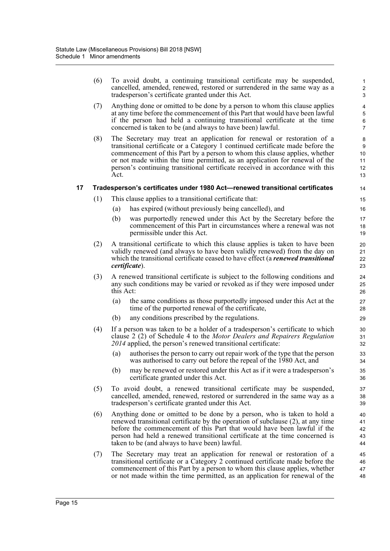(6) To avoid doubt, a continuing transitional certificate may be suspended, cancelled, amended, renewed, restored or surrendered in the same way as a tradesperson's certificate granted under this Act.

- (7) Anything done or omitted to be done by a person to whom this clause applies at any time before the commencement of this Part that would have been lawful if the person had held a continuing transitional certificate at the time concerned is taken to be (and always to have been) lawful.
- (8) The Secretary may treat an application for renewal or restoration of a transitional certificate or a Category 1 continued certificate made before the commencement of this Part by a person to whom this clause applies, whether or not made within the time permitted, as an application for renewal of the person's continuing transitional certificate received in accordance with this Act.

#### **17 Tradesperson's certificates under 1980 Act—renewed transitional certificates**

- (1) This clause applies to a transitional certificate that:
	- (a) has expired (without previously being cancelled), and
	- (b) was purportedly renewed under this Act by the Secretary before the commencement of this Part in circumstances where a renewal was not permissible under this Act.
- (2) A transitional certificate to which this clause applies is taken to have been validly renewed (and always to have been validly renewed) from the day on which the transitional certificate ceased to have effect (a *renewed transitional certificate*).
- (3) A renewed transitional certificate is subject to the following conditions and any such conditions may be varied or revoked as if they were imposed under this Act:
	- (a) the same conditions as those purportedly imposed under this Act at the time of the purported renewal of the certificate,
	- (b) any conditions prescribed by the regulations.
- (4) If a person was taken to be a holder of a tradesperson's certificate to which clause 2 (2) of Schedule 4 to the *Motor Dealers and Repairers Regulation 2014* applied, the person's renewed transitional certificate:
	- (a) authorises the person to carry out repair work of the type that the person was authorised to carry out before the repeal of the 1980 Act, and
	- (b) may be renewed or restored under this Act as if it were a tradesperson's certificate granted under this Act.
- (5) To avoid doubt, a renewed transitional certificate may be suspended, cancelled, amended, renewed, restored or surrendered in the same way as a tradesperson's certificate granted under this Act.
- (6) Anything done or omitted to be done by a person, who is taken to hold a renewed transitional certificate by the operation of subclause (2), at any time before the commencement of this Part that would have been lawful if the person had held a renewed transitional certificate at the time concerned is taken to be (and always to have been) lawful.
- (7) The Secretary may treat an application for renewal or restoration of a transitional certificate or a Category 2 continued certificate made before the commencement of this Part by a person to whom this clause applies, whether or not made within the time permitted, as an application for renewal of the 45 46 47 48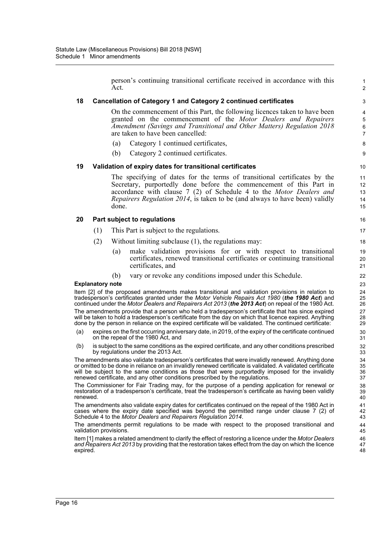|          |                         | Act.  | person's continuing transitional certificate received in accordance with this                                                                                                                                                                                                                                                                                                                         | $\mathbf{1}$<br>2                   |
|----------|-------------------------|-------|-------------------------------------------------------------------------------------------------------------------------------------------------------------------------------------------------------------------------------------------------------------------------------------------------------------------------------------------------------------------------------------------------------|-------------------------------------|
| 18       |                         |       | Cancellation of Category 1 and Category 2 continued certificates                                                                                                                                                                                                                                                                                                                                      | 3                                   |
|          |                         |       | On the commencement of this Part, the following licences taken to have been<br>granted on the commencement of the Motor Dealers and Repairers<br>Amendment (Savings and Transitional and Other Matters) Regulation 2018<br>are taken to have been cancelled:                                                                                                                                          | 4<br>5<br>$\,6\,$<br>$\overline{7}$ |
|          |                         | (a)   | Category 1 continued certificates,                                                                                                                                                                                                                                                                                                                                                                    | 8                                   |
|          |                         | (b)   | Category 2 continued certificates.                                                                                                                                                                                                                                                                                                                                                                    | 9                                   |
| 19       |                         |       | Validation of expiry dates for transitional certificates                                                                                                                                                                                                                                                                                                                                              | 10                                  |
|          |                         | done. | The specifying of dates for the terms of transitional certificates by the<br>Secretary, purportedly done before the commencement of this Part in<br>accordance with clause 7 (2) of Schedule 4 to the Motor Dealers and<br>Repairers Regulation 2014, is taken to be (and always to have been) validly                                                                                                | 11<br>12<br>13<br>14<br>15          |
| 20       |                         |       | Part subject to regulations                                                                                                                                                                                                                                                                                                                                                                           | 16                                  |
|          | (1)                     |       | This Part is subject to the regulations.                                                                                                                                                                                                                                                                                                                                                              | 17                                  |
|          | (2)                     |       | Without limiting subclause (1), the regulations may:                                                                                                                                                                                                                                                                                                                                                  | 18                                  |
|          |                         | (a)   | make validation provisions for or with respect to transitional<br>certificates, renewed transitional certificates or continuing transitional<br>certificates, and                                                                                                                                                                                                                                     | 19<br>20<br>21                      |
|          |                         | (b)   | vary or revoke any conditions imposed under this Schedule.                                                                                                                                                                                                                                                                                                                                            | 22                                  |
|          | <b>Explanatory note</b> |       |                                                                                                                                                                                                                                                                                                                                                                                                       | 23                                  |
|          |                         |       | Item [2] of the proposed amendments makes transitional and validation provisions in relation to<br>tradesperson's certificates granted under the Motor Vehicle Repairs Act 1980 (the 1980 Act) and<br>continued under the Motor Dealers and Repairers Act 2013 (the 2013 Act) on repeal of the 1980 Act.                                                                                              | 24<br>25<br>26                      |
|          |                         |       | The amendments provide that a person who held a tradesperson's certificate that has since expired<br>will be taken to hold a tradesperson's certificate from the day on which that licence expired. Anything<br>done by the person in reliance on the expired certificate will be validated. The continued certificate:                                                                               | 27<br>28<br>29                      |
| (a)      |                         |       | expires on the first occurring anniversary date, in 2019, of the expiry of the certificate continued<br>on the repeal of the 1980 Act, and                                                                                                                                                                                                                                                            | 30<br>31                            |
| (b)      |                         |       | is subject to the same conditions as the expired certificate, and any other conditions prescribed<br>by regulations under the 2013 Act.                                                                                                                                                                                                                                                               | 32<br>33                            |
|          |                         |       | The amendments also validate tradesperson's certificates that were invalidly renewed. Anything done<br>or omitted to be done in reliance on an invalidly renewed certificate is validated. A validated certificate<br>will be subject to the same conditions as those that were purportedly imposed for the invalidly<br>renewed certificate, and any other conditions prescribed by the regulations. | 34<br>35<br>36<br>37                |
| renewed. |                         |       | The Commissioner for Fair Trading may, for the purpose of a pending application for renewal or<br>restoration of a tradesperson's certificate, treat the tradesperson's certificate as having been validly                                                                                                                                                                                            | 38<br>39<br>40                      |
|          |                         |       | The amendments also validate expiry dates for certificates continued on the repeal of the 1980 Act in<br>cases where the expiry date specified was beyond the permitted range under clause 7 (2) of<br>Schedule 4 to the Motor Dealers and Repairers Regulation 2014.                                                                                                                                 | 41<br>42<br>43                      |
|          | validation provisions.  |       | The amendments permit regulations to be made with respect to the proposed transitional and                                                                                                                                                                                                                                                                                                            | 44<br>45                            |
| expired. |                         |       | Item [1] makes a related amendment to clarify the effect of restoring a licence under the Motor Dealers<br>and Repairers Act 2013 by providing that the restoration takes effect from the day on which the licence                                                                                                                                                                                    | 46<br>47<br>48                      |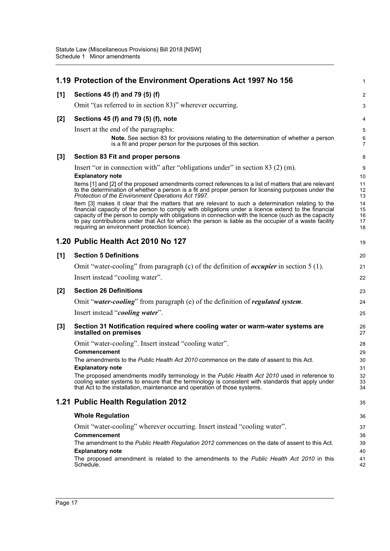|       | 1.19 Protection of the Environment Operations Act 1997 No 156                                                                                                                                                                                                        | $\mathbf{1}$              |
|-------|----------------------------------------------------------------------------------------------------------------------------------------------------------------------------------------------------------------------------------------------------------------------|---------------------------|
| [1]   | Sections 45 (f) and 79 (5) (f)                                                                                                                                                                                                                                       | $\overline{2}$            |
|       | Omit "(as referred to in section 83)" wherever occurring.                                                                                                                                                                                                            | 3                         |
| $[2]$ | Sections 45 (f) and 79 (5) (f), note                                                                                                                                                                                                                                 | 4                         |
|       | Insert at the end of the paragraphs:                                                                                                                                                                                                                                 | 5                         |
|       | Note. See section 83 for provisions relating to the determination of whether a person<br>is a fit and proper person for the purposes of this section.                                                                                                                | $\,6\,$<br>$\overline{7}$ |
| $[3]$ | Section 83 Fit and proper persons                                                                                                                                                                                                                                    | 8                         |
|       | Insert "or in connection with" after "obligations under" in section 83 (2) (m).                                                                                                                                                                                      | 9                         |
|       | <b>Explanatory note</b>                                                                                                                                                                                                                                              | 10                        |
|       | Items [1] and [2] of the proposed amendments correct references to a list of matters that are relevant<br>to the determination of whether a person is a fit and proper person for licensing purposes under the<br>Protection of the Environment Operations Act 1997. | 11<br>12<br>13            |
|       | Item [3] makes it clear that the matters that are relevant to such a determination relating to the<br>financial capacity of the person to comply with obligations under a licence extend to the financial                                                            | 14<br>15                  |
|       | capacity of the person to comply with obligations in connection with the licence (such as the capacity                                                                                                                                                               | 16                        |
|       | to pay contributions under that Act for which the person is liable as the occupier of a waste facility<br>requiring an environment protection licence).                                                                                                              | 17<br>18                  |
|       | 1.20 Public Health Act 2010 No 127                                                                                                                                                                                                                                   | 19                        |
| [1]   | <b>Section 5 Definitions</b>                                                                                                                                                                                                                                         | 20                        |
|       | Omit "water-cooling" from paragraph (c) of the definition of <i>occupier</i> in section $5(1)$ .                                                                                                                                                                     | 21                        |
|       | Insert instead "cooling water".                                                                                                                                                                                                                                      | 22                        |
| $[2]$ | <b>Section 26 Definitions</b>                                                                                                                                                                                                                                        | 23                        |
|       | Omit "water-cooling" from paragraph (e) of the definition of regulated system.                                                                                                                                                                                       | 24                        |
|       | Insert instead "cooling water".                                                                                                                                                                                                                                      | 25                        |
| $[3]$ | Section 31 Notification required where cooling water or warm-water systems are<br>installed on premises                                                                                                                                                              | 26<br>27                  |
|       | Omit "water-cooling". Insert instead "cooling water".                                                                                                                                                                                                                | 28                        |
|       | <b>Commencement</b>                                                                                                                                                                                                                                                  | 29                        |
|       | The amendments to the Public Health Act 2010 commence on the date of assent to this Act.                                                                                                                                                                             | 30                        |
|       | <b>Explanatory note</b><br>The proposed amendments modify terminology in the Public Health Act 2010 used in reference to                                                                                                                                             | 31<br>32                  |
|       | cooling water systems to ensure that the terminology is consistent with standards that apply under<br>that Act to the installation, maintenance and operation of those systems.                                                                                      | 33<br>34                  |
|       | 1.21 Public Health Regulation 2012                                                                                                                                                                                                                                   | 35                        |
|       | <b>Whole Regulation</b>                                                                                                                                                                                                                                              | 36                        |
|       | Omit "water-cooling" wherever occurring. Insert instead "cooling water".                                                                                                                                                                                             | 37                        |
|       | Commencement                                                                                                                                                                                                                                                         | 38                        |
|       | The amendment to the Public Health Regulation 2012 commences on the date of assent to this Act.                                                                                                                                                                      | 39                        |
|       | <b>Explanatory note</b><br>The proposed amendment is related to the amendments to the Public Health Act 2010 in this                                                                                                                                                 | 40<br>41                  |
|       | Schedule.                                                                                                                                                                                                                                                            | 42                        |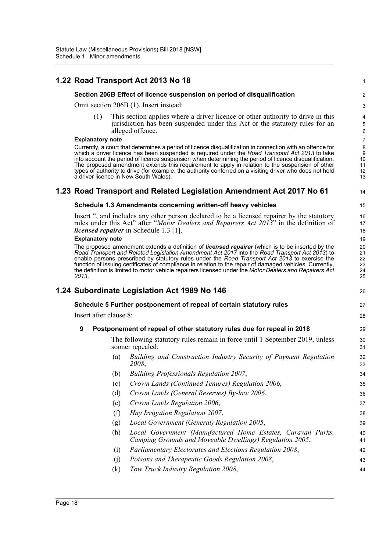### **1.22 Road Transport Act 2013 No 18**

#### **Section 206B Effect of licence suspension on period of disqualification**

Omit section 206B (1). Insert instead:

(1) This section applies where a driver licence or other authority to drive in this jurisdiction has been suspended under this Act or the statutory rules for an alleged offence.

1

14

26

27 28

44

#### **Explanatory note**

Currently, a court that determines a period of licence disqualification in connection with an offence for which a driver licence has been suspended is required under the *Road Transport Act 2013* to take into account the period of licence suspension when determining the period of licence disqualification. The proposed amendment extends this requirement to apply in relation to the suspension of other types of authority to drive (for example, the authority conferred on a visiting driver who does not hold a driver licence in New South Wales).

### **1.23 Road Transport and Related Legislation Amendment Act 2017 No 61**

#### **Schedule 1.3 Amendments concerning written-off heavy vehicles**

Insert ", and includes any other person declared to be a licensed repairer by the statutory rules under this Act" after "*Motor Dealers and Repairers Act 2013*" in the definition of *licensed repairer* in Schedule 1.3 [1].

#### **Explanatory note**

The proposed amendment extends a definition of *licensed repairer* (which is to be inserted by the *Road Transport and Related Legislation Amendment Act 2017* into the *Road Transport Act 2013*) to enable persons prescribed by statutory rules under the *Road Transport Act 2013* to exercise the function of issuing certificates of compliance in relation to the repair of damaged vehicles. Currently, the definition is limited to motor vehicle repairers licensed under the *Motor Dealers and Repairers Act 2013*.

### **1.24 Subordinate Legislation Act 1989 No 146**

#### **Schedule 5 Further postponement of repeal of certain statutory rules**

Insert after clause 8:

### **9 Postponement of repeal of other statutory rules due for repeal in 2018**

The following statutory rules remain in force until 1 September 2019, unless sooner repealed:

- (a) *Building and Construction Industry Security of Payment Regulation 2008*,
- (b) *Building Professionals Regulation 2007*, (c) *Crown Lands (Continued Tenures) Regulation 2006*,
- (d) *Crown Lands (General Reserves) By-law 2006*,
- (e) *Crown Lands Regulation 2006*,
- (f) *Hay Irrigation Regulation 2007*,
- (g) *Local Government (General) Regulation 2005*,
- (h) *Local Government (Manufactured Home Estates, Caravan Parks, Camping Grounds and Moveable Dwellings) Regulation 2005*,
- (i) *Parliamentary Electorates and Elections Regulation 2008*,
- (j) *Poisons and Therapeutic Goods Regulation 2008*, 43
- (k) *Tow Truck Industry Regulation 2008*,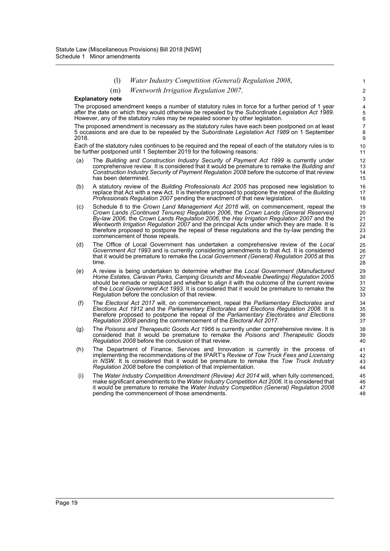- (l) *Water Industry Competition (General) Regulation 2008*,
- (m) *Wentworth Irrigation Regulation 2007*.

#### **Explanatory note**

The proposed amendment keeps a number of statutory rules in force for a further period of 1 year after the date on which they would otherwise be repealed by the *Subordinate Legislation Act 1989*. However, any of the statutory rules may be repealed sooner by other legislation.

The proposed amendment is necessary as the statutory rules have each been postponed on at least 5 occasions and are due to be repealed by the *Subordinate Legislation Act 1989* on 1 September 2018.

Each of the statutory rules continues to be required and the repeal of each of the statutory rules is to be further postponed until 1 September 2019 for the following reasons:

- (a) The *Building and Construction Industry Security of Payment Act 1999* is currently under comprehensive review. It is considered that it would be premature to remake the *Building and Construction Industry Security of Payment Regulation 2008* before the outcome of that review has been determined.
- (b) A statutory review of the *Building Professionals Act 2005* has proposed new legislation to replace that Act with a new Act. It is therefore proposed to postpone the repeal of the *Building Professionals Regulation 2007* pending the enactment of that new legislation.
- (c) Schedule 8 to the *Crown Land Management Act 2016* will, on commencement, repeal the *Crown Lands (Continued Tenures) Regulation 2006*, the *Crown Lands (General Reserves) By-law 2006*, the *Crown Lands Regulation 2006*, the *Hay Irrigation Regulation 2007* and the *Wentworth Irrigation Regulation 2007* and the principal Acts under which they are made. It is therefore proposed to postpone the repeal of these regulations and the by-law pending the commencement of those repeals.
- (d) The Office of Local Government has undertaken a comprehensive review of the *Local Government Act 1993* and is currently considering amendments to that Act. It is considered that it would be premature to remake the *Local Government (General) Regulation 2005* at this time.
- (e) A review is being undertaken to determine whether the *Local Government (Manufactured Home Estates, Caravan Parks, Camping Grounds and Moveable Dwellings) Regulation 2005* should be remade or replaced and whether to align it with the outcome of the current review of the *Local Government Act 1993*. It is considered that it would be premature to remake the Regulation before the conclusion of that review.
- (f) The *Electoral Act 2017* will, on commencement, repeal the *Parliamentary Electorates and Elections Act 1912* and the *Parliamentary Electorates and Elections Regulation 2008*. It is therefore proposed to postpone the repeal of the *Parliamentary Electorates and Elections Regulation 2008* pending the commencement of the *Electoral Act 2017*.
- (g) The *Poisons and Therapeutic Goods Act 1966* is currently under comprehensive review. It is considered that it would be premature to remake the *Poisons and Therapeutic Goods Regulation 2008* before the conclusion of that review.
- (h) The Department of Finance, Services and Innovation is currently in the process of implementing the recommendations of the IPART's *Review of Tow Truck Fees and Licensing in NSW*. It is considered that it would be premature to remake the *Tow Truck Industry Regulation 2008* before the completion of that implementation.
- (i) The *Water Industry Competition Amendment (Review) Act 2014* will, when fully commenced, make significant amendments to the *Water Industry Competition Act 2006*. It is considered that it would be premature to remake the *Water Industry Competition (General) Regulation 2008* pending the commencement of those amendments.

48

1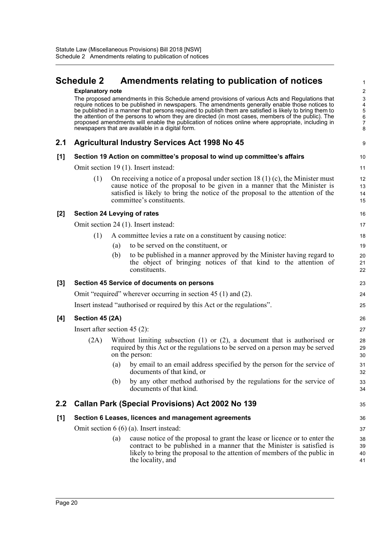# <span id="page-23-0"></span>**Schedule 2 Amendments relating to publication of notices**

1

|         | <b>Explanatory note</b>              |                                                                                                                                                                                                                                                                                                                                                                                                                                                                                                                                                                             | $\overline{c}$             |  |  |
|---------|--------------------------------------|-----------------------------------------------------------------------------------------------------------------------------------------------------------------------------------------------------------------------------------------------------------------------------------------------------------------------------------------------------------------------------------------------------------------------------------------------------------------------------------------------------------------------------------------------------------------------------|----------------------------|--|--|
|         |                                      | The proposed amendments in this Schedule amend provisions of various Acts and Regulations that<br>require notices to be published in newspapers. The amendments generally enable those notices to<br>be published in a manner that persons required to publish them are satisfied is likely to bring them to<br>the attention of the persons to whom they are directed (in most cases, members of the public). The<br>proposed amendments will enable the publication of notices online where appropriate, including in<br>newspapers that are available in a digital form. | 3<br>4<br>5<br>6<br>7<br>8 |  |  |
| 2.1     |                                      | <b>Agricultural Industry Services Act 1998 No 45</b>                                                                                                                                                                                                                                                                                                                                                                                                                                                                                                                        | 9                          |  |  |
| [1]     |                                      | Section 19 Action on committee's proposal to wind up committee's affairs                                                                                                                                                                                                                                                                                                                                                                                                                                                                                                    | 10                         |  |  |
|         | Omit section 19 (1). Insert instead: |                                                                                                                                                                                                                                                                                                                                                                                                                                                                                                                                                                             |                            |  |  |
|         | (1)                                  | On receiving a notice of a proposal under section 18 (1) (c), the Minister must<br>cause notice of the proposal to be given in a manner that the Minister is<br>satisfied is likely to bring the notice of the proposal to the attention of the<br>committee's constituents.                                                                                                                                                                                                                                                                                                | 12<br>13<br>14<br>15       |  |  |
| $[2]$   |                                      | <b>Section 24 Levying of rates</b>                                                                                                                                                                                                                                                                                                                                                                                                                                                                                                                                          | 16                         |  |  |
|         |                                      | Omit section 24 (1). Insert instead:                                                                                                                                                                                                                                                                                                                                                                                                                                                                                                                                        | 17                         |  |  |
|         | (1)                                  | A committee levies a rate on a constituent by causing notice:                                                                                                                                                                                                                                                                                                                                                                                                                                                                                                               | 18                         |  |  |
|         |                                      | to be served on the constituent, or<br>(a)                                                                                                                                                                                                                                                                                                                                                                                                                                                                                                                                  | 19                         |  |  |
|         |                                      | to be published in a manner approved by the Minister having regard to<br>(b)<br>the object of bringing notices of that kind to the attention of<br>constituents.                                                                                                                                                                                                                                                                                                                                                                                                            | 20<br>21<br>22             |  |  |
| [3]     |                                      | Section 45 Service of documents on persons                                                                                                                                                                                                                                                                                                                                                                                                                                                                                                                                  | 23                         |  |  |
|         |                                      | Omit "required" wherever occurring in section 45 (1) and (2).                                                                                                                                                                                                                                                                                                                                                                                                                                                                                                               | 24                         |  |  |
|         |                                      | Insert instead "authorised or required by this Act or the regulations".                                                                                                                                                                                                                                                                                                                                                                                                                                                                                                     | 25                         |  |  |
| [4]     | Section 45 (2A)                      |                                                                                                                                                                                                                                                                                                                                                                                                                                                                                                                                                                             | 26                         |  |  |
|         |                                      | Insert after section $45(2)$ :                                                                                                                                                                                                                                                                                                                                                                                                                                                                                                                                              | 27                         |  |  |
|         | (2A)                                 | Without limiting subsection $(1)$ or $(2)$ , a document that is authorised or<br>required by this Act or the regulations to be served on a person may be served<br>on the person:                                                                                                                                                                                                                                                                                                                                                                                           | 28<br>29<br>30             |  |  |
|         |                                      | by email to an email address specified by the person for the service of<br>(a)<br>documents of that kind, or                                                                                                                                                                                                                                                                                                                                                                                                                                                                | 31<br>32                   |  |  |
|         |                                      | by any other method authorised by the regulations for the service of<br>(b)<br>documents of that kind.                                                                                                                                                                                                                                                                                                                                                                                                                                                                      | 33<br>34                   |  |  |
| $2.2\,$ |                                      | <b>Callan Park (Special Provisions) Act 2002 No 139</b>                                                                                                                                                                                                                                                                                                                                                                                                                                                                                                                     | 35                         |  |  |
| [1]     |                                      | Section 6 Leases, licences and management agreements                                                                                                                                                                                                                                                                                                                                                                                                                                                                                                                        | 36                         |  |  |
|         |                                      | Omit section $6(6)(a)$ . Insert instead:                                                                                                                                                                                                                                                                                                                                                                                                                                                                                                                                    | 37                         |  |  |
|         |                                      | cause notice of the proposal to grant the lease or licence or to enter the<br>(a)<br>contract to be published in a manner that the Minister is satisfied is<br>likely to bring the proposal to the attention of members of the public in<br>the locality, and                                                                                                                                                                                                                                                                                                               | 38<br>39<br>40<br>41       |  |  |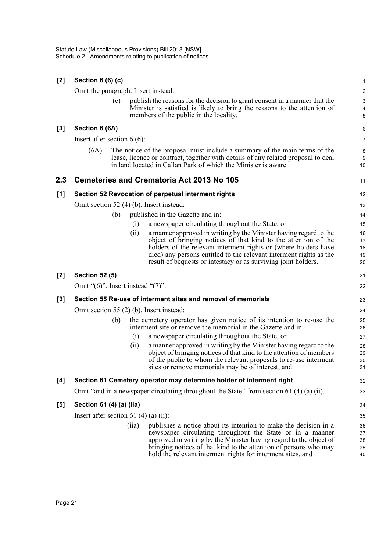| $[2]$ | Section $6(6)(c)$                            |       |                                                                                                                                                                                                                                                                                                                                                 | 1                                                         |  |
|-------|----------------------------------------------|-------|-------------------------------------------------------------------------------------------------------------------------------------------------------------------------------------------------------------------------------------------------------------------------------------------------------------------------------------------------|-----------------------------------------------------------|--|
|       | Omit the paragraph. Insert instead:          |       |                                                                                                                                                                                                                                                                                                                                                 | $\overline{2}$                                            |  |
|       | (c)                                          |       | publish the reasons for the decision to grant consent in a manner that the<br>Minister is satisfied is likely to bring the reasons to the attention of<br>members of the public in the locality.                                                                                                                                                | $\ensuremath{\mathsf{3}}$<br>$\overline{\mathbf{4}}$<br>5 |  |
| $[3]$ | Section 6 (6A)                               |       |                                                                                                                                                                                                                                                                                                                                                 | 6                                                         |  |
|       | Insert after section $6(6)$ :                |       |                                                                                                                                                                                                                                                                                                                                                 |                                                           |  |
|       | (6A)                                         |       | The notice of the proposal must include a summary of the main terms of the<br>lease, licence or contract, together with details of any related proposal to deal<br>in land located in Callan Park of which the Minister is aware.                                                                                                               | 8<br>9<br>10                                              |  |
| 2.3   |                                              |       | <b>Cemeteries and Crematoria Act 2013 No 105</b>                                                                                                                                                                                                                                                                                                | 11                                                        |  |
| $[1]$ |                                              |       | Section 52 Revocation of perpetual interment rights                                                                                                                                                                                                                                                                                             | 12                                                        |  |
|       | Omit section 52 (4) (b). Insert instead:     |       |                                                                                                                                                                                                                                                                                                                                                 | 13                                                        |  |
|       | (b)                                          |       | published in the Gazette and in:                                                                                                                                                                                                                                                                                                                | 14                                                        |  |
|       |                                              | (i)   | a newspaper circulating throughout the State, or                                                                                                                                                                                                                                                                                                | 15                                                        |  |
|       |                                              | (ii)  | a manner approved in writing by the Minister having regard to the<br>object of bringing notices of that kind to the attention of the<br>holders of the relevant interment rights or (where holders have<br>died) any persons entitled to the relevant interment rights as the<br>result of bequests or intestacy or as surviving joint holders. | 16<br>17<br>18<br>19<br>20                                |  |
|       |                                              |       |                                                                                                                                                                                                                                                                                                                                                 |                                                           |  |
| $[2]$ | <b>Section 52 (5)</b>                        |       |                                                                                                                                                                                                                                                                                                                                                 | 21                                                        |  |
|       | Omit " $(6)$ ". Insert instead " $(7)$ ".    |       |                                                                                                                                                                                                                                                                                                                                                 | 22                                                        |  |
| [3]   |                                              |       | Section 55 Re-use of interment sites and removal of memorials                                                                                                                                                                                                                                                                                   | 23                                                        |  |
|       | Omit section 55 (2) (b). Insert instead:     |       |                                                                                                                                                                                                                                                                                                                                                 | 24                                                        |  |
|       | (b)                                          |       | the cemetery operator has given notice of its intention to re-use the<br>interment site or remove the memorial in the Gazette and in:                                                                                                                                                                                                           | 25<br>26                                                  |  |
|       |                                              | (i)   | a newspaper circulating throughout the State, or                                                                                                                                                                                                                                                                                                | 27                                                        |  |
|       |                                              | (ii)  | a manner approved in writing by the Minister having regard to the<br>object of bringing notices of that kind to the attention of members<br>of the public to whom the relevant proposals to re-use interment<br>sites or remove memorials may be of interest, and                                                                               | 28<br>29<br>30<br>31                                      |  |
| [4]   |                                              |       | Section 61 Cemetery operator may determine holder of interment right                                                                                                                                                                                                                                                                            | 32                                                        |  |
|       |                                              |       | Omit "and in a newspaper circulating throughout the State" from section 61 (4) (a) (ii).                                                                                                                                                                                                                                                        | 33                                                        |  |
| [5]   | Section 61 (4) (a) (iia)                     |       |                                                                                                                                                                                                                                                                                                                                                 | 34                                                        |  |
|       | Insert after section 61 $(4)$ $(a)$ $(ii)$ : |       |                                                                                                                                                                                                                                                                                                                                                 | 35                                                        |  |
|       |                                              | (iia) | publishes a notice about its intention to make the decision in a<br>newspaper circulating throughout the State or in a manner<br>approved in writing by the Minister having regard to the object of<br>bringing notices of that kind to the attention of persons who may<br>hold the relevant interment rights for interment sites, and         | 36<br>37<br>38<br>39<br>40                                |  |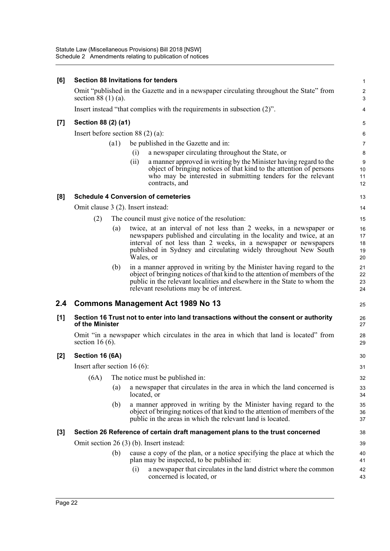| [6]                |                                                                            | <b>Section 88 Invitations for tenders</b>                                                                                                                                                                                                                                                            | $\mathbf{1}$               |  |  |
|--------------------|----------------------------------------------------------------------------|------------------------------------------------------------------------------------------------------------------------------------------------------------------------------------------------------------------------------------------------------------------------------------------------------|----------------------------|--|--|
|                    | section $88(1)(a)$ .                                                       | Omit "published in the Gazette and in a newspaper circulating throughout the State" from                                                                                                                                                                                                             | $\overline{c}$<br>3        |  |  |
|                    | Insert instead "that complies with the requirements in subsection $(2)$ ". |                                                                                                                                                                                                                                                                                                      |                            |  |  |
| $\left[ 7 \right]$ | Section 88 (2) (a1)                                                        |                                                                                                                                                                                                                                                                                                      | 5                          |  |  |
|                    |                                                                            | Insert before section $88(2)(a)$ :                                                                                                                                                                                                                                                                   | 6                          |  |  |
|                    | (a1)                                                                       | be published in the Gazette and in:                                                                                                                                                                                                                                                                  | $\overline{7}$             |  |  |
|                    |                                                                            | a newspaper circulating throughout the State, or<br>(i)                                                                                                                                                                                                                                              | 8                          |  |  |
|                    |                                                                            | a manner approved in writing by the Minister having regard to the<br>(ii)<br>object of bringing notices of that kind to the attention of persons<br>who may be interested in submitting tenders for the relevant<br>contracts, and                                                                   | 9<br>10<br>11<br>12        |  |  |
| [8]                |                                                                            | <b>Schedule 4 Conversion of cemeteries</b>                                                                                                                                                                                                                                                           | 13                         |  |  |
|                    |                                                                            | Omit clause 3 (2). Insert instead:                                                                                                                                                                                                                                                                   | 14                         |  |  |
|                    | (2)                                                                        | The council must give notice of the resolution:                                                                                                                                                                                                                                                      | 15                         |  |  |
|                    |                                                                            | twice, at an interval of not less than 2 weeks, in a newspaper or<br>(a)<br>newspapers published and circulating in the locality and twice, at an<br>interval of not less than 2 weeks, in a newspaper or newspapers<br>published in Sydney and circulating widely throughout New South<br>Wales, or | 16<br>17<br>18<br>19<br>20 |  |  |
|                    |                                                                            | (b)<br>in a manner approved in writing by the Minister having regard to the<br>object of bringing notices of that kind to the attention of members of the<br>public in the relevant localities and elsewhere in the State to whom the<br>relevant resolutions may be of interest.                    | 21<br>22<br>23<br>24       |  |  |
| 2.4                |                                                                            | <b>Commons Management Act 1989 No 13</b>                                                                                                                                                                                                                                                             | 25                         |  |  |
| [1]                | of the Minister                                                            | Section 16 Trust not to enter into land transactions without the consent or authority                                                                                                                                                                                                                | 26<br>27                   |  |  |
|                    | section 16 $(6)$ .                                                         | Omit "in a newspaper which circulates in the area in which that land is located" from                                                                                                                                                                                                                | 28<br>29                   |  |  |
| [2]                | Section 16 (6A)                                                            |                                                                                                                                                                                                                                                                                                      | 30                         |  |  |
|                    | Insert after section $16(6)$ :                                             |                                                                                                                                                                                                                                                                                                      | 31                         |  |  |
|                    | (6A)                                                                       | The notice must be published in:                                                                                                                                                                                                                                                                     | 32                         |  |  |
|                    |                                                                            | a newspaper that circulates in the area in which the land concerned is<br>(a)<br>located, or                                                                                                                                                                                                         | 33<br>34                   |  |  |
|                    |                                                                            | a manner approved in writing by the Minister having regard to the<br>(b)<br>object of bringing notices of that kind to the attention of members of the<br>public in the areas in which the relevant land is located.                                                                                 | 35<br>36<br>37             |  |  |
| $[3]$              |                                                                            | Section 26 Reference of certain draft management plans to the trust concerned                                                                                                                                                                                                                        | 38                         |  |  |
|                    | Omit section $26(3)$ (b). Insert instead:                                  |                                                                                                                                                                                                                                                                                                      |                            |  |  |
|                    |                                                                            | cause a copy of the plan, or a notice specifying the place at which the<br>(b)<br>plan may be inspected, to be published in:<br>a newspaper that circulates in the land district where the common<br>(i)                                                                                             | 40<br>41<br>42             |  |  |
|                    |                                                                            | concerned is located, or                                                                                                                                                                                                                                                                             | 43                         |  |  |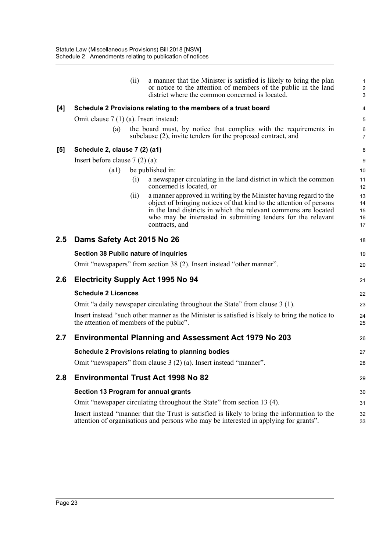|         |                                              | (ii) | a manner that the Minister is satisfied is likely to bring the plan<br>or notice to the attention of members of the public in the land<br>district where the common concerned is located. | 1<br>$\overline{\mathbf{c}}$<br>3 |  |
|---------|----------------------------------------------|------|-------------------------------------------------------------------------------------------------------------------------------------------------------------------------------------------|-----------------------------------|--|
| [4]     |                                              |      | Schedule 2 Provisions relating to the members of a trust board                                                                                                                            | 4                                 |  |
|         | Omit clause $7(1)(a)$ . Insert instead:      |      |                                                                                                                                                                                           | 5                                 |  |
|         | (a)                                          |      | the board must, by notice that complies with the requirements in<br>subclause (2), invite tenders for the proposed contract, and                                                          | 6<br>7                            |  |
| [5]     | Schedule 2, clause 7 (2) (a1)                |      |                                                                                                                                                                                           | 8                                 |  |
|         | Insert before clause $7(2)(a)$ :             |      |                                                                                                                                                                                           | 9                                 |  |
|         | (a1)                                         |      | be published in:                                                                                                                                                                          | 10                                |  |
|         |                                              | (i)  | a newspaper circulating in the land district in which the common<br>concerned is located, or                                                                                              | 11<br>12                          |  |
|         |                                              | (i)  | a manner approved in writing by the Minister having regard to the                                                                                                                         | 13                                |  |
|         |                                              |      | object of bringing notices of that kind to the attention of persons<br>in the land districts in which the relevant commons are located                                                    | 14<br>15                          |  |
|         |                                              |      | who may be interested in submitting tenders for the relevant                                                                                                                              | 16                                |  |
|         |                                              |      | contracts, and                                                                                                                                                                            | 17                                |  |
| $2.5\,$ | Dams Safety Act 2015 No 26                   |      |                                                                                                                                                                                           | 18                                |  |
|         | <b>Section 38 Public nature of inquiries</b> |      |                                                                                                                                                                                           | 19                                |  |
|         |                                              |      | Omit "newspapers" from section 38 (2). Insert instead "other manner".                                                                                                                     | 20                                |  |
| 2.6     | <b>Electricity Supply Act 1995 No 94</b>     |      |                                                                                                                                                                                           |                                   |  |
|         | <b>Schedule 2 Licences</b>                   |      |                                                                                                                                                                                           |                                   |  |
|         |                                              |      | Omit "a daily newspaper circulating throughout the State" from clause 3 (1).                                                                                                              | 23                                |  |
|         | the attention of members of the public".     |      | Insert instead "such other manner as the Minister is satisfied is likely to bring the notice to                                                                                           | 24<br>25                          |  |
| $2.7\,$ |                                              |      | <b>Environmental Planning and Assessment Act 1979 No 203</b>                                                                                                                              | 26                                |  |
|         |                                              |      | <b>Schedule 2 Provisions relating to planning bodies</b>                                                                                                                                  | 27                                |  |
|         |                                              |      | Omit "newspapers" from clause 3 (2) (a). Insert instead "manner".                                                                                                                         | 28                                |  |
| 2.8     |                                              |      | <b>Environmental Trust Act 1998 No 82</b>                                                                                                                                                 | 29                                |  |
|         | Section 13 Program for annual grants         |      |                                                                                                                                                                                           | 30                                |  |
|         |                                              |      | Omit "newspaper circulating throughout the State" from section 13 (4).                                                                                                                    | 31                                |  |
|         |                                              |      | Insert instead "manner that the Trust is satisfied is likely to bring the information to the<br>attention of organisations and persons who may be interested in applying for grants".     | 32<br>33                          |  |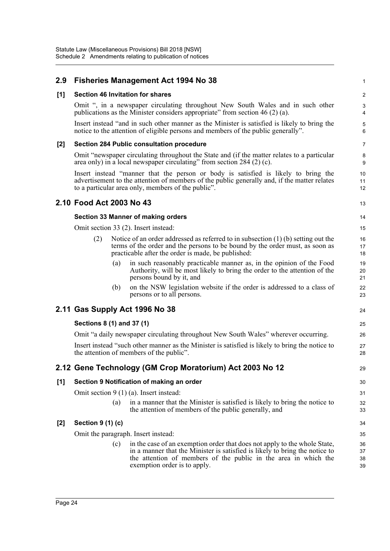| 2.9   | <b>Fisheries Management Act 1994 No 38</b>                                                                                                                                                                                                                         | 1                    |
|-------|--------------------------------------------------------------------------------------------------------------------------------------------------------------------------------------------------------------------------------------------------------------------|----------------------|
| [1]   | <b>Section 46 Invitation for shares</b>                                                                                                                                                                                                                            | $\boldsymbol{2}$     |
|       | Omit ", in a newspaper circulating throughout New South Wales and in such other<br>publications as the Minister considers appropriate" from section 46 (2) (a).                                                                                                    | 3<br>4               |
|       | Insert instead "and in such other manner as the Minister is satisfied is likely to bring the<br>notice to the attention of eligible persons and members of the public generally".                                                                                  | 5<br>6               |
| [2]   | <b>Section 284 Public consultation procedure</b>                                                                                                                                                                                                                   | $\overline{7}$       |
|       | Omit "newspaper circulating throughout the State and (if the matter relates to a particular<br>area only) in a local newspaper circulating" from section $284(2)$ (c).                                                                                             | 8<br>9               |
|       | Insert instead "manner that the person or body is satisfied is likely to bring the<br>advertisement to the attention of members of the public generally and, if the matter relates<br>to a particular area only, members of the public".                           | 10<br>11<br>12       |
|       | 2.10 Food Act 2003 No 43                                                                                                                                                                                                                                           | 13                   |
|       | Section 33 Manner of making orders                                                                                                                                                                                                                                 | 14                   |
|       | Omit section 33 (2). Insert instead:                                                                                                                                                                                                                               | 15                   |
|       | (2)<br>Notice of an order addressed as referred to in subsection $(1)$ (b) setting out the<br>terms of the order and the persons to be bound by the order must, as soon as<br>practicable after the order is made, be published:                                   | 16<br>17<br>18       |
|       | in such reasonably practicable manner as, in the opinion of the Food<br>(a)<br>Authority, will be most likely to bring the order to the attention of the<br>persons bound by it, and                                                                               | 19<br>20<br>21       |
|       | on the NSW legislation website if the order is addressed to a class of<br>(b)<br>persons or to all persons.                                                                                                                                                        | 22<br>23             |
|       | 2.11 Gas Supply Act 1996 No 38                                                                                                                                                                                                                                     | 24                   |
|       | Sections 8 (1) and 37 (1)                                                                                                                                                                                                                                          | 25                   |
|       | Omit "a daily newspaper circulating throughout New South Wales" wherever occurring.                                                                                                                                                                                | 26                   |
|       | Insert instead "such other manner as the Minister is satisfied is likely to bring the notice to<br>the attention of members of the public".                                                                                                                        | 27<br>28             |
|       | 2.12 Gene Technology (GM Crop Moratorium) Act 2003 No 12                                                                                                                                                                                                           | 29                   |
| [1]   | Section 9 Notification of making an order                                                                                                                                                                                                                          | 30                   |
|       | Omit section $9(1)(a)$ . Insert instead:                                                                                                                                                                                                                           | 31                   |
|       | in a manner that the Minister is satisfied is likely to bring the notice to<br>(a)<br>the attention of members of the public generally, and                                                                                                                        | 32<br>33             |
| $[2]$ | Section 9 (1) (c)                                                                                                                                                                                                                                                  | 34                   |
|       | Omit the paragraph. Insert instead:                                                                                                                                                                                                                                | 35                   |
|       | in the case of an exemption order that does not apply to the whole State,<br>(c)<br>in a manner that the Minister is satisfied is likely to bring the notice to<br>the attention of members of the public in the area in which the<br>exemption order is to apply. | 36<br>37<br>38<br>39 |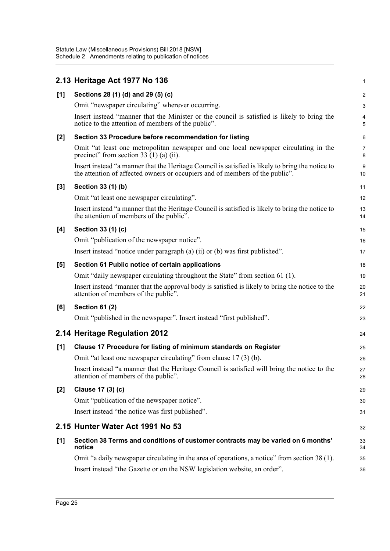|       | 2.13 Heritage Act 1977 No 136                                                                                                                                                    | 1                   |
|-------|----------------------------------------------------------------------------------------------------------------------------------------------------------------------------------|---------------------|
| [1]   | Sections 28 (1) (d) and 29 (5) (c)                                                                                                                                               | $\overline{2}$      |
|       | Omit "newspaper circulating" wherever occurring.                                                                                                                                 | 3                   |
|       | Insert instead "manner that the Minister or the council is satisfied is likely to bring the<br>notice to the attention of members of the public".                                | 4<br>5              |
| [2]   | Section 33 Procedure before recommendation for listing                                                                                                                           | 6                   |
|       | Omit "at least one metropolitan newspaper and one local newspaper circulating in the<br>precinct" from section 33 $(1)$ (a) (ii).                                                | $\overline{7}$<br>8 |
|       | Insert instead "a manner that the Heritage Council is satisfied is likely to bring the notice to<br>the attention of affected owners or occupiers and of members of the public". | 9<br>10             |
| $[3]$ | Section 33 (1) (b)                                                                                                                                                               | 11                  |
|       | Omit "at least one newspaper circulating".                                                                                                                                       | 12                  |
|       | Insert instead "a manner that the Heritage Council is satisfied is likely to bring the notice to<br>the attention of members of the public".                                     | 13<br>14            |
| [4]   | Section 33 (1) (c)                                                                                                                                                               | 15                  |
|       | Omit "publication of the newspaper notice".                                                                                                                                      | 16                  |
|       | Insert instead "notice under paragraph (a) (ii) or (b) was first published".                                                                                                     | 17                  |
| [5]   | Section 61 Public notice of certain applications                                                                                                                                 | 18                  |
|       | Omit "daily newspaper circulating throughout the State" from section 61 (1).                                                                                                     | 19                  |
|       | Insert instead "manner that the approval body is satisfied is likely to bring the notice to the<br>attention of members of the public".                                          | 20<br>21            |
| [6]   | <b>Section 61 (2)</b>                                                                                                                                                            | 22                  |
|       | Omit "published in the newspaper". Insert instead "first published".                                                                                                             | 23                  |
|       | 2.14 Heritage Regulation 2012                                                                                                                                                    | 24                  |
| [1]   | Clause 17 Procedure for listing of minimum standards on Register                                                                                                                 | 25                  |
|       | Omit "at least one newspaper circulating" from clause 17 (3) (b).                                                                                                                | 26                  |
|       | Insert instead "a manner that the Heritage Council is satisfied will bring the notice to the<br>attention of members of the public".                                             | 27<br>28            |
| $[2]$ | Clause 17 (3) (c)                                                                                                                                                                | 29                  |
|       | Omit "publication of the newspaper notice".                                                                                                                                      | 30                  |
|       | Insert instead "the notice was first published".                                                                                                                                 | 31                  |
|       | 2.15 Hunter Water Act 1991 No 53                                                                                                                                                 | 32                  |
| [1]   | Section 38 Terms and conditions of customer contracts may be varied on 6 months'<br>notice                                                                                       | 33<br>34            |
|       | Omit "a daily newspaper circulating in the area of operations, a notice" from section 38 (1).                                                                                    | 35                  |
|       | Insert instead "the Gazette or on the NSW legislation website, an order".                                                                                                        | 36                  |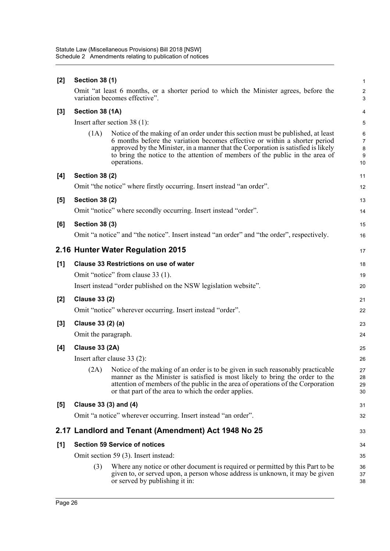| $[2]$ | <b>Section 38 (1)</b>                         |                                                                                                                                                                                                                                                                                                                                                   |                                     |  |  |  |
|-------|-----------------------------------------------|---------------------------------------------------------------------------------------------------------------------------------------------------------------------------------------------------------------------------------------------------------------------------------------------------------------------------------------------------|-------------------------------------|--|--|--|
|       |                                               | Omit "at least 6 months, or a shorter period to which the Minister agrees, before the<br>variation becomes effective".                                                                                                                                                                                                                            | $\sqrt{2}$<br>3                     |  |  |  |
| $[3]$ | Section 38 (1A)                               |                                                                                                                                                                                                                                                                                                                                                   |                                     |  |  |  |
|       | Insert after section $38(1)$ :                |                                                                                                                                                                                                                                                                                                                                                   |                                     |  |  |  |
|       | (1A)                                          | Notice of the making of an order under this section must be published, at least<br>6 months before the variation becomes effective or within a shorter period<br>approved by the Minister, in a manner that the Corporation is satisfied is likely<br>to bring the notice to the attention of members of the public in the area of<br>operations. | 6<br>$\overline{7}$<br>8<br>9<br>10 |  |  |  |
| [4]   | <b>Section 38 (2)</b>                         |                                                                                                                                                                                                                                                                                                                                                   | 11                                  |  |  |  |
|       |                                               | Omit "the notice" where firstly occurring. Insert instead "an order".                                                                                                                                                                                                                                                                             | 12                                  |  |  |  |
| [5]   | <b>Section 38 (2)</b>                         |                                                                                                                                                                                                                                                                                                                                                   | 13                                  |  |  |  |
|       |                                               | Omit "notice" where secondly occurring. Insert instead "order".                                                                                                                                                                                                                                                                                   | 14                                  |  |  |  |
| [6]   | <b>Section 38 (3)</b>                         |                                                                                                                                                                                                                                                                                                                                                   | 15                                  |  |  |  |
|       |                                               | Omit "a notice" and "the notice". Insert instead "an order" and "the order", respectively.                                                                                                                                                                                                                                                        | 16                                  |  |  |  |
|       |                                               | 2.16 Hunter Water Regulation 2015                                                                                                                                                                                                                                                                                                                 | 17                                  |  |  |  |
| [1]   | <b>Clause 33 Restrictions on use of water</b> |                                                                                                                                                                                                                                                                                                                                                   |                                     |  |  |  |
|       | Omit "notice" from clause 33 (1).             |                                                                                                                                                                                                                                                                                                                                                   |                                     |  |  |  |
|       |                                               | Insert instead "order published on the NSW legislation website".                                                                                                                                                                                                                                                                                  | 20                                  |  |  |  |
| $[2]$ | <b>Clause 33 (2)</b>                          |                                                                                                                                                                                                                                                                                                                                                   | 21                                  |  |  |  |
|       |                                               | Omit "notice" wherever occurring. Insert instead "order".                                                                                                                                                                                                                                                                                         | 22                                  |  |  |  |
| $[3]$ | Clause 33 (2) (a)                             |                                                                                                                                                                                                                                                                                                                                                   | 23                                  |  |  |  |
|       | Omit the paragraph.                           |                                                                                                                                                                                                                                                                                                                                                   | 24                                  |  |  |  |
| [4]   | <b>Clause 33 (2A)</b>                         |                                                                                                                                                                                                                                                                                                                                                   | 25                                  |  |  |  |
|       |                                               | Insert after clause $33(2)$ :                                                                                                                                                                                                                                                                                                                     | 26                                  |  |  |  |
|       |                                               | (2A) Notice of the making of an order is to be given in such reasonably practicable<br>manner as the Minister is satisfied is most likely to bring the order to the<br>attention of members of the public in the area of operations of the Corporation<br>or that part of the area to which the order applies.                                    | 27<br>28<br>29<br>30                |  |  |  |
| [5]   | Clause 33 (3) and (4)                         |                                                                                                                                                                                                                                                                                                                                                   | 31                                  |  |  |  |
|       |                                               | Omit "a notice" wherever occurring. Insert instead "an order".                                                                                                                                                                                                                                                                                    | 32                                  |  |  |  |
|       |                                               | 2.17 Landlord and Tenant (Amendment) Act 1948 No 25                                                                                                                                                                                                                                                                                               | 33                                  |  |  |  |
| [1]   | <b>Section 59 Service of notices</b>          |                                                                                                                                                                                                                                                                                                                                                   |                                     |  |  |  |
|       |                                               | Omit section 59 (3). Insert instead:                                                                                                                                                                                                                                                                                                              | 35                                  |  |  |  |
|       | (3)                                           | Where any notice or other document is required or permitted by this Part to be<br>given to, or served upon, a person whose address is unknown, it may be given<br>or served by publishing it in:                                                                                                                                                  | 36<br>37<br>38                      |  |  |  |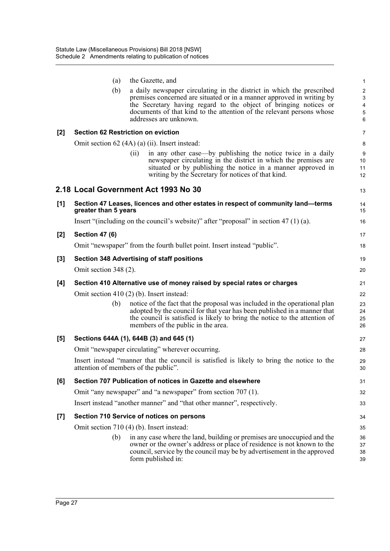|       |                       | the Gazette, and                                                                                                                               |                               |
|-------|-----------------------|------------------------------------------------------------------------------------------------------------------------------------------------|-------------------------------|
|       | (a)                   |                                                                                                                                                | $\mathbf{1}$                  |
|       | (b)                   | a daily newspaper circulating in the district in which the prescribed<br>premises concerned are situated or in a manner approved in writing by | $\overline{c}$<br>$\mathsf 3$ |
|       |                       | the Secretary having regard to the object of bringing notices or                                                                               | $\overline{\mathbf{4}}$       |
|       |                       | documents of that kind to the attention of the relevant persons whose                                                                          | $\sqrt{5}$                    |
|       |                       | addresses are unknown.                                                                                                                         | 6                             |
| $[2]$ |                       | <b>Section 62 Restriction on eviction</b>                                                                                                      | $\overline{7}$                |
|       |                       | Omit section 62 (4A) (a) (ii). Insert instead:                                                                                                 | 8                             |
|       |                       | in any other case—by publishing the notice twice in a daily<br>(ii)                                                                            | 9                             |
|       |                       | newspaper circulating in the district in which the premises are                                                                                | 10                            |
|       |                       | situated or by publishing the notice in a manner approved in<br>writing by the Secretary for notices of that kind.                             | 11<br>12                      |
|       |                       | 2.18 Local Government Act 1993 No 30                                                                                                           | 13                            |
| [1]   |                       | Section 47 Leases, licences and other estates in respect of community land—terms                                                               | 14                            |
|       | greater than 5 years  |                                                                                                                                                | 15                            |
|       |                       | Insert "(including on the council's website)" after "proposal" in section $47(1)(a)$ .                                                         | 16                            |
| $[2]$ | <b>Section 47 (6)</b> |                                                                                                                                                | 17                            |
|       |                       | Omit "newspaper" from the fourth bullet point. Insert instead "public".                                                                        | 18                            |
| $[3]$ |                       | <b>Section 348 Advertising of staff positions</b>                                                                                              | 19                            |
|       | Omit section 348 (2). |                                                                                                                                                | 20                            |
| [4]   |                       | Section 410 Alternative use of money raised by special rates or charges                                                                        | 21                            |
|       |                       | Omit section $410(2)$ (b). Insert instead:                                                                                                     | 22                            |
|       | (b)                   | notice of the fact that the proposal was included in the operational plan                                                                      | 23                            |
|       |                       | adopted by the council for that year has been published in a manner that                                                                       | 24                            |
|       |                       | the council is satisfied is likely to bring the notice to the attention of<br>members of the public in the area.                               | 25<br>26                      |
| [5]   |                       | Sections 644A (1), 644B (3) and 645 (1)                                                                                                        | 27                            |
|       |                       | Omit "newspaper circulating" wherever occurring.                                                                                               | 28                            |
|       |                       | Insert instead "manner that the council is satisfied is likely to bring the notice to the                                                      | 29                            |
|       |                       | attention of members of the public".                                                                                                           | 30                            |
| [6]   |                       | Section 707 Publication of notices in Gazette and elsewhere                                                                                    | 31                            |
|       |                       | Omit "any newspaper" and "a newspaper" from section 707 (1).                                                                                   | 32                            |
|       |                       | Insert instead "another manner" and "that other manner", respectively.                                                                         | 33                            |
| $[7]$ |                       | Section 710 Service of notices on persons                                                                                                      | 34                            |
|       |                       | Omit section 710 (4) (b). Insert instead:                                                                                                      | 35                            |
|       | (b)                   | in any case where the land, building or premises are unoccupied and the                                                                        | 36                            |
|       |                       | owner or the owner's address or place of residence is not known to the                                                                         | 37                            |
|       |                       | council, service by the council may be by advertisement in the approved                                                                        | 38                            |
|       |                       | form published in:                                                                                                                             | 39                            |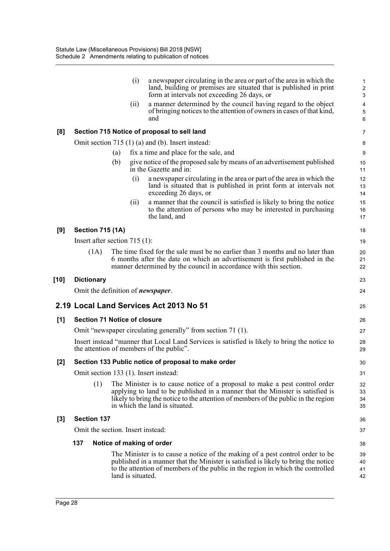|       |                    |                                     | (i)               | a newspaper circulating in the area or part of the area in which the<br>land, building or premises are situated that is published in print<br>form at intervals not exceeding 26 days, or                                                                                            | $\mathbf{1}$<br>2<br>3       |
|-------|--------------------|-------------------------------------|-------------------|--------------------------------------------------------------------------------------------------------------------------------------------------------------------------------------------------------------------------------------------------------------------------------------|------------------------------|
|       |                    |                                     | (ii)              | a manner determined by the council having regard to the object<br>of bringing notices to the attention of owners in cases of that kind,<br>and                                                                                                                                       | $\pmb{4}$<br>$\sqrt{5}$<br>6 |
| [8]   |                    |                                     |                   | Section 715 Notice of proposal to sell land                                                                                                                                                                                                                                          | $\overline{7}$               |
|       |                    |                                     |                   | Omit section $715(1)(a)$ and (b). Insert instead:                                                                                                                                                                                                                                    | 8                            |
|       |                    | (a)                                 |                   | fix a time and place for the sale, and                                                                                                                                                                                                                                               | 9                            |
|       |                    | (b)                                 |                   | give notice of the proposed sale by means of an advertisement published<br>in the Gazette and in:                                                                                                                                                                                    | 10<br>11                     |
|       |                    |                                     | (i)               | a newspaper circulating in the area or part of the area in which the<br>land is situated that is published in print form at intervals not<br>exceeding 26 days, or                                                                                                                   | 12<br>13<br>14               |
|       |                    |                                     | (ii)              | a manner that the council is satisfied is likely to bring the notice<br>to the attention of persons who may be interested in purchasing<br>the land, and                                                                                                                             | 15<br>16<br>17               |
| [9]   |                    | <b>Section 715 (1A)</b>             |                   |                                                                                                                                                                                                                                                                                      | 18                           |
|       |                    | Insert after section $715(1)$ :     |                   |                                                                                                                                                                                                                                                                                      | 19                           |
|       | (1A)               |                                     |                   | The time fixed for the sale must be no earlier than 3 months and no later than<br>6 months after the date on which an advertisement is first published in the<br>manner determined by the council in accordance with this section.                                                   | 20<br>21<br>22               |
| [10]  | <b>Dictionary</b>  |                                     |                   |                                                                                                                                                                                                                                                                                      | 23                           |
|       |                    |                                     |                   | Omit the definition of <i>newspaper</i> .                                                                                                                                                                                                                                            | 24                           |
|       |                    |                                     |                   | 2.19 Local Land Services Act 2013 No 51                                                                                                                                                                                                                                              | 25                           |
| [1]   |                    | <b>Section 71 Notice of closure</b> |                   |                                                                                                                                                                                                                                                                                      | 26                           |
|       |                    |                                     |                   | Omit "newspaper circulating generally" from section 71 (1).                                                                                                                                                                                                                          | 27                           |
|       |                    |                                     |                   | Insert instead "manner that Local Land Services is satisfied is likely to bring the notice to<br>the attention of members of the public".                                                                                                                                            | 28<br>29                     |
| $[2]$ |                    |                                     |                   | Section 133 Public notice of proposal to make order                                                                                                                                                                                                                                  | 30                           |
|       |                    |                                     |                   | Omit section 133 (1). Insert instead:                                                                                                                                                                                                                                                | 31                           |
|       |                    | (1)                                 |                   | The Minister is to cause notice of a proposal to make a pest control order<br>applying to land to be published in a manner that the Minister is satisfied is<br>likely to bring the notice to the attention of members of the public in the region<br>in which the land is situated. | 32<br>33<br>34<br>35         |
| $[3]$ | <b>Section 137</b> |                                     |                   |                                                                                                                                                                                                                                                                                      | 36                           |
|       |                    | Omit the section. Insert instead:   |                   |                                                                                                                                                                                                                                                                                      | 37                           |
|       | 137                |                                     |                   | Notice of making of order                                                                                                                                                                                                                                                            | 38                           |
|       |                    |                                     | land is situated. | The Minister is to cause a notice of the making of a pest control order to be<br>published in a manner that the Minister is satisfied is likely to bring the notice<br>to the attention of members of the public in the region in which the controlled                               | 39<br>40<br>41<br>42         |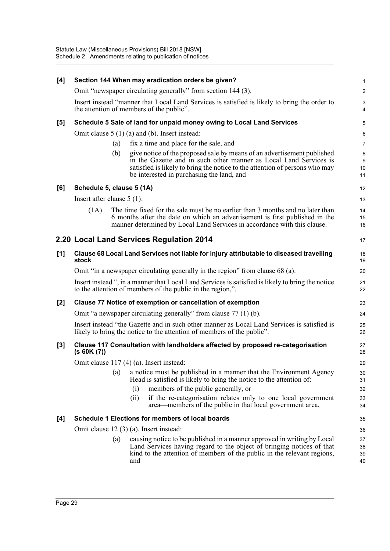| [4]   |                              |     | Section 144 When may eradication orders be given?                                                                                                                                                                                                                        | $\mathbf{1}$         |
|-------|------------------------------|-----|--------------------------------------------------------------------------------------------------------------------------------------------------------------------------------------------------------------------------------------------------------------------------|----------------------|
|       |                              |     | Omit "newspaper circulating generally" from section 144 (3).                                                                                                                                                                                                             | $\overline{2}$       |
|       |                              |     | Insert instead "manner that Local Land Services is satisfied is likely to bring the order to<br>the attention of members of the public".                                                                                                                                 | 3<br>$\overline{4}$  |
| [5]   |                              |     | Schedule 5 Sale of land for unpaid money owing to Local Land Services                                                                                                                                                                                                    | 5                    |
|       |                              |     | Omit clause $5(1)(a)$ and (b). Insert instead:                                                                                                                                                                                                                           | 6                    |
|       |                              | (a) | fix a time and place for the sale, and                                                                                                                                                                                                                                   | $\overline{7}$       |
|       |                              | (b) | give notice of the proposed sale by means of an advertisement published<br>in the Gazette and in such other manner as Local Land Services is<br>satisfied is likely to bring the notice to the attention of persons who may<br>be interested in purchasing the land, and | 8<br>9<br>10<br>11   |
| [6]   | Schedule 5, clause 5 (1A)    |     |                                                                                                                                                                                                                                                                          | 12                   |
|       | Insert after clause $5(1)$ : |     |                                                                                                                                                                                                                                                                          | 13                   |
|       | (1A)                         |     | The time fixed for the sale must be no earlier than 3 months and no later than<br>6 months after the date on which an advertisement is first published in the<br>manner determined by Local Land Services in accordance with this clause.                                | 14<br>15<br>16       |
|       |                              |     | 2.20 Local Land Services Regulation 2014                                                                                                                                                                                                                                 | 17                   |
| [1]   | stock                        |     | Clause 68 Local Land Services not liable for injury attributable to diseased travelling                                                                                                                                                                                  | 18<br>19             |
|       |                              |     | Omit "in a newspaper circulating generally in the region" from clause 68 (a).                                                                                                                                                                                            | 20                   |
|       |                              |     | Insert instead ", in a manner that Local Land Services is satisfied is likely to bring the notice<br>to the attention of members of the public in the region,".                                                                                                          | 21<br>22             |
| $[2]$ |                              |     | Clause 77 Notice of exemption or cancellation of exemption                                                                                                                                                                                                               | 23                   |
|       |                              |     | Omit "a newspaper circulating generally" from clause 77 (1) (b).                                                                                                                                                                                                         | 24                   |
|       |                              |     | Insert instead "the Gazette and in such other manner as Local Land Services is satisfied is<br>likely to bring the notice to the attention of members of the public".                                                                                                    | 25<br>26             |
| $[3]$ | (s 60K (7))                  |     | Clause 117 Consultation with landholders affected by proposed re-categorisation                                                                                                                                                                                          | 27<br>28             |
|       |                              |     | Omit clause 117 (4) (a). Insert instead:                                                                                                                                                                                                                                 | 29                   |
|       |                              | (a) | a notice must be published in a manner that the Environment Agency<br>Head is satisfied is likely to bring the notice to the attention of:                                                                                                                               | 30                   |
|       |                              |     | (i)<br>members of the public generally, or                                                                                                                                                                                                                               | 31<br>32             |
|       |                              |     | if the re-categorisation relates only to one local government<br>(ii)<br>area—members of the public in that local government area,                                                                                                                                       | 33<br>34             |
| [4]   |                              |     | Schedule 1 Elections for members of local boards                                                                                                                                                                                                                         | 35                   |
|       |                              |     | Omit clause 12 (3) (a). Insert instead:                                                                                                                                                                                                                                  | 36                   |
|       |                              | (a) | causing notice to be published in a manner approved in writing by Local<br>Land Services having regard to the object of bringing notices of that<br>kind to the attention of members of the public in the relevant regions,<br>and                                       | 37<br>38<br>39<br>40 |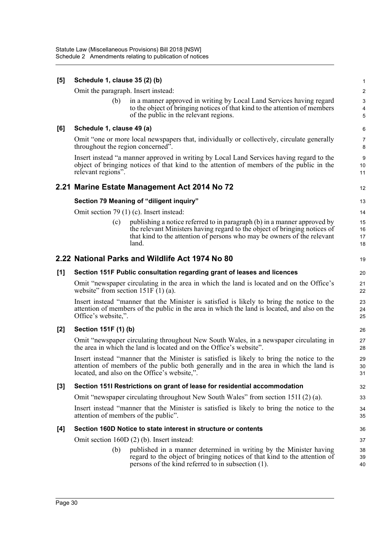| [5]   | Schedule 1, clause 35 (2) (b)        |                                                                                                                                                                                                                                      |                                              |  |
|-------|--------------------------------------|--------------------------------------------------------------------------------------------------------------------------------------------------------------------------------------------------------------------------------------|----------------------------------------------|--|
|       | Omit the paragraph. Insert instead:  |                                                                                                                                                                                                                                      | $\overline{2}$                               |  |
|       | (b)                                  | in a manner approved in writing by Local Land Services having regard<br>to the object of bringing notices of that kind to the attention of members<br>of the public in the relevant regions.                                         | $\mathbf{3}$<br>$\overline{\mathbf{4}}$<br>5 |  |
| [6]   | Schedule 1, clause 49 (a)            |                                                                                                                                                                                                                                      | 6                                            |  |
|       | throughout the region concerned".    | Omit "one or more local newspapers that, individually or collectively, circulate generally                                                                                                                                           | $\overline{7}$<br>8                          |  |
|       | relevant regions".                   | Insert instead "a manner approved in writing by Local Land Services having regard to the<br>object of bringing notices of that kind to the attention of members of the public in the                                                 | 9<br>10<br>11                                |  |
|       |                                      | 2.21 Marine Estate Management Act 2014 No 72                                                                                                                                                                                         | 12                                           |  |
|       |                                      | Section 79 Meaning of "diligent inquiry"                                                                                                                                                                                             | 13                                           |  |
|       |                                      | Omit section 79 (1) (c). Insert instead:                                                                                                                                                                                             | 14                                           |  |
|       | (c)                                  | publishing a notice referred to in paragraph (b) in a manner approved by                                                                                                                                                             | 15                                           |  |
|       |                                      | the relevant Ministers having regard to the object of bringing notices of<br>that kind to the attention of persons who may be owners of the relevant                                                                                 | 16<br>17                                     |  |
|       |                                      | land.                                                                                                                                                                                                                                | 18                                           |  |
|       |                                      | 2.22 National Parks and Wildlife Act 1974 No 80                                                                                                                                                                                      | 19                                           |  |
| [1]   |                                      | Section 151F Public consultation regarding grant of leases and licences                                                                                                                                                              | 20                                           |  |
|       | website" from section $151F(1)(a)$ . | Omit "newspaper circulating in the area in which the land is located and on the Office's                                                                                                                                             | 21<br>22                                     |  |
|       | Office's website,".                  | Insert instead "manner that the Minister is satisfied is likely to bring the notice to the<br>attention of members of the public in the area in which the land is located, and also on the                                           | 23<br>24<br>25                               |  |
| $[2]$ | Section 151F (1) (b)                 |                                                                                                                                                                                                                                      | 26                                           |  |
|       |                                      | Omit "newspaper circulating throughout New South Wales, in a newspaper circulating in<br>the area in which the land is located and on the Office's website".                                                                         | 27<br>28                                     |  |
|       |                                      | Insert instead "manner that the Minister is satisfied is likely to bring the notice to the<br>attention of members of the public both generally and in the area in which the land is<br>located, and also on the Office's website,". | 29<br>30<br>31                               |  |
| [3]   |                                      | Section 151I Restrictions on grant of lease for residential accommodation                                                                                                                                                            | 32                                           |  |
|       |                                      | Omit "newspaper circulating throughout New South Wales" from section 151I (2) (a).                                                                                                                                                   | 33                                           |  |
|       |                                      | Insert instead "manner that the Minister is satisfied is likely to bring the notice to the<br>attention of members of the public".                                                                                                   | 34<br>35                                     |  |
| [4]   |                                      | Section 160D Notice to state interest in structure or contents                                                                                                                                                                       | 36                                           |  |
|       |                                      | Omit section 160D (2) (b). Insert instead:                                                                                                                                                                                           | 37                                           |  |
|       | (b)                                  | published in a manner determined in writing by the Minister having<br>regard to the object of bringing notices of that kind to the attention of<br>persons of the kind referred to in subsection (1).                                | 38<br>39<br>40                               |  |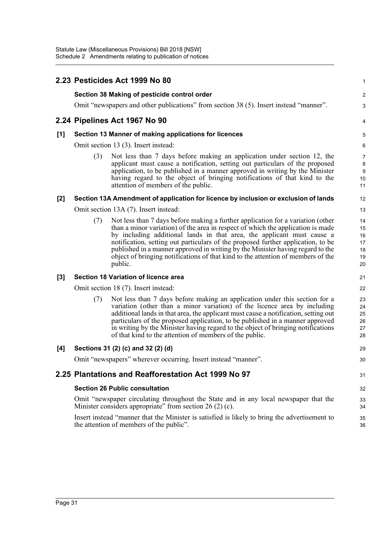|       |     | 2.23 Pesticides Act 1999 No 80                                                                                                                                                                                                                                                                                                                                                                                                                                                                                    | 1                                      |
|-------|-----|-------------------------------------------------------------------------------------------------------------------------------------------------------------------------------------------------------------------------------------------------------------------------------------------------------------------------------------------------------------------------------------------------------------------------------------------------------------------------------------------------------------------|----------------------------------------|
|       |     | Section 38 Making of pesticide control order                                                                                                                                                                                                                                                                                                                                                                                                                                                                      | $\overline{2}$                         |
|       |     | Omit "newspapers and other publications" from section 38 (5). Insert instead "manner".                                                                                                                                                                                                                                                                                                                                                                                                                            | 3                                      |
|       |     | 2.24 Pipelines Act 1967 No 90                                                                                                                                                                                                                                                                                                                                                                                                                                                                                     | 4                                      |
| [1]   |     | Section 13 Manner of making applications for licences                                                                                                                                                                                                                                                                                                                                                                                                                                                             | 5                                      |
|       |     | Omit section 13 (3). Insert instead:                                                                                                                                                                                                                                                                                                                                                                                                                                                                              | 6                                      |
|       | (3) | Not less than 7 days before making an application under section 12, the<br>applicant must cause a notification, setting out particulars of the proposed<br>application, to be published in a manner approved in writing by the Minister<br>having regard to the object of bringing notifications of that kind to the<br>attention of members of the public.                                                                                                                                                       | 7<br>8<br>$\boldsymbol{9}$<br>10<br>11 |
| $[2]$ |     | Section 13A Amendment of application for licence by inclusion or exclusion of lands                                                                                                                                                                                                                                                                                                                                                                                                                               | 12                                     |
|       |     | Omit section 13A (7). Insert instead:                                                                                                                                                                                                                                                                                                                                                                                                                                                                             | 13                                     |
|       | (7) | Not less than 7 days before making a further application for a variation (other<br>than a minor variation) of the area in respect of which the application is made<br>by including additional lands in that area, the applicant must cause a<br>notification, setting out particulars of the proposed further application, to be<br>published in a manner approved in writing by the Minister having regard to the<br>object of bringing notifications of that kind to the attention of members of the<br>public. | 14<br>15<br>16<br>17<br>18<br>19<br>20 |
| $[3]$ |     | <b>Section 18 Variation of licence area</b>                                                                                                                                                                                                                                                                                                                                                                                                                                                                       | 21                                     |
|       |     | Omit section 18 (7). Insert instead:                                                                                                                                                                                                                                                                                                                                                                                                                                                                              | 22                                     |
|       | (7) | Not less than 7 days before making an application under this section for a<br>variation (other than a minor variation) of the licence area by including<br>additional lands in that area, the applicant must cause a notification, setting out<br>particulars of the proposed application, to be published in a manner approved<br>in writing by the Minister having regard to the object of bringing notifications<br>of that kind to the attention of members of the public.                                    | 23<br>24<br>25<br>26<br>27<br>28       |
| [4]   |     | Sections 31 (2) (c) and 32 (2) (d)                                                                                                                                                                                                                                                                                                                                                                                                                                                                                | 29                                     |
|       |     | Omit "newspapers" wherever occurring. Insert instead "manner".                                                                                                                                                                                                                                                                                                                                                                                                                                                    | 30                                     |
|       |     | 2.25 Plantations and Reafforestation Act 1999 No 97                                                                                                                                                                                                                                                                                                                                                                                                                                                               | 31                                     |
|       |     | <b>Section 26 Public consultation</b>                                                                                                                                                                                                                                                                                                                                                                                                                                                                             | 32                                     |
|       |     | Omit "newspaper circulating throughout the State and in any local newspaper that the<br>Minister considers appropriate" from section $26(2)(c)$ .                                                                                                                                                                                                                                                                                                                                                                 | 33<br>34                               |
|       |     | Insert instead "manner that the Minister is satisfied is likely to bring the advertisement to<br>the attention of members of the public".                                                                                                                                                                                                                                                                                                                                                                         | 35<br>36                               |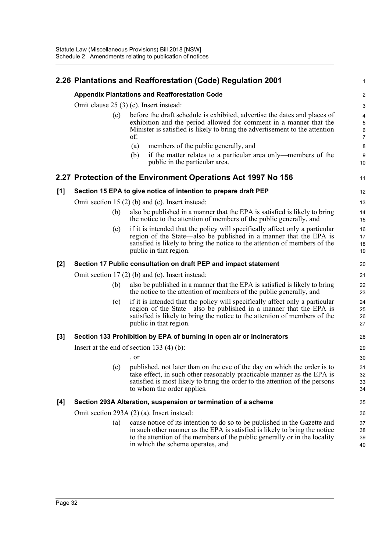|       |                                                      | 2.26 Plantations and Reafforestation (Code) Regulation 2001                                                                                                                                                                                                         | $\mathbf{1}$         |  |  |
|-------|------------------------------------------------------|---------------------------------------------------------------------------------------------------------------------------------------------------------------------------------------------------------------------------------------------------------------------|----------------------|--|--|
|       | <b>Appendix Plantations and Reafforestation Code</b> |                                                                                                                                                                                                                                                                     |                      |  |  |
|       | Omit clause $25(3)(c)$ . Insert instead:             |                                                                                                                                                                                                                                                                     |                      |  |  |
|       | (c)                                                  | before the draft schedule is exhibited, advertise the dates and places of<br>exhibition and the period allowed for comment in a manner that the<br>Minister is satisfied is likely to bring the advertisement to the attention<br>of:                               |                      |  |  |
|       |                                                      | members of the public generally, and<br>(a)                                                                                                                                                                                                                         | 8                    |  |  |
|       |                                                      | if the matter relates to a particular area only—members of the<br>(b)<br>public in the particular area.                                                                                                                                                             | 9<br>10              |  |  |
|       |                                                      | 2.27 Protection of the Environment Operations Act 1997 No 156                                                                                                                                                                                                       | 11                   |  |  |
| [1]   |                                                      | Section 15 EPA to give notice of intention to prepare draft PEP                                                                                                                                                                                                     | 12                   |  |  |
|       |                                                      | Omit section 15 $(2)$ (b) and (c). Insert instead:                                                                                                                                                                                                                  | 13                   |  |  |
|       | (b)                                                  | also be published in a manner that the EPA is satisfied is likely to bring<br>the notice to the attention of members of the public generally, and                                                                                                                   | 14<br>15             |  |  |
|       | (c)                                                  | if it is intended that the policy will specifically affect only a particular<br>region of the State—also be published in a manner that the EPA is<br>satisfied is likely to bring the notice to the attention of members of the<br>public in that region.           | 16<br>17<br>18<br>19 |  |  |
| $[2]$ |                                                      | Section 17 Public consultation on draft PEP and impact statement                                                                                                                                                                                                    | 20                   |  |  |
|       |                                                      | Omit section $17(2)$ (b) and (c). Insert instead:                                                                                                                                                                                                                   | 21                   |  |  |
|       | (b)                                                  | also be published in a manner that the EPA is satisfied is likely to bring<br>the notice to the attention of members of the public generally, and                                                                                                                   | 22<br>23             |  |  |
|       | (c)                                                  | if it is intended that the policy will specifically affect only a particular<br>region of the State—also be published in a manner that the EPA is<br>satisfied is likely to bring the notice to the attention of members of the<br>public in that region.           | 24<br>25<br>26<br>27 |  |  |
| [3]   |                                                      | Section 133 Prohibition by EPA of burning in open air or incinerators                                                                                                                                                                                               | 28                   |  |  |
|       |                                                      | Insert at the end of section 133 $(4)$ (b):                                                                                                                                                                                                                         | 29                   |  |  |
|       |                                                      | , or                                                                                                                                                                                                                                                                | 30                   |  |  |
|       |                                                      | (c) published, not later than on the eve of the day on which the order is to<br>take effect, in such other reasonably practicable manner as the EPA is<br>satisfied is most likely to bring the order to the attention of the persons<br>to whom the order applies. | 31<br>32<br>33<br>34 |  |  |
| [4]   |                                                      | Section 293A Alteration, suspension or termination of a scheme                                                                                                                                                                                                      | 35                   |  |  |
|       |                                                      | Omit section 293A (2) (a). Insert instead:                                                                                                                                                                                                                          | 36                   |  |  |
|       | (a)                                                  | cause notice of its intention to do so to be published in the Gazette and                                                                                                                                                                                           | 37                   |  |  |
|       |                                                      | in such other manner as the EPA is satisfied is likely to bring the notice<br>to the attention of the members of the public generally or in the locality<br>in which the scheme operates, and                                                                       | 38<br>39<br>40       |  |  |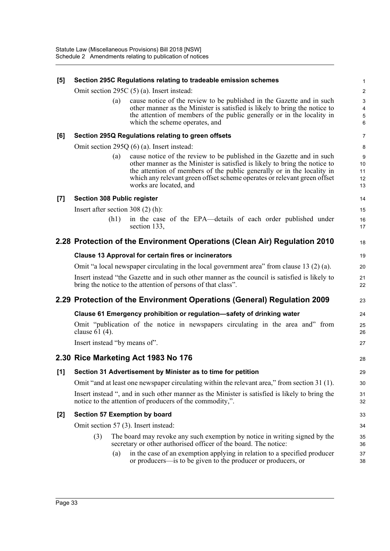| [5]   | Section 295C Regulations relating to tradeable emission schemes                                                                                               | 1                            |
|-------|---------------------------------------------------------------------------------------------------------------------------------------------------------------|------------------------------|
|       | Omit section 295C (5) (a). Insert instead:                                                                                                                    | $\boldsymbol{2}$             |
|       | cause notice of the review to be published in the Gazette and in such<br>(a)                                                                                  | $\mathbf{3}$                 |
|       | other manner as the Minister is satisfied is likely to bring the notice to<br>the attention of members of the public generally or in the locality in          | $\overline{\mathbf{4}}$<br>5 |
|       | which the scheme operates, and                                                                                                                                | 6                            |
| [6]   | Section 295Q Regulations relating to green offsets                                                                                                            | $\overline{7}$               |
|       | Omit section 295Q $(6)$ (a). Insert instead:                                                                                                                  | 8                            |
|       | cause notice of the review to be published in the Gazette and in such<br>(a)                                                                                  | 9                            |
|       | other manner as the Minister is satisfied is likely to bring the notice to<br>the attention of members of the public generally or in the locality in          | 10<br>11                     |
|       | which any relevant green offset scheme operates or relevant green offset                                                                                      | 12                           |
|       | works are located, and                                                                                                                                        | 13                           |
| $[7]$ | <b>Section 308 Public register</b>                                                                                                                            | 14                           |
|       | Insert after section $308(2)$ (h):                                                                                                                            | 15                           |
|       | in the case of the EPA—details of each order published under<br>(h1)<br>section 133,                                                                          | 16<br>17                     |
|       | 2.28 Protection of the Environment Operations (Clean Air) Regulation 2010                                                                                     | 18                           |
|       | <b>Clause 13 Approval for certain fires or incinerators</b>                                                                                                   | 19                           |
|       | Omit "a local newspaper circulating in the local government area" from clause 13 (2) (a).                                                                     | 20                           |
|       | Insert instead "the Gazette and in such other manner as the council is satisfied is likely to<br>bring the notice to the attention of persons of that class". | 21<br>22                     |
|       | 2.29 Protection of the Environment Operations (General) Regulation 2009                                                                                       | 23                           |
|       | Clause 61 Emergency prohibition or regulation-safety of drinking water                                                                                        | 24                           |
|       | Omit "publication of the notice in newspapers circulating in the area and" from<br>clause 61 (4).                                                             | 25<br>26                     |
|       | Insert instead "by means of".                                                                                                                                 | 27                           |
|       | 2.30 Rice Marketing Act 1983 No 176                                                                                                                           | 28                           |
| $[1]$ | Section 31 Advertisement by Minister as to time for petition                                                                                                  | 29                           |
|       | Omit "and at least one newspaper circulating within the relevant area," from section 31 (1).                                                                  | 30                           |
|       | Insert instead ", and in such other manner as the Minister is satisfied is likely to bring the<br>notice to the attention of producers of the commodity,".    | 31<br>32                     |
| $[2]$ | Section 57 Exemption by board                                                                                                                                 | 33                           |
|       | Omit section 57 (3). Insert instead:                                                                                                                          | 34                           |
|       | (3)<br>The board may revoke any such exemption by notice in writing signed by the<br>secretary or other authorised officer of the board. The notice:          | 35<br>36                     |
|       | in the case of an exemption applying in relation to a specified producer<br>(a)                                                                               | 37                           |
|       | or producers—is to be given to the producer or producers, or                                                                                                  | 38                           |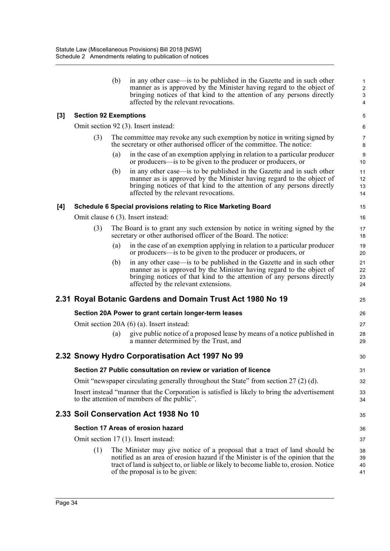|       |                              | (b) | in any other case—is to be published in the Gazette and in such other<br>manner as is approved by the Minister having regard to the object of<br>bringing notices of that kind to the attention of any persons directly<br>affected by the relevant revocations.                          | $\mathbf{1}$<br>$\overline{2}$<br>3<br>4 |
|-------|------------------------------|-----|-------------------------------------------------------------------------------------------------------------------------------------------------------------------------------------------------------------------------------------------------------------------------------------------|------------------------------------------|
| $[3]$ | <b>Section 92 Exemptions</b> |     |                                                                                                                                                                                                                                                                                           | 5                                        |
|       |                              |     | Omit section 92 (3). Insert instead:                                                                                                                                                                                                                                                      | 6                                        |
|       | (3)                          |     | The committee may revoke any such exemption by notice in writing signed by<br>the secretary or other authorised officer of the committee. The notice:                                                                                                                                     | $\overline{7}$<br>8                      |
|       |                              | (a) | in the case of an exemption applying in relation to a particular producer<br>or producers—is to be given to the producer or producers, or                                                                                                                                                 | 9<br>10 <sup>1</sup>                     |
|       |                              | (b) | in any other case—is to be published in the Gazette and in such other<br>manner as is approved by the Minister having regard to the object of<br>bringing notices of that kind to the attention of any persons directly<br>affected by the relevant revocations.                          | 11<br>12<br>13<br>14                     |
| [4]   |                              |     | Schedule 6 Special provisions relating to Rice Marketing Board                                                                                                                                                                                                                            | 15                                       |
|       |                              |     | Omit clause 6 (3). Insert instead:                                                                                                                                                                                                                                                        | 16                                       |
|       | (3)                          |     | The Board is to grant any such extension by notice in writing signed by the<br>secretary or other authorised officer of the Board. The notice:                                                                                                                                            | 17<br>18                                 |
|       |                              | (a) | in the case of an exemption applying in relation to a particular producer<br>or producers—is to be given to the producer or producers, or                                                                                                                                                 | 19<br>20                                 |
|       |                              | (b) | in any other case—is to be published in the Gazette and in such other<br>manner as is approved by the Minister having regard to the object of<br>bringing notices of that kind to the attention of any persons directly<br>affected by the relevant extensions.                           | 21<br>22<br>23<br>24                     |
|       |                              |     | 2.31 Royal Botanic Gardens and Domain Trust Act 1980 No 19                                                                                                                                                                                                                                | 25                                       |
|       |                              |     | Section 20A Power to grant certain longer-term leases                                                                                                                                                                                                                                     | 26                                       |
|       |                              |     | Omit section 20A (6) (a). Insert instead:                                                                                                                                                                                                                                                 | 27                                       |
|       |                              | (a) | give public notice of a proposed lease by means of a notice published in<br>a manner determined by the Trust, and                                                                                                                                                                         | 28<br>29                                 |
|       |                              |     | 2.32 Snowy Hydro Corporatisation Act 1997 No 99                                                                                                                                                                                                                                           | 30                                       |
|       |                              |     | Section 27 Public consultation on review or variation of licence                                                                                                                                                                                                                          | 31                                       |
|       |                              |     | Omit "newspaper circulating generally throughout the State" from section $27(2)(d)$ .                                                                                                                                                                                                     | 32                                       |
|       |                              |     | Insert instead "manner that the Corporation is satisfied is likely to bring the advertisement<br>to the attention of members of the public".                                                                                                                                              | 33<br>34                                 |
|       |                              |     | 2.33 Soil Conservation Act 1938 No 10                                                                                                                                                                                                                                                     | 35                                       |
|       |                              |     | Section 17 Areas of erosion hazard                                                                                                                                                                                                                                                        | 36                                       |
|       |                              |     | Omit section 17 (1). Insert instead:                                                                                                                                                                                                                                                      | 37                                       |
|       | (1)                          |     | The Minister may give notice of a proposal that a tract of land should be<br>notified as an area of erosion hazard if the Minister is of the opinion that the<br>tract of land is subject to, or liable or likely to become liable to, erosion. Notice<br>of the proposal is to be given: | 38<br>39<br>40<br>41                     |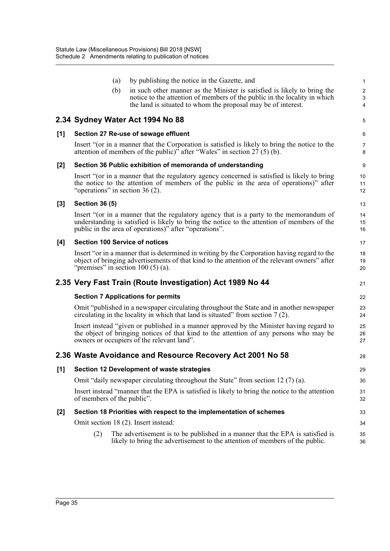|       |                                   | (a) | by publishing the notice in the Gazette, and                                                                                                                                                                                                     | $\mathbf{1}$        |
|-------|-----------------------------------|-----|--------------------------------------------------------------------------------------------------------------------------------------------------------------------------------------------------------------------------------------------------|---------------------|
|       |                                   | (b) | in such other manner as the Minister is satisfied is likely to bring the                                                                                                                                                                         | $\sqrt{2}$          |
|       |                                   |     | notice to the attention of members of the public in the locality in which                                                                                                                                                                        | $\sqrt{3}$          |
|       |                                   |     | the land is situated to whom the proposal may be of interest.                                                                                                                                                                                    | 4                   |
|       |                                   |     | 2.34 Sydney Water Act 1994 No 88                                                                                                                                                                                                                 | 5                   |
| [1]   |                                   |     | Section 27 Re-use of sewage effluent                                                                                                                                                                                                             | 6                   |
|       |                                   |     | Insert "(or in a manner that the Corporation is satisfied is likely to bring the notice to the<br>attention of members of the public)" after "Wales" in section 27 (5) (b).                                                                      | $\overline{7}$<br>8 |
| $[2]$ |                                   |     | Section 36 Public exhibition of memoranda of understanding                                                                                                                                                                                       | 9                   |
|       | "operations" in section $36(2)$ . |     | Insert "(or in a manner that the regulatory agency concerned is satisfied is likely to bring<br>the notice to the attention of members of the public in the area of operations)" after                                                           | 10<br>11<br>12      |
| $[3]$ | <b>Section 36 (5)</b>             |     |                                                                                                                                                                                                                                                  | 13                  |
|       |                                   |     | Insert "(or in a manner that the regulatory agency that is a party to the memorandum of<br>understanding is satisfied is likely to bring the notice to the attention of members of the<br>public in the area of operations)" after "operations". | 14<br>15<br>16      |
| [4]   |                                   |     | <b>Section 100 Service of notices</b>                                                                                                                                                                                                            | 17                  |
|       |                                   |     | Insert "or in a manner that is determined in writing by the Corporation having regard to the<br>object of bringing advertisements of that kind to the attention of the relevant owners" after<br>"premises" in section $100(5)(a)$ .             | 18<br>19<br>20      |
|       |                                   |     | 2.35 Very Fast Train (Route Investigation) Act 1989 No 44                                                                                                                                                                                        | 21                  |
|       |                                   |     | <b>Section 7 Applications for permits</b>                                                                                                                                                                                                        | 22                  |
|       |                                   |     | Omit "published in a newspaper circulating throughout the State and in another newspaper<br>circulating in the locality in which that land is situated" from section $7(2)$ .                                                                    | 23<br>24            |
|       |                                   |     | Insert instead "given or published in a manner approved by the Minister having regard to<br>the object of bringing notices of that kind to the attention of any persons who may be<br>owners or occupiers of the relevant land".                 | 25<br>26<br>27      |
|       |                                   |     | 2.36 Waste Avoidance and Resource Recovery Act 2001 No 58                                                                                                                                                                                        | 28                  |
| [1]   |                                   |     | Section 12 Development of waste strategies                                                                                                                                                                                                       | 29                  |
|       |                                   |     | Omit "daily newspaper circulating throughout the State" from section 12 $(7)$ (a).                                                                                                                                                               | 30                  |
|       | of members of the public".        |     | Insert instead "manner that the EPA is satisfied is likely to bring the notice to the attention                                                                                                                                                  | 31<br>32            |
| $[2]$ |                                   |     | Section 18 Priorities with respect to the implementation of schemes                                                                                                                                                                              | 33                  |
|       |                                   |     | Omit section 18 (2). Insert instead:                                                                                                                                                                                                             | 34                  |
|       | (2)                               |     | The advertisement is to be published in a manner that the EPA is satisfied is<br>likely to bring the advertisement to the attention of members of the public.                                                                                    | 35<br>36            |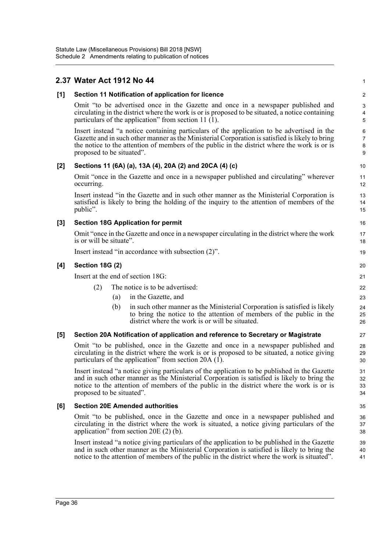#### **2.37 Water Act 1912 No 44 [1] Section 11 Notification of application for licence** Omit "to be advertised once in the Gazette and once in a newspaper published and circulating in the district where the work is or is proposed to be situated, a notice containing particulars of the application" from section 11 $(1)$ . Insert instead "a notice containing particulars of the application to be advertised in the Gazette and in such other manner as the Ministerial Corporation is satisfied is likely to bring the notice to the attention of members of the public in the district where the work is or is proposed to be situated". **[2] Sections 11 (6A) (a), 13A (4), 20A (2) and 20CA (4) (c)** Omit "once in the Gazette and once in a newspaper published and circulating" wherever occurring. Insert instead "in the Gazette and in such other manner as the Ministerial Corporation is satisfied is likely to bring the holding of the inquiry to the attention of members of the public". **[3] Section 18G Application for permit** Omit "once in the Gazette and once in a newspaper circulating in the district where the work is or will be situate". Insert instead "in accordance with subsection (2)". **[4] Section 18G (2)** Insert at the end of section 18G: (2) The notice is to be advertised: (a) in the Gazette, and (b) in such other manner as the Ministerial Corporation is satisfied is likely to bring the notice to the attention of members of the public in the district where the work is or will be situated. **[5] Section 20A Notification of application and reference to Secretary or Magistrate** Omit "to be published, once in the Gazette and once in a newspaper published and circulating in the district where the work is or is proposed to be situated, a notice giving particulars of the application" from section 20A (1). Insert instead "a notice giving particulars of the application to be published in the Gazette and in such other manner as the Ministerial Corporation is satisfied is likely to bring the notice to the attention of members of the public in the district where the work is or is proposed to be situated". **[6] Section 20E Amended authorities** Omit "to be published, once in the Gazette and once in a newspaper published and circulating in the district where the work is situated, a notice giving particulars of the application" from section 20E (2) (b). Insert instead "a notice giving particulars of the application to be published in the Gazette and in such other manner as the Ministerial Corporation is satisfied is likely to bring the notice to the attention of members of the public in the district where the work is situated". 1 2 3 4 5 6 7 8 9 10 11 12 13 14 15 16 17 18 19  $20$ 21  $22$ 23 24 25 26 27 28 29 30 31 32 33 34 35 36 37 38 39 40 41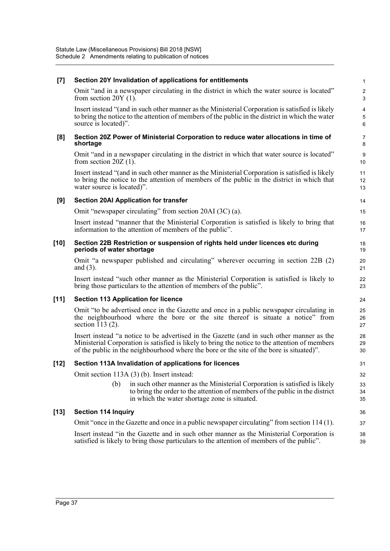| $[7]$  | Section 20Y Invalidation of applications for entitlements                                                                                                                                                                                                                               | $\mathbf{1}$                            |
|--------|-----------------------------------------------------------------------------------------------------------------------------------------------------------------------------------------------------------------------------------------------------------------------------------------|-----------------------------------------|
|        | Omit "and in a newspaper circulating in the district in which the water source is located"<br>from section $20Y(1)$ .                                                                                                                                                                   | $\overline{\mathbf{c}}$<br>$\mathbf{3}$ |
|        | Insert instead "(and in such other manner as the Ministerial Corporation is satisfied is likely<br>to bring the notice to the attention of members of the public in the district in which the water<br>source is located)".                                                             | 4<br>5<br>6                             |
| [8]    | Section 20Z Power of Ministerial Corporation to reduce water allocations in time of<br>shortage                                                                                                                                                                                         | $\overline{7}$<br>8                     |
|        | Omit "and in a newspaper circulating in the district in which that water source is located"<br>from section $20Z(1)$ .                                                                                                                                                                  | 9<br>10                                 |
|        | Insert instead "(and in such other manner as the Ministerial Corporation is satisfied is likely<br>to bring the notice to the attention of members of the public in the district in which that<br>water source is located)".                                                            | 11<br>12<br>13                          |
| [9]    | <b>Section 20AI Application for transfer</b>                                                                                                                                                                                                                                            | 14                                      |
|        | Omit "newspaper circulating" from section 20AI (3C) (a).                                                                                                                                                                                                                                | 15                                      |
|        | Insert instead "manner that the Ministerial Corporation is satisfied is likely to bring that<br>information to the attention of members of the public".                                                                                                                                 | 16<br>17                                |
| $[10]$ | Section 22B Restriction or suspension of rights held under licences etc during<br>periods of water shortage                                                                                                                                                                             | 18<br>19                                |
|        | Omit "a newspaper published and circulating" wherever occurring in section 22B (2)<br>and $(3)$ .                                                                                                                                                                                       | 20<br>21                                |
|        | Insert instead "such other manner as the Ministerial Corporation is satisfied is likely to<br>bring those particulars to the attention of members of the public".                                                                                                                       | 22<br>23                                |
| $[11]$ | <b>Section 113 Application for licence</b>                                                                                                                                                                                                                                              | 24                                      |
|        | Omit "to be advertised once in the Gazette and once in a public newspaper circulating in<br>the neighbourhood where the bore or the site thereof is situate a notice" from<br>section $113(2)$ .                                                                                        | 25<br>26<br>27                          |
|        | Insert instead "a notice to be advertised in the Gazette (and in such other manner as the<br>Ministerial Corporation is satisfied is likely to bring the notice to the attention of members<br>of the public in the neighbourhood where the bore or the site of the bore is situated)". | 28<br>29<br>30                          |
| $[12]$ | Section 113A Invalidation of applications for licences                                                                                                                                                                                                                                  | 31                                      |
|        | Omit section 113A (3) (b). Insert instead:                                                                                                                                                                                                                                              | 32                                      |
|        | in such other manner as the Ministerial Corporation is satisfied is likely<br>(b)<br>to bring the order to the attention of members of the public in the district<br>in which the water shortage zone is situated.                                                                      | 33<br>34<br>35                          |
| $[13]$ | <b>Section 114 Inquiry</b>                                                                                                                                                                                                                                                              | 36                                      |
|        | Omit "once in the Gazette and once in a public newspaper circulating" from section 114 (1).                                                                                                                                                                                             | 37                                      |
|        | Insert instead "in the Gazette and in such other manner as the Ministerial Corporation is<br>satisfied is likely to bring those particulars to the attention of members of the public".                                                                                                 | 38<br>39                                |
|        |                                                                                                                                                                                                                                                                                         |                                         |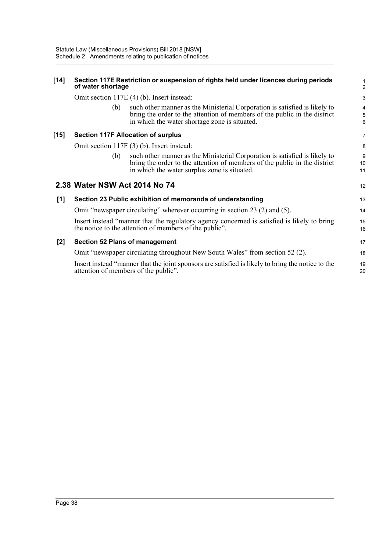#### **[14] Section 117E Restriction or suspension of rights held under licences during periods of water shortage**

Omit section 117E (4) (b). Insert instead:

| (b) | such other manner as the Ministerial Corporation is satisfied is likely to<br>bring the order to the attention of members of the public in the district |
|-----|---------------------------------------------------------------------------------------------------------------------------------------------------------|
|     | in which the water shortage zone is situated.                                                                                                           |

#### **[15] Section 117F Allocation of surplus**

Omit section 117F (3) (b). Insert instead:

(b) such other manner as the Ministerial Corporation is satisfied is likely to bring the order to the attention of members of the public in the district in which the water surplus zone is situated.

|     | 2.38 Water NSW Act 2014 No 74                                                                                                                         | 12       |
|-----|-------------------------------------------------------------------------------------------------------------------------------------------------------|----------|
| [1] | Section 23 Public exhibition of memoranda of understanding                                                                                            | 13       |
|     | Omit "newspaper circulating" wherever occurring in section 23 (2) and (5).                                                                            | 14       |
|     | Insert instead "manner that the regulatory agency concerned is satisfied is likely to bring<br>the notice to the attention of members of the public". | 15<br>16 |
| [2] | <b>Section 52 Plans of management</b>                                                                                                                 | 17       |
|     | Omit "newspaper circulating throughout New South Wales" from section 52 (2).                                                                          | 18       |
|     | Insert instead "manner that the joint sponsors are satisfied is likely to bring the notice to the<br>attention of members of the public".             | 19<br>20 |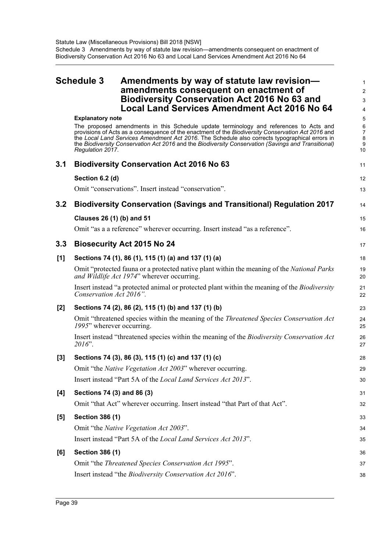<span id="page-42-0"></span>

|     | <b>Schedule 3</b>                           | Amendments by way of statute law revision-<br>amendments consequent on enactment of<br><b>Biodiversity Conservation Act 2016 No 63 and</b><br><b>Local Land Services Amendment Act 2016 No 64</b>                                                                                                                                                                                                     | $\mathbf{1}$<br>$\overline{2}$<br>3<br>4 |
|-----|---------------------------------------------|-------------------------------------------------------------------------------------------------------------------------------------------------------------------------------------------------------------------------------------------------------------------------------------------------------------------------------------------------------------------------------------------------------|------------------------------------------|
|     | <b>Explanatory note</b><br>Regulation 2017. | The proposed amendments in this Schedule update terminology and references to Acts and<br>provisions of Acts as a consequence of the enactment of the Biodiversity Conservation Act 2016 and<br>the Local Land Services Amendment Act 2016. The Schedule also corrects typographical errors in<br>the Biodiversity Conservation Act 2016 and the Biodiversity Conservation (Savings and Transitional) | 5<br>6<br>$\overline{7}$<br>8<br>9<br>10 |
| 3.1 |                                             | <b>Biodiversity Conservation Act 2016 No 63</b>                                                                                                                                                                                                                                                                                                                                                       | 11                                       |
|     | Section 6.2 (d)                             |                                                                                                                                                                                                                                                                                                                                                                                                       | 12                                       |
|     |                                             | Omit "conservations". Insert instead "conservation".                                                                                                                                                                                                                                                                                                                                                  | 13                                       |
| 3.2 |                                             | <b>Biodiversity Conservation (Savings and Transitional) Regulation 2017</b>                                                                                                                                                                                                                                                                                                                           | 14                                       |
|     | Clauses 26 (1) (b) and 51                   |                                                                                                                                                                                                                                                                                                                                                                                                       | 15                                       |
|     |                                             | Omit "as a a reference" wherever occurring. Insert instead "as a reference".                                                                                                                                                                                                                                                                                                                          | 16                                       |
| 3.3 |                                             | <b>Biosecurity Act 2015 No 24</b>                                                                                                                                                                                                                                                                                                                                                                     | 17                                       |
| [1] |                                             | Sections 74 (1), 86 (1), 115 (1) (a) and 137 (1) (a)                                                                                                                                                                                                                                                                                                                                                  | 18                                       |
|     |                                             | Omit "protected fauna or a protected native plant within the meaning of the <i>National Parks</i><br>and Wildlife Act 1974" wherever occurring.                                                                                                                                                                                                                                                       | 19<br>20                                 |
|     | Conservation Act 2016".                     | Insert instead "a protected animal or protected plant within the meaning of the <i>Biodiversity</i>                                                                                                                                                                                                                                                                                                   | 21<br>22                                 |
| [2] |                                             | Sections 74 (2), 86 (2), 115 (1) (b) and 137 (1) (b)                                                                                                                                                                                                                                                                                                                                                  | 23                                       |
|     | 1995" wherever occurring.                   | Omit "threatened species within the meaning of the <i>Threatened Species Conservation Act</i>                                                                                                                                                                                                                                                                                                         | 24<br>25                                 |
|     | $2016$ ".                                   | Insert instead "threatened species within the meaning of the <i>Biodiversity Conservation Act</i>                                                                                                                                                                                                                                                                                                     | 26<br>27                                 |
| [3] |                                             | Sections 74 (3), 86 (3), 115 (1) (c) and 137 (1) (c)                                                                                                                                                                                                                                                                                                                                                  | 28                                       |
|     |                                             | Omit "the Native Vegetation Act 2003" wherever occurring.                                                                                                                                                                                                                                                                                                                                             | 29                                       |
|     |                                             | Insert instead "Part 5A of the Local Land Services Act 2013".                                                                                                                                                                                                                                                                                                                                         | 30                                       |
| [4] | Sections 74 (3) and 86 (3)                  |                                                                                                                                                                                                                                                                                                                                                                                                       | 31                                       |
|     |                                             | Omit "that Act" wherever occurring. Insert instead "that Part of that Act".                                                                                                                                                                                                                                                                                                                           | 32                                       |
| [5] | <b>Section 386 (1)</b>                      |                                                                                                                                                                                                                                                                                                                                                                                                       | 33                                       |
|     |                                             | Omit "the Native Vegetation Act 2003".                                                                                                                                                                                                                                                                                                                                                                | 34                                       |
|     |                                             | Insert instead "Part 5A of the Local Land Services Act 2013".                                                                                                                                                                                                                                                                                                                                         | 35                                       |
| [6] | <b>Section 386 (1)</b>                      |                                                                                                                                                                                                                                                                                                                                                                                                       | 36                                       |
|     |                                             | Omit "the Threatened Species Conservation Act 1995".                                                                                                                                                                                                                                                                                                                                                  | 37                                       |
|     |                                             | Insert instead "the Biodiversity Conservation Act 2016".                                                                                                                                                                                                                                                                                                                                              | 38                                       |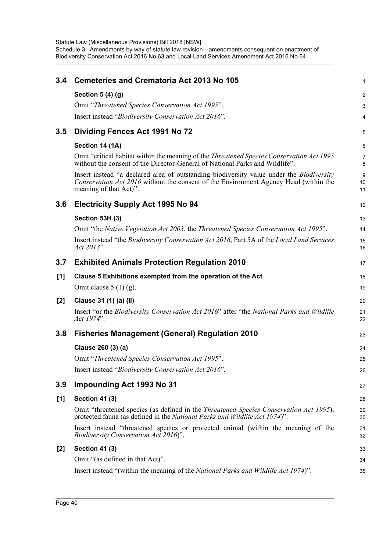| 3.4   | <b>Cemeteries and Crematoria Act 2013 No 105</b>                                                                                                                                                                  | 1                            |
|-------|-------------------------------------------------------------------------------------------------------------------------------------------------------------------------------------------------------------------|------------------------------|
|       | Section 5 (4) (g)                                                                                                                                                                                                 | 2                            |
|       | Omit "Threatened Species Conservation Act 1995".                                                                                                                                                                  | 3                            |
|       | Insert instead "Biodiversity Conservation Act 2016".                                                                                                                                                              | 4                            |
| 3.5   | Dividing Fences Act 1991 No 72                                                                                                                                                                                    | 5                            |
|       | Section 14 (1A)                                                                                                                                                                                                   | $6\phantom{1}$               |
|       | Omit "critical habitat within the meaning of the <i>Threatened Species Conservation Act 1995</i><br>without the consent of the Director-General of National Parks and Wildlife".                                  | $\overline{7}$<br>8          |
|       | Insert instead "a declared area of outstanding biodiversity value under the <i>Biodiversity</i><br>Conservation Act 2016 without the consent of the Environment Agency Head (within the<br>meaning of that Act)". | $\boldsymbol{9}$<br>10<br>11 |
| 3.6   | <b>Electricity Supply Act 1995 No 94</b>                                                                                                                                                                          | 12                           |
|       | Section 53H (3)                                                                                                                                                                                                   | 13                           |
|       | Omit "the Native Vegetation Act 2003, the Threatened Species Conservation Act 1995".                                                                                                                              | 14                           |
|       | Insert instead "the Biodiversity Conservation Act 2016, Part 5A of the Local Land Services<br>Act 2013".                                                                                                          | 15<br>16                     |
| 3.7   | <b>Exhibited Animals Protection Regulation 2010</b>                                                                                                                                                               | 17                           |
| $[1]$ | Clause 5 Exhibitions exempted from the operation of the Act                                                                                                                                                       | 18                           |
|       | Omit clause $5(1)(g)$ .                                                                                                                                                                                           | 19                           |
| $[2]$ | Clause 31 (1) (a) (ii)                                                                                                                                                                                            | 20                           |
|       | Insert "or the Biodiversity Conservation Act 2016" after "the National Parks and Wildlife<br>Act 1974".                                                                                                           | 21<br>22                     |
| 3.8   | <b>Fisheries Management (General) Regulation 2010</b>                                                                                                                                                             | 23                           |
|       | Clause 260 (3) (a)                                                                                                                                                                                                | 24                           |
|       | Omit "Threatened Species Conservation Act 1995".                                                                                                                                                                  | 25                           |
|       | Insert instead "Biodiversity Conservation Act 2016".                                                                                                                                                              | 26                           |
| 3.9   | <b>Impounding Act 1993 No 31</b>                                                                                                                                                                                  | 27                           |
| [1]   | <b>Section 41 (3)</b>                                                                                                                                                                                             | 28                           |
|       | Omit "threatened species (as defined in the Threatened Species Conservation Act 1995),<br>protected fauna (as defined in the National Parks and Wildlife Act 1974)".                                              | 29<br>30                     |
|       | Insert instead "threatened species or protected animal (within the meaning of the<br>Biodiversity Conservation Act 2016)".                                                                                        | 31<br>32                     |
| $[2]$ | <b>Section 41 (3)</b>                                                                                                                                                                                             | 33                           |
|       | Omit "(as defined in that Act)".                                                                                                                                                                                  | 34                           |
|       | Insert instead "(within the meaning of the <i>National Parks and Wildlife Act 1974</i> )".                                                                                                                        | 35                           |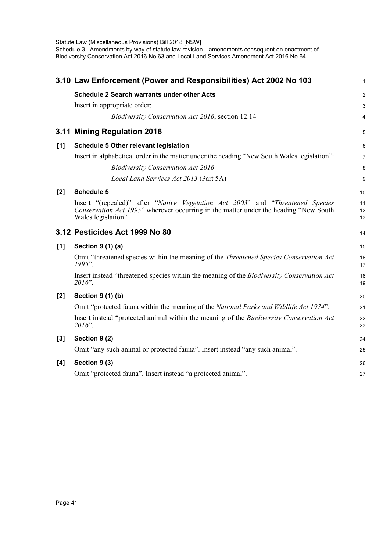|       | 3.10 Law Enforcement (Power and Responsibilities) Act 2002 No 103                                                                                                                              | $\mathbf{1}$   |
|-------|------------------------------------------------------------------------------------------------------------------------------------------------------------------------------------------------|----------------|
|       | <b>Schedule 2 Search warrants under other Acts</b>                                                                                                                                             | 2              |
|       | Insert in appropriate order:                                                                                                                                                                   | $\sqrt{3}$     |
|       | <i>Biodiversity Conservation Act 2016</i> , section 12.14                                                                                                                                      | 4              |
|       | 3.11 Mining Regulation 2016                                                                                                                                                                    | 5              |
| [1]   | <b>Schedule 5 Other relevant legislation</b>                                                                                                                                                   | 6              |
|       | Insert in alphabetical order in the matter under the heading "New South Wales legislation":                                                                                                    | $\overline{7}$ |
|       | <b>Biodiversity Conservation Act 2016</b>                                                                                                                                                      | 8              |
|       | Local Land Services Act 2013 (Part 5A)                                                                                                                                                         | 9              |
| $[2]$ | <b>Schedule 5</b>                                                                                                                                                                              | 10             |
|       | Insert "(repealed)" after "Native Vegetation Act 2003" and "Threatened Species"<br>Conservation Act 1995" wherever occurring in the matter under the heading "New South<br>Wales legislation". | 11<br>12<br>13 |
|       | 3.12 Pesticides Act 1999 No 80                                                                                                                                                                 | 14             |
| [1]   | Section 9 (1) (a)                                                                                                                                                                              | 15             |
|       | Omit "threatened species within the meaning of the <i>Threatened Species Conservation Act</i><br>1995".                                                                                        | 16<br>17       |
|       | Insert instead "threatened species within the meaning of the <i>Biodiversity Conservation Act</i><br>$2016$ ".                                                                                 | 18<br>19       |
| $[2]$ | Section 9 (1) (b)                                                                                                                                                                              | 20             |
|       | Omit "protected fauna within the meaning of the National Parks and Wildlife Act 1974".                                                                                                         | 21             |
|       | Insert instead "protected animal within the meaning of the Biodiversity Conservation Act<br>2016".                                                                                             | 22<br>23       |
| $[3]$ | Section 9 (2)                                                                                                                                                                                  | 24             |
|       | Omit "any such animal or protected fauna". Insert instead "any such animal".                                                                                                                   | 25             |
| $[4]$ | Section 9 (3)                                                                                                                                                                                  | 26             |
|       | Omit "protected fauna". Insert instead "a protected animal".                                                                                                                                   | 27             |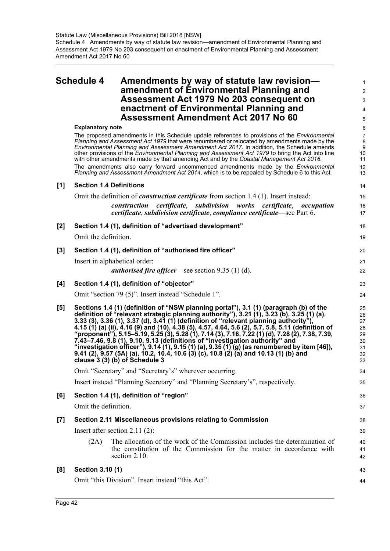# <span id="page-45-0"></span>**Schedule 4 Amendments by way of statute law revision amendment of Environmental Planning and Assessment Act 1979 No 203 consequent on enactment of Environmental Planning and Assessment Amendment Act 2017 No 60**

1 2 3

|       | enactment of Environmental Planning and<br><b>Assessment Amendment Act 2017 No 60</b>                                                                                                                                                                                                                                                                                                                                                                                                                                                                                                                                                                                                                                                                                                            | 4                                                                      |
|-------|--------------------------------------------------------------------------------------------------------------------------------------------------------------------------------------------------------------------------------------------------------------------------------------------------------------------------------------------------------------------------------------------------------------------------------------------------------------------------------------------------------------------------------------------------------------------------------------------------------------------------------------------------------------------------------------------------------------------------------------------------------------------------------------------------|------------------------------------------------------------------------|
|       |                                                                                                                                                                                                                                                                                                                                                                                                                                                                                                                                                                                                                                                                                                                                                                                                  | 5                                                                      |
|       | <b>Explanatory note</b><br>The proposed amendments in this Schedule update references to provisions of the <i>Environmental</i><br>Planning and Assessment Act 1979 that were renumbered or relocated by amendments made by the<br>Environmental Planning and Assessment Amendment Act 2017. In addition, the Schedule amends<br>other provisions of the <i>Environmental Planning and Assessment Act 1979</i> to bring the Act into line<br>with other amendments made by that amending Act and by the Coastal Management Act 2016.<br>The amendments also carry forward uncommenced amendments made by the <i>Environmental</i><br>Planning and Assessment Amendment Act 2014, which is to be repealed by Schedule 6 to this Act.                                                              | 6<br>$\boldsymbol{7}$<br>8<br>$\boldsymbol{9}$<br>10<br>11<br>12<br>13 |
| [1]   | <b>Section 1.4 Definitions</b>                                                                                                                                                                                                                                                                                                                                                                                                                                                                                                                                                                                                                                                                                                                                                                   | 14                                                                     |
|       | Omit the definition of <i>construction certificate</i> from section $1.4(1)$ . Insert instead:                                                                                                                                                                                                                                                                                                                                                                                                                                                                                                                                                                                                                                                                                                   | 15                                                                     |
|       | certificate, subdivision works certificate, occupation<br>construction<br>certificate, subdivision certificate, compliance certificate—see Part 6.                                                                                                                                                                                                                                                                                                                                                                                                                                                                                                                                                                                                                                               | 16<br>17                                                               |
| $[2]$ | Section 1.4 (1), definition of "advertised development"                                                                                                                                                                                                                                                                                                                                                                                                                                                                                                                                                                                                                                                                                                                                          | 18                                                                     |
|       | Omit the definition.                                                                                                                                                                                                                                                                                                                                                                                                                                                                                                                                                                                                                                                                                                                                                                             | 19                                                                     |
| $[3]$ | Section 1.4 (1), definition of "authorised fire officer"                                                                                                                                                                                                                                                                                                                                                                                                                                                                                                                                                                                                                                                                                                                                         | 20                                                                     |
|       | Insert in alphabetical order:                                                                                                                                                                                                                                                                                                                                                                                                                                                                                                                                                                                                                                                                                                                                                                    | 21                                                                     |
|       | <i>authorised fire officer</i> —see section $9.35$ (1) (d).                                                                                                                                                                                                                                                                                                                                                                                                                                                                                                                                                                                                                                                                                                                                      | 22                                                                     |
| [4]   | Section 1.4 (1), definition of "objector"                                                                                                                                                                                                                                                                                                                                                                                                                                                                                                                                                                                                                                                                                                                                                        | 23                                                                     |
|       | Omit "section 79 (5)". Insert instead "Schedule 1".                                                                                                                                                                                                                                                                                                                                                                                                                                                                                                                                                                                                                                                                                                                                              | 24                                                                     |
| [5]   | Sections 1.4 (1) (definition of "NSW planning portal"), 3.1 (1) (paragraph (b) of the<br>definition of "relevant strategic planning authority"), 3.21 (1), 3.23 (b), 3.25 (1) (a),<br>3.33 (3), 3.36 (1), 3.37 (d), 3.41 (1) (definition of "relevant planning authority"),<br>4.15 (1) (a) (ii), 4.16 (9) and (10), 4.38 (5), 4.57, 4.64, 5.6 (2), 5.7, 5.8, 5.11 (definition of<br>"proponent"), 5.15–5.19, 5.25 (3), 5.28 (1), 7.14 (3), 7.16, 7.22 (1) (d), 7.28 (2), 7.38, 7.39,<br>7.43–7.46, 9.8 (1), 9.10, 9.13 (definitions of "investigation authority" and<br>"investigation officer"), 9.14 (1), 9.15 (1) (a), 9.35 (1) (g) (as renumbered by item [46]),<br>9.41 (2), 9.57 (5A) (a), 10.2, 10.4, 10.6 (3) (c), 10.8 (2) (a) and 10.13 (1) (b) and<br>clause 3 (3) (b) of Schedule 3 | 25<br>26<br>27<br>28<br>29<br>30<br>31<br>32<br>33                     |
|       | Omit "Secretary" and "Secretary's" wherever occurring.                                                                                                                                                                                                                                                                                                                                                                                                                                                                                                                                                                                                                                                                                                                                           | 34                                                                     |
|       | Insert instead "Planning Secretary" and "Planning Secretary's", respectively.                                                                                                                                                                                                                                                                                                                                                                                                                                                                                                                                                                                                                                                                                                                    | 35                                                                     |
| [6]   | Section 1.4 (1), definition of "region"                                                                                                                                                                                                                                                                                                                                                                                                                                                                                                                                                                                                                                                                                                                                                          | 36                                                                     |
|       | Omit the definition.                                                                                                                                                                                                                                                                                                                                                                                                                                                                                                                                                                                                                                                                                                                                                                             | 37                                                                     |
| $[7]$ | Section 2.11 Miscellaneous provisions relating to Commission                                                                                                                                                                                                                                                                                                                                                                                                                                                                                                                                                                                                                                                                                                                                     | 38                                                                     |
|       | Insert after section $2.11(2)$ :                                                                                                                                                                                                                                                                                                                                                                                                                                                                                                                                                                                                                                                                                                                                                                 | 39                                                                     |
|       | The allocation of the work of the Commission includes the determination of<br>(2A)<br>the constitution of the Commission for the matter in accordance with<br>section 2.10.                                                                                                                                                                                                                                                                                                                                                                                                                                                                                                                                                                                                                      | 40<br>41<br>42                                                         |
| [8]   | Section 3.10 (1)                                                                                                                                                                                                                                                                                                                                                                                                                                                                                                                                                                                                                                                                                                                                                                                 | 43                                                                     |
|       | Omit "this Division". Insert instead "this Act".                                                                                                                                                                                                                                                                                                                                                                                                                                                                                                                                                                                                                                                                                                                                                 | 44                                                                     |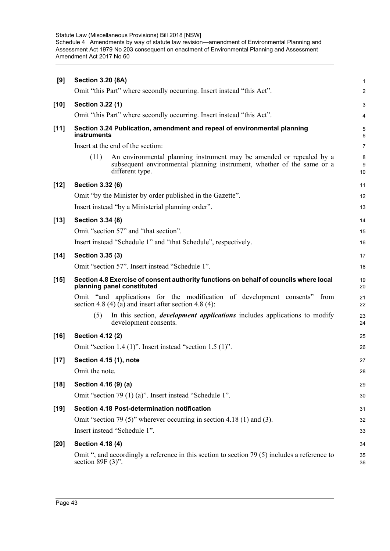| [9]    | <b>Section 3.20 (8A)</b>                                                                                                                                                  | $\mathbf{1}$     |
|--------|---------------------------------------------------------------------------------------------------------------------------------------------------------------------------|------------------|
|        | Omit "this Part" where secondly occurring. Insert instead "this Act".                                                                                                     | $\boldsymbol{2}$ |
| $[10]$ | Section 3.22 (1)                                                                                                                                                          | 3                |
|        | Omit "this Part" where secondly occurring. Insert instead "this Act".                                                                                                     | 4                |
| $[11]$ | Section 3.24 Publication, amendment and repeal of environmental planning<br>instruments                                                                                   | 5<br>6           |
|        | Insert at the end of the section:                                                                                                                                         | $\overline{7}$   |
|        | (11)<br>An environmental planning instrument may be amended or repealed by a<br>subsequent environmental planning instrument, whether of the same or a<br>different type. | 8<br>9<br>10     |
| $[12]$ | Section 3.32 (6)                                                                                                                                                          | 11               |
|        | Omit "by the Minister by order published in the Gazette".                                                                                                                 | 12               |
|        | Insert instead "by a Ministerial planning order".                                                                                                                         | 13               |
| $[13]$ | Section 3.34 (8)                                                                                                                                                          | 14               |
|        | Omit "section 57" and "that section".                                                                                                                                     | 15               |
|        | Insert instead "Schedule 1" and "that Schedule", respectively.                                                                                                            | 16               |
| $[14]$ | Section 3.35 (3)                                                                                                                                                          | 17               |
|        | Omit "section 57". Insert instead "Schedule 1".                                                                                                                           | 18               |
| $[15]$ | Section 4.8 Exercise of consent authority functions on behalf of councils where local<br>planning panel constituted                                                       | 19<br>20         |
|        | Omit "and applications for the modification of development consents" from<br>section 4.8 (4) (a) and insert after section 4.8 (4):                                        | 21<br>22         |
|        | In this section, <i>development applications</i> includes applications to modify<br>(5)<br>development consents.                                                          | 23<br>24         |
| $[16]$ |                                                                                                                                                                           |                  |
|        | Section 4.12 (2)                                                                                                                                                          | 25               |
|        | Omit "section 1.4 (1)". Insert instead "section 1.5 (1)".                                                                                                                 | 26               |
| $[17]$ | Section 4.15 (1), note                                                                                                                                                    | 27               |
|        | Omit the note.                                                                                                                                                            | 28               |
| $[18]$ | Section 4.16 (9) (a)                                                                                                                                                      | 29               |
|        | Omit "section 79 (1) (a)". Insert instead "Schedule 1".                                                                                                                   | 30               |
| $[19]$ | Section 4.18 Post-determination notification                                                                                                                              | 31               |
|        | Omit "section 79 (5)" wherever occurring in section 4.18 (1) and (3).                                                                                                     | 32               |
|        | Insert instead "Schedule 1".                                                                                                                                              | 33               |
| $[20]$ | <b>Section 4.18 (4)</b>                                                                                                                                                   | 34               |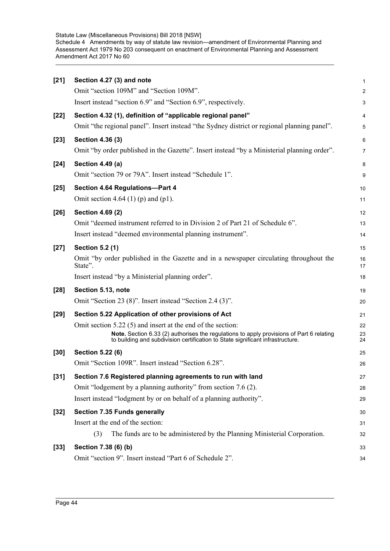| $[21]$ | Section 4.27 (3) and note                                                                                                                                                  | $\mathbf{1}$     |
|--------|----------------------------------------------------------------------------------------------------------------------------------------------------------------------------|------------------|
|        | Omit "section 109M" and "Section 109M".                                                                                                                                    | 2                |
|        | Insert instead "section 6.9" and "Section 6.9", respectively.                                                                                                              | 3                |
| $[22]$ | Section 4.32 (1), definition of "applicable regional panel"                                                                                                                | 4                |
|        | Omit "the regional panel". Insert instead "the Sydney district or regional planning panel".                                                                                | 5                |
| $[23]$ | Section 4.36 (3)                                                                                                                                                           | 6                |
|        | Omit "by order published in the Gazette". Insert instead "by a Ministerial planning order".                                                                                | $\boldsymbol{7}$ |
| $[24]$ | Section 4.49 (a)                                                                                                                                                           | 8                |
|        | Omit "section 79 or 79A". Insert instead "Schedule 1".                                                                                                                     | 9                |
| $[25]$ | Section 4.64 Regulations-Part 4                                                                                                                                            | 10               |
|        | Omit section 4.64 (1) (p) and (p1).                                                                                                                                        | 11               |
| $[26]$ | Section 4.69 (2)                                                                                                                                                           | 12               |
|        | Omit "deemed instrument referred to in Division 2 of Part 21 of Schedule 6".                                                                                               | 13               |
|        | Insert instead "deemed environmental planning instrument".                                                                                                                 | 14               |
| $[27]$ | <b>Section 5.2 (1)</b>                                                                                                                                                     | 15               |
|        | Omit "by order published in the Gazette and in a newspaper circulating throughout the<br>State".                                                                           | 16<br>17         |
|        | Insert instead "by a Ministerial planning order".                                                                                                                          | 18               |
| $[28]$ | Section 5.13, note                                                                                                                                                         | 19               |
|        | Omit "Section 23 (8)". Insert instead "Section 2.4 (3)".                                                                                                                   | 20               |
| $[29]$ | Section 5.22 Application of other provisions of Act                                                                                                                        | 21               |
|        | Omit section $5.22(5)$ and insert at the end of the section:                                                                                                               | 22               |
|        | Note. Section 6.33 (2) authorises the regulations to apply provisions of Part 6 relating<br>to building and subdivision certification to State significant infrastructure. | 23<br>24         |
| [30]   | Section 5.22 (6)                                                                                                                                                           | 25               |
|        | Omit "Section 109R". Insert instead "Section 6.28".                                                                                                                        | 26               |
| $[31]$ | Section 7.6 Registered planning agreements to run with land                                                                                                                | 27               |
|        | Omit "lodgement by a planning authority" from section 7.6 (2).                                                                                                             | 28               |
|        | Insert instead "lodgment by or on behalf of a planning authority".                                                                                                         | 29               |
| $[32]$ | Section 7.35 Funds generally                                                                                                                                               | 30               |
|        | Insert at the end of the section:                                                                                                                                          | 31               |
|        | (3)<br>The funds are to be administered by the Planning Ministerial Corporation.                                                                                           | 32               |
| $[33]$ | Section 7.38 (6) (b)                                                                                                                                                       | 33               |
|        | Omit "section 9". Insert instead "Part 6 of Schedule 2".                                                                                                                   | 34               |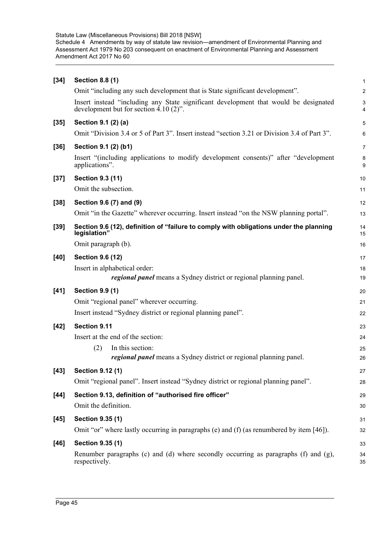| $[34]$ | <b>Section 8.8 (1)</b>                                                                                                           | $\mathbf{1}$     |
|--------|----------------------------------------------------------------------------------------------------------------------------------|------------------|
|        | Omit "including any such development that is State significant development".                                                     | $\boldsymbol{2}$ |
|        | Insert instead "including any State significant development that would be designated<br>development but for section $4.10(2)$ ". | $\mathsf 3$<br>4 |
| $[35]$ | Section 9.1 (2) (a)                                                                                                              | 5                |
|        | Omit "Division 3.4 or 5 of Part 3". Insert instead "section 3.21 or Division 3.4 of Part 3".                                     | 6                |
| $[36]$ | Section 9.1 (2) (b1)                                                                                                             | $\overline{7}$   |
|        | Insert "(including applications to modify development consents)" after "development<br>applications".                            | 8<br>9           |
| $[37]$ | <b>Section 9.3 (11)</b>                                                                                                          | 10               |
|        | Omit the subsection.                                                                                                             | 11               |
| $[38]$ | Section 9.6 (7) and (9)                                                                                                          | 12               |
|        | Omit "in the Gazette" wherever occurring. Insert instead "on the NSW planning portal".                                           | 13               |
| $[39]$ | Section 9.6 (12), definition of "failure to comply with obligations under the planning<br>legislation"                           | 14<br>15         |
|        | Omit paragraph (b).                                                                                                              | 16               |
| $[40]$ | <b>Section 9.6 (12)</b>                                                                                                          | 17               |
|        | Insert in alphabetical order:<br><i>regional panel</i> means a Sydney district or regional planning panel.                       | 18<br>19         |
| $[41]$ | <b>Section 9.9 (1)</b>                                                                                                           | 20               |
|        | Omit "regional panel" wherever occurring.                                                                                        | 21               |
|        | Insert instead "Sydney district or regional planning panel".                                                                     | 22               |
| $[42]$ | Section 9.11                                                                                                                     | 23               |
|        | Insert at the end of the section:                                                                                                | 24               |
|        | (2)<br>In this section:                                                                                                          | 25               |
|        | <i>regional panel</i> means a Sydney district or regional planning panel.                                                        | 26               |
| $[43]$ | Section 9.12 (1)                                                                                                                 | 27               |
|        | Omit "regional panel". Insert instead "Sydney district or regional planning panel".                                              | 28               |
| $[44]$ | Section 9.13, definition of "authorised fire officer"                                                                            | 29               |
|        | Omit the definition.                                                                                                             | $30\,$           |
| $[45]$ | Section 9.35 (1)                                                                                                                 | 31               |
|        | Omit "or" where lastly occurring in paragraphs (e) and (f) (as renumbered by item $[46]$ ).                                      | 32               |
| $[46]$ | Section 9.35 (1)                                                                                                                 | 33               |
|        | Renumber paragraphs (c) and (d) where secondly occurring as paragraphs (f) and $(g)$ ,<br>respectively.                          | 34<br>35         |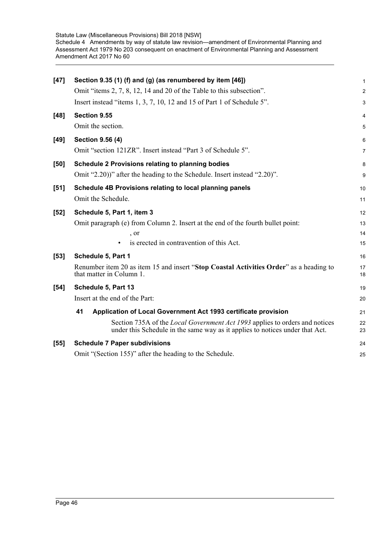| $[47]$ | Section 9.35 (1) (f) and (g) (as renumbered by item [46])                                                                                                          | 1        |
|--------|--------------------------------------------------------------------------------------------------------------------------------------------------------------------|----------|
|        | Omit "items 2, 7, 8, 12, 14 and 20 of the Table to this subsection".                                                                                               | 2        |
|        | Insert instead "items 1, 3, 7, 10, 12 and 15 of Part 1 of Schedule 5".                                                                                             | 3        |
| $[48]$ | Section 9.55                                                                                                                                                       | 4        |
|        | Omit the section.                                                                                                                                                  | 5        |
| $[49]$ | Section 9.56 (4)                                                                                                                                                   | 6        |
|        | Omit "section 121ZR". Insert instead "Part 3 of Schedule 5".                                                                                                       | 7        |
| [50]   | Schedule 2 Provisions relating to planning bodies                                                                                                                  | 8        |
|        | Omit "2.20))" after the heading to the Schedule. Insert instead "2.20)".                                                                                           | 9        |
| $[51]$ | Schedule 4B Provisions relating to local planning panels                                                                                                           | 10       |
|        | Omit the Schedule.                                                                                                                                                 | 11       |
| $[52]$ | Schedule 5, Part 1, item 3                                                                                                                                         | 12       |
|        | Omit paragraph (e) from Column 2. Insert at the end of the fourth bullet point:                                                                                    | 13       |
|        | , or                                                                                                                                                               | 14       |
|        | is erected in contravention of this Act.                                                                                                                           | 15       |
| $[53]$ | Schedule 5, Part 1                                                                                                                                                 | 16       |
|        | Renumber item 20 as item 15 and insert "Stop Coastal Activities Order" as a heading to<br>that matter in Column 1.                                                 | 17<br>18 |
| [54]   | Schedule 5, Part 13                                                                                                                                                | 19       |
|        | Insert at the end of the Part:                                                                                                                                     | 20       |
|        | 41<br>Application of Local Government Act 1993 certificate provision                                                                                               | 21       |
|        | Section 735A of the <i>Local Government Act 1993</i> applies to orders and notices<br>under this Schedule in the same way as it applies to notices under that Act. | 22<br>23 |
| $[55]$ | <b>Schedule 7 Paper subdivisions</b>                                                                                                                               | 24       |
|        | Omit "(Section 155)" after the heading to the Schedule.                                                                                                            | 25       |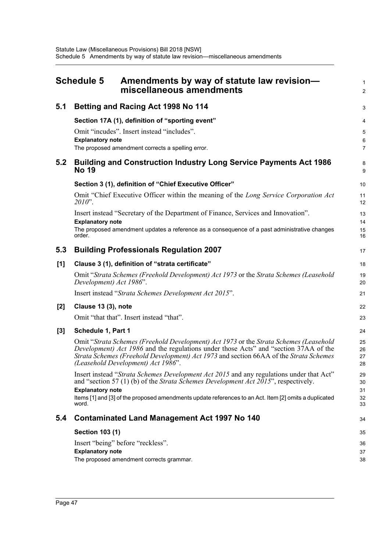<span id="page-50-0"></span>

|       | <b>Schedule 5</b>                 | Amendments by way of statute law revision-<br>miscellaneous amendments                                                                                                                | $\mathbf{1}$<br>2   |
|-------|-----------------------------------|---------------------------------------------------------------------------------------------------------------------------------------------------------------------------------------|---------------------|
| 5.1   |                                   | <b>Betting and Racing Act 1998 No 114</b>                                                                                                                                             | 3                   |
|       |                                   | Section 17A (1), definition of "sporting event"                                                                                                                                       | 4                   |
|       |                                   | Omit "incudes". Insert instead "includes".                                                                                                                                            | 5                   |
|       | <b>Explanatory note</b>           | The proposed amendment corrects a spelling error.                                                                                                                                     | 6<br>$\overline{7}$ |
| 5.2   | <b>No 19</b>                      | <b>Building and Construction Industry Long Service Payments Act 1986</b>                                                                                                              | 8<br>9              |
|       |                                   | Section 3 (1), definition of "Chief Executive Officer"                                                                                                                                | 10                  |
|       | 2010".                            | Omit "Chief Executive Officer within the meaning of the Long Service Corporation Act                                                                                                  | 11<br>12            |
|       |                                   | Insert instead "Secretary of the Department of Finance, Services and Innovation".                                                                                                     | 13                  |
|       | <b>Explanatory note</b><br>order. | The proposed amendment updates a reference as a consequence of a past administrative changes                                                                                          | 14<br>15<br>16      |
| 5.3   |                                   | <b>Building Professionals Regulation 2007</b>                                                                                                                                         | 17                  |
| [1]   |                                   | Clause 3 (1), definition of "strata certificate"                                                                                                                                      | 18                  |
|       | Development) Act 1986".           | Omit "Strata Schemes (Freehold Development) Act 1973 or the Strata Schemes (Leasehold                                                                                                 | 19<br>20            |
|       |                                   | Insert instead "Strata Schemes Development Act 2015".                                                                                                                                 | 21                  |
| $[2]$ | Clause 13 (3), note               |                                                                                                                                                                                       | 22                  |
|       |                                   | Omit "that that". Insert instead "that".                                                                                                                                              | 23                  |
| [3]   | Schedule 1, Part 1                |                                                                                                                                                                                       | 24                  |
|       |                                   | Omit "Strata Schemes (Freehold Development) Act 1973 or the Strata Schemes (Leasehold<br>Development) Act 1986 and the regulations under those Acts" and "section 37AA of the         | 25<br>26            |
|       |                                   | Strata Schemes (Freehold Development) Act 1973 and section 66AA of the Strata Schemes                                                                                                 | 27                  |
|       |                                   | (Leasehold Development) Act 1986".                                                                                                                                                    | 28                  |
|       |                                   | Insert instead "Strata Schemes Development Act 2015 and any regulations under that Act"<br>and "section 57 (1) (b) of the <i>Strata Schemes Development Act 2015</i> ", respectively. | 29<br>30            |
|       | <b>Explanatory note</b>           |                                                                                                                                                                                       | 31                  |
|       | word.                             | Items [1] and [3] of the proposed amendments update references to an Act. Item [2] omits a duplicated                                                                                 | 32<br>33            |
| 5.4   |                                   | <b>Contaminated Land Management Act 1997 No 140</b>                                                                                                                                   | 34                  |
|       | <b>Section 103 (1)</b>            |                                                                                                                                                                                       | 35                  |
|       |                                   | Insert "being" before "reckless".                                                                                                                                                     | 36                  |
|       | <b>Explanatory note</b>           | The proposed amendment corrects grammar.                                                                                                                                              | 37                  |
|       |                                   |                                                                                                                                                                                       | 38                  |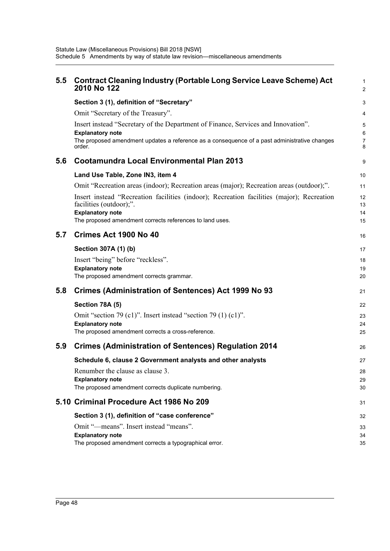| 5.5 | <b>Contract Cleaning Industry (Portable Long Service Leave Scheme) Act</b><br>2010 No 122                            | 1<br>$\overline{c}$ |
|-----|----------------------------------------------------------------------------------------------------------------------|---------------------|
|     | Section 3 (1), definition of "Secretary"                                                                             | 3                   |
|     | Omit "Secretary of the Treasury".                                                                                    | 4                   |
|     | Insert instead "Secretary of the Department of Finance, Services and Innovation".<br><b>Explanatory note</b>         | 5<br>6              |
|     | The proposed amendment updates a reference as a consequence of a past administrative changes<br>order.               | 7<br>8              |
| 5.6 | <b>Cootamundra Local Environmental Plan 2013</b>                                                                     | 9                   |
|     | Land Use Table, Zone IN3, item 4                                                                                     | 10                  |
|     | Omit "Recreation areas (indoor); Recreation areas (major); Recreation areas (outdoor);".                             | 11                  |
|     | Insert instead "Recreation facilities (indoor); Recreation facilities (major); Recreation<br>facilities (outdoor);". | 12<br>13            |
|     | <b>Explanatory note</b><br>The proposed amendment corrects references to land uses.                                  | 14<br>15            |
| 5.7 | Crimes Act 1900 No 40                                                                                                | 16                  |
|     | Section 307A (1) (b)                                                                                                 | 17                  |
|     | Insert "being" before "reckless".                                                                                    | 18                  |
|     | <b>Explanatory note</b><br>The proposed amendment corrects grammar.                                                  | 19<br>20            |
|     |                                                                                                                      |                     |
| 5.8 | <b>Crimes (Administration of Sentences) Act 1999 No 93</b>                                                           | 21                  |
|     | Section 78A (5)                                                                                                      | 22                  |
|     | Omit "section 79 (c1)". Insert instead "section 79 (1) (c1)".                                                        | 23                  |
|     | <b>Explanatory note</b><br>The proposed amendment corrects a cross-reference.                                        | 24<br>25            |
|     |                                                                                                                      |                     |
| 5.9 | <b>Crimes (Administration of Sentences) Regulation 2014</b>                                                          | 26                  |
|     | Schedule 6, clause 2 Government analysts and other analysts                                                          | 27                  |
|     | Renumber the clause as clause 3.                                                                                     | 28                  |
|     | <b>Explanatory note</b><br>The proposed amendment corrects duplicate numbering.                                      | 29<br>30            |
|     | 5.10 Criminal Procedure Act 1986 No 209                                                                              | 31                  |
|     | Section 3 (1), definition of "case conference"                                                                       | 32                  |
|     | Omit "-means". Insert instead "means".                                                                               | 33                  |
|     | <b>Explanatory note</b><br>The proposed amendment corrects a typographical error.                                    | 34<br>35            |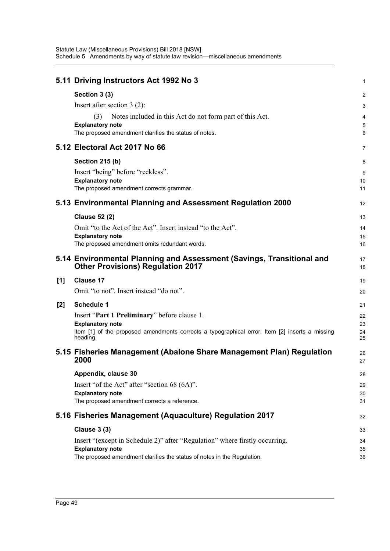|       | 5.11 Driving Instructors Act 1992 No 3                                                                            | 1        |
|-------|-------------------------------------------------------------------------------------------------------------------|----------|
|       | Section 3 (3)                                                                                                     | 2        |
|       | Insert after section $3(2)$ :                                                                                     | 3        |
|       | Notes included in this Act do not form part of this Act.<br>(3)                                                   | 4        |
|       | <b>Explanatory note</b>                                                                                           | 5        |
|       | The proposed amendment clarifies the status of notes.                                                             | 6        |
|       | 5.12 Electoral Act 2017 No 66                                                                                     | 7        |
|       | <b>Section 215 (b)</b>                                                                                            | 8        |
|       | Insert "being" before "reckless".                                                                                 | 9        |
|       | <b>Explanatory note</b>                                                                                           | 10       |
|       | The proposed amendment corrects grammar.                                                                          | 11       |
|       | 5.13 Environmental Planning and Assessment Regulation 2000                                                        | 12       |
|       | <b>Clause 52 (2)</b>                                                                                              | 13       |
|       | Omit "to the Act of the Act". Insert instead "to the Act".                                                        | 14       |
|       | <b>Explanatory note</b><br>The proposed amendment omits redundant words.                                          | 15<br>16 |
|       |                                                                                                                   |          |
|       | 5.14 Environmental Planning and Assessment (Savings, Transitional and<br><b>Other Provisions) Regulation 2017</b> | 17<br>18 |
| [1]   | <b>Clause 17</b>                                                                                                  | 19       |
|       | Omit "to not". Insert instead "do not".                                                                           | 20       |
| $[2]$ | <b>Schedule 1</b>                                                                                                 | 21       |
|       | Insert "Part 1 Preliminary" before clause 1.                                                                      | 22       |
|       | <b>Explanatory note</b>                                                                                           | 23       |
|       | Item [1] of the proposed amendments corrects a typographical error. Item [2] inserts a missing<br>heading.        | 24<br>25 |
|       | 5.15 Fisheries Management (Abalone Share Management Plan) Regulation<br>2000                                      | 26<br>27 |
|       |                                                                                                                   |          |
|       | Appendix, clause 30                                                                                               | 28       |
|       | Insert "of the Act" after "section 68 (6A)".<br><b>Explanatory note</b>                                           | 29       |
|       | The proposed amendment corrects a reference.                                                                      | 30<br>31 |
|       | 5.16 Fisheries Management (Aquaculture) Regulation 2017                                                           | 32       |
|       | <b>Clause 3 (3)</b>                                                                                               | 33       |
|       | Insert "(except in Schedule 2)" after "Regulation" where firstly occurring.                                       | 34       |
|       | <b>Explanatory note</b>                                                                                           | 35       |
|       | The proposed amendment clarifies the status of notes in the Regulation.                                           | 36       |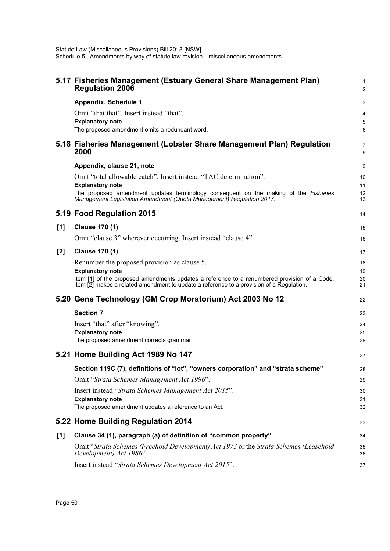|       | 5.17 Fisheries Management (Estuary General Share Management Plan)<br><b>Regulation 2006</b>                                                                                              | 1<br>2   |
|-------|------------------------------------------------------------------------------------------------------------------------------------------------------------------------------------------|----------|
|       | <b>Appendix, Schedule 1</b>                                                                                                                                                              | 3        |
|       | Omit "that that". Insert instead "that".                                                                                                                                                 | 4        |
|       | <b>Explanatory note</b><br>The proposed amendment omits a redundant word.                                                                                                                | 5        |
|       |                                                                                                                                                                                          | 6        |
|       | 5.18 Fisheries Management (Lobster Share Management Plan) Regulation<br>2000                                                                                                             | 7<br>8   |
|       | Appendix, clause 21, note                                                                                                                                                                | 9        |
|       | Omit "total allowable catch". Insert instead "TAC determination".                                                                                                                        | 10       |
|       | <b>Explanatory note</b><br>The proposed amendment updates terminology consequent on the making of the Fisheries                                                                          | 11<br>12 |
|       | Management Legislation Amendment (Quota Management) Regulation 2017.                                                                                                                     | 13       |
|       | 5.19 Food Regulation 2015                                                                                                                                                                | 14       |
| [1]   | <b>Clause 170 (1)</b>                                                                                                                                                                    | 15       |
|       | Omit "clause 3" wherever occurring. Insert instead "clause 4".                                                                                                                           | 16       |
| $[2]$ | <b>Clause 170 (1)</b>                                                                                                                                                                    | 17       |
|       | Renumber the proposed provision as clause 5.                                                                                                                                             | 18       |
|       | <b>Explanatory note</b>                                                                                                                                                                  | 19       |
|       | Item [1] of the proposed amendments updates a reference to a renumbered provision of a Code.<br>Item [2] makes a related amendment to update a reference to a provision of a Regulation. | 20<br>21 |
|       | 5.20 Gene Technology (GM Crop Moratorium) Act 2003 No 12                                                                                                                                 | 22       |
|       | <b>Section 7</b>                                                                                                                                                                         | 23       |
|       | Insert "that" after "knowing".                                                                                                                                                           | 24       |
|       | <b>Explanatory note</b><br>The proposed amendment corrects grammar.                                                                                                                      | 25       |
|       |                                                                                                                                                                                          | 26       |
|       | 5.21 Home Building Act 1989 No 147                                                                                                                                                       | 27       |
|       | Section 119C (7), definitions of "lot", "owners corporation" and "strata scheme"                                                                                                         | 28       |
|       | Omit "Strata Schemes Management Act 1996".                                                                                                                                               | 29       |
|       |                                                                                                                                                                                          |          |
|       | Insert instead "Strata Schemes Management Act 2015".                                                                                                                                     | 30       |
|       | <b>Explanatory note</b>                                                                                                                                                                  | 31       |
|       | The proposed amendment updates a reference to an Act.                                                                                                                                    | 32       |
|       | 5.22 Home Building Regulation 2014                                                                                                                                                       | 33       |
| [1]   | Clause 34 (1), paragraph (a) of definition of "common property"                                                                                                                          | 34       |
|       | Omit "Strata Schemes (Freehold Development) Act 1973 or the Strata Schemes (Leasehold<br>Development) Act 1986".                                                                         | 35<br>36 |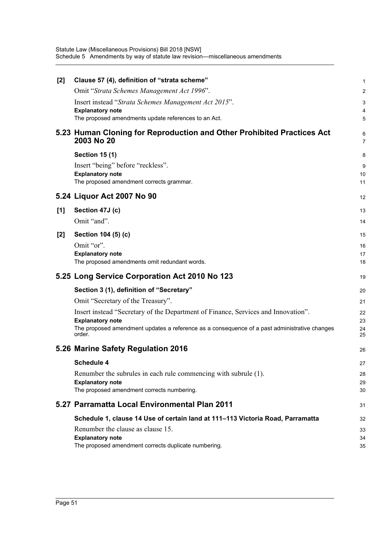| $[2]$ | Clause 57 (4), definition of "strata scheme"                                                 | 1                   |
|-------|----------------------------------------------------------------------------------------------|---------------------|
|       | Omit "Strata Schemes Management Act 1996".                                                   | $\boldsymbol{2}$    |
|       | Insert instead "Strata Schemes Management Act 2015".                                         | 3                   |
|       | <b>Explanatory note</b>                                                                      | 4                   |
|       | The proposed amendments update references to an Act.                                         | 5                   |
|       | 5.23 Human Cloning for Reproduction and Other Prohibited Practices Act<br>2003 No 20         | 6<br>$\overline{7}$ |
|       | <b>Section 15 (1)</b>                                                                        | 8                   |
|       | Insert "being" before "reckless".                                                            | 9                   |
|       | <b>Explanatory note</b>                                                                      | 10                  |
|       | The proposed amendment corrects grammar.                                                     | 11                  |
|       | 5.24 Liquor Act 2007 No 90                                                                   | 12                  |
|       |                                                                                              |                     |
| [1]   | Section 47J (c)                                                                              | 13                  |
|       | Omit "and".                                                                                  | 14                  |
| $[2]$ | Section 104 (5) (c)                                                                          | 15                  |
|       | Omit "or".                                                                                   | 16                  |
|       | <b>Explanatory note</b>                                                                      | 17                  |
|       | The proposed amendments omit redundant words.                                                | 18                  |
|       | 5.25 Long Service Corporation Act 2010 No 123                                                | 19                  |
|       | Section 3 (1), definition of "Secretary"                                                     | 20                  |
|       | Omit "Secretary of the Treasury".                                                            | 21                  |
|       | Insert instead "Secretary of the Department of Finance, Services and Innovation".            | 22                  |
|       | <b>Explanatory note</b>                                                                      | 23                  |
|       | The proposed amendment updates a reference as a consequence of a past administrative changes | 24                  |
|       | order.                                                                                       | 25                  |
|       |                                                                                              |                     |
|       | 5.26 Marine Safety Regulation 2016                                                           | 26                  |
|       | Schedule 4                                                                                   | 27                  |
|       | Renumber the subrules in each rule commencing with subrule (1).                              | 28                  |
|       | <b>Explanatory note</b>                                                                      | 29                  |
|       | The proposed amendment corrects numbering.                                                   | 30                  |
|       | 5.27 Parramatta Local Environmental Plan 2011                                                | 31                  |
|       | Schedule 1, clause 14 Use of certain land at 111–113 Victoria Road, Parramatta               | 32                  |
|       | Renumber the clause as clause 15.                                                            | 33                  |
|       | <b>Explanatory note</b><br>The proposed amendment corrects duplicate numbering.              | 34<br>35            |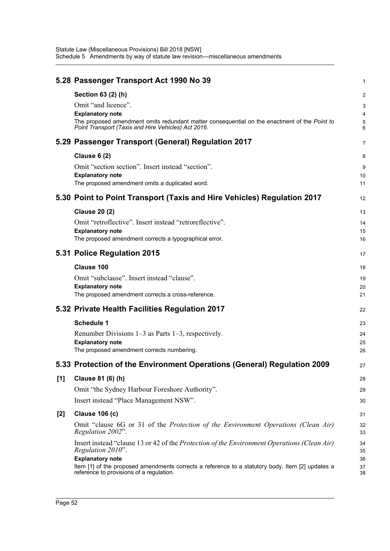|       | 5.28 Passenger Transport Act 1990 No 39                                                                                                                                                                                     | 1                     |
|-------|-----------------------------------------------------------------------------------------------------------------------------------------------------------------------------------------------------------------------------|-----------------------|
|       | Section 63 (2) (h)<br>Omit "and licence".<br><b>Explanatory note</b><br>The proposed amendment omits redundant matter consequential on the enactment of the Point to<br>Point Transport (Taxis and Hire Vehicles) Act 2016. | 2<br>3<br>4<br>5<br>6 |
|       | 5.29 Passenger Transport (General) Regulation 2017                                                                                                                                                                          | 7                     |
|       | <b>Clause 6 (2)</b><br>Omit "section section". Insert instead "section".<br><b>Explanatory note</b><br>The proposed amendment omits a duplicated word.                                                                      | 8<br>9<br>10<br>11    |
|       | 5.30 Point to Point Transport (Taxis and Hire Vehicles) Regulation 2017                                                                                                                                                     | 12                    |
|       | <b>Clause 20 (2)</b><br>Omit "retroflective". Insert instead "retroreflective".<br><b>Explanatory note</b><br>The proposed amendment corrects a typographical error.                                                        | 13<br>14<br>15<br>16  |
|       | 5.31 Police Regulation 2015                                                                                                                                                                                                 | 17                    |
|       | Clause 100<br>Omit "subclause". Insert instead "clause".<br><b>Explanatory note</b><br>The proposed amendment corrects a cross-reference.                                                                                   | 18<br>19<br>20<br>21  |
|       | 5.32 Private Health Facilities Regulation 2017                                                                                                                                                                              | 22                    |
|       | <b>Schedule 1</b><br>Renumber Divisions $1-3$ as Parts $1-3$ , respectively.<br><b>Explanatory note</b><br>The proposed amendment corrects numbering.                                                                       | 23<br>24<br>25<br>26  |
|       | 5.33 Protection of the Environment Operations (General) Regulation 2009                                                                                                                                                     | 27                    |
| [1]   | Clause 81 (6) (h)<br>Omit "the Sydney Harbour Foreshore Authority".<br>Insert instead "Place Management NSW".                                                                                                               | 28<br>29<br>30        |
| $[2]$ | <b>Clause 106 (c)</b>                                                                                                                                                                                                       | 31                    |
|       | Omit "clause 6G or 31 of the Protection of the Environment Operations (Clean Air)<br>Regulation 2002".<br>Insert instead "clause 13 or 42 of the Protection of the Environment Operations (Clean Air)<br>Regulation 2010".  | 32<br>33<br>34<br>35  |
|       | <b>Explanatory note</b><br>Item [1] of the proposed amendments corrects a reference to a statutory body. Item [2] updates a<br>reference to provisions of a regulation.                                                     | 36<br>37<br>38        |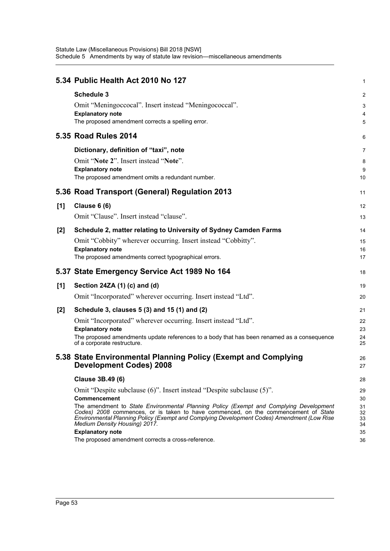|     | 5.34 Public Health Act 2010 No 127                                                                                                                                           | 1        |
|-----|------------------------------------------------------------------------------------------------------------------------------------------------------------------------------|----------|
|     | <b>Schedule 3</b>                                                                                                                                                            | 2        |
|     | Omit "Meningoccocal". Insert instead "Meningococcal".                                                                                                                        | 3        |
|     | <b>Explanatory note</b>                                                                                                                                                      | 4        |
|     | The proposed amendment corrects a spelling error.                                                                                                                            | 5        |
|     | <b>5.35 Road Rules 2014</b>                                                                                                                                                  | 6        |
|     | Dictionary, definition of "taxi", note                                                                                                                                       | 7        |
|     | Omit "Note 2". Insert instead "Note".                                                                                                                                        | 8        |
|     | <b>Explanatory note</b>                                                                                                                                                      | 9        |
|     | The proposed amendment omits a redundant number.                                                                                                                             | 10       |
|     | 5.36 Road Transport (General) Regulation 2013                                                                                                                                | 11       |
| [1] | <b>Clause 6 (6)</b>                                                                                                                                                          | 12       |
|     | Omit "Clause". Insert instead "clause".                                                                                                                                      | 13       |
| [2] | Schedule 2, matter relating to University of Sydney Camden Farms                                                                                                             | 14       |
|     | Omit "Cobbity" wherever occurring. Insert instead "Cobbitty".                                                                                                                | 15       |
|     | <b>Explanatory note</b>                                                                                                                                                      | 16       |
|     | The proposed amendments correct typographical errors.                                                                                                                        | 17       |
|     | 5.37 State Emergency Service Act 1989 No 164                                                                                                                                 | 18       |
| [1] | Section 24ZA (1) (c) and (d)                                                                                                                                                 | 19       |
|     | Omit "Incorporated" wherever occurring. Insert instead "Ltd".                                                                                                                | 20       |
| [2] | Schedule 3, clauses 5 (3) and 15 (1) and (2)                                                                                                                                 | 21       |
|     | Omit "Incorporated" wherever occurring. Insert instead "Ltd".                                                                                                                | 22       |
|     | <b>Explanatory note</b>                                                                                                                                                      | 23       |
|     | The proposed amendments update references to a body that has been renamed as a consequence<br>of a corporate restructure.                                                    | 24<br>25 |
|     | 5.38 State Environmental Planning Policy (Exempt and Complying                                                                                                               | 26       |
|     | <b>Development Codes) 2008</b>                                                                                                                                               | 27       |
|     | <b>Clause 3B.49 (6)</b>                                                                                                                                                      | 28       |
|     | Omit "Despite subclause (6)". Insert instead "Despite subclause (5)".                                                                                                        | 29       |
|     | Commencement                                                                                                                                                                 | 30       |
|     | The amendment to State Environmental Planning Policy (Exempt and Complying Development<br>Codes) 2008 commences, or is taken to have commenced, on the commencement of State | 31<br>32 |
|     | Environmental Planning Policy (Exempt and Complying Development Codes) Amendment (Low Rise<br>Medium Density Housing) 2017.                                                  | 33<br>34 |
|     | <b>Explanatory note</b>                                                                                                                                                      | 35       |
|     | The proposed amendment corrects a cross-reference.                                                                                                                           | 36       |
|     |                                                                                                                                                                              |          |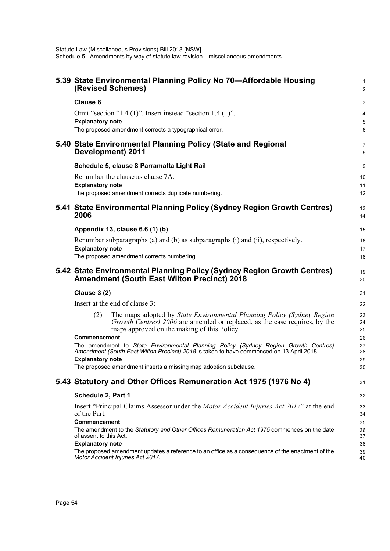| 5.39 State Environmental Planning Policy No 70—Affordable Housing<br>(Revised Schemes)                                                                                                                     | $\mathbf{1}$<br>$\overline{2}$ |  |  |  |
|------------------------------------------------------------------------------------------------------------------------------------------------------------------------------------------------------------|--------------------------------|--|--|--|
| <b>Clause 8</b>                                                                                                                                                                                            | 3                              |  |  |  |
| Omit "section "1.4 (1)". Insert instead "section 1.4 (1)".                                                                                                                                                 | 4                              |  |  |  |
| <b>Explanatory note</b><br>The proposed amendment corrects a typographical error.                                                                                                                          | 5<br>6                         |  |  |  |
| 5.40 State Environmental Planning Policy (State and Regional<br>Development) 2011                                                                                                                          | 7<br>8                         |  |  |  |
| Schedule 5, clause 8 Parramatta Light Rail                                                                                                                                                                 | 9                              |  |  |  |
| Renumber the clause as clause 7A.                                                                                                                                                                          | 10                             |  |  |  |
| <b>Explanatory note</b><br>The proposed amendment corrects duplicate numbering.                                                                                                                            | 11<br>$12 \overline{ }$        |  |  |  |
|                                                                                                                                                                                                            |                                |  |  |  |
| 5.41 State Environmental Planning Policy (Sydney Region Growth Centres)<br>2006                                                                                                                            | 13<br>14                       |  |  |  |
| Appendix 13, clause 6.6 (1) (b)                                                                                                                                                                            | 15                             |  |  |  |
| Renumber subparagraphs (a) and (b) as subparagraphs (i) and (ii), respectively.                                                                                                                            | 16                             |  |  |  |
| <b>Explanatory note</b><br>The proposed amendment corrects numbering.                                                                                                                                      | 17<br>18                       |  |  |  |
|                                                                                                                                                                                                            | 19                             |  |  |  |
| 5.42 State Environmental Planning Policy (Sydney Region Growth Centres)<br><b>Amendment (South East Wilton Precinct) 2018</b>                                                                              |                                |  |  |  |
| <b>Clause 3 (2)</b>                                                                                                                                                                                        |                                |  |  |  |
| Insert at the end of clause 3:                                                                                                                                                                             | 22                             |  |  |  |
| The maps adopted by State Environmental Planning Policy (Sydney Region<br>(2)<br>Growth Centres) 2006 are amended or replaced, as the case requires, by the<br>maps approved on the making of this Policy. | 23<br>24<br>25                 |  |  |  |
| <b>Commencement</b><br>The amendment to State Environmental Planning Policy (Sydney Region Growth Centres)                                                                                                 | 26<br>27                       |  |  |  |
| Amendment (South East Wilton Precinct) 2018 is taken to have commenced on 13 April 2018.                                                                                                                   | 28                             |  |  |  |
| <b>Explanatory note</b><br>The proposed amendment inserts a missing map adoption subclause.                                                                                                                | 29<br>30                       |  |  |  |
|                                                                                                                                                                                                            | 31                             |  |  |  |
| 5.43 Statutory and Other Offices Remuneration Act 1975 (1976 No 4)                                                                                                                                         |                                |  |  |  |
| Schedule 2, Part 1                                                                                                                                                                                         |                                |  |  |  |
| Insert "Principal Claims Assessor under the <i>Motor Accident Injuries Act 2017</i> " at the end<br>of the Part.                                                                                           | 33<br>34                       |  |  |  |
| <b>Commencement</b><br>The amendment to the Statutory and Other Offices Remuneration Act 1975 commences on the date                                                                                        |                                |  |  |  |
| of assent to this Act.                                                                                                                                                                                     | 36<br>37                       |  |  |  |
| <b>Explanatory note</b><br>The proposed amendment updates a reference to an office as a consequence of the enactment of the<br>Motor Accident Injuries Act 2017.                                           | 38<br>39<br>40                 |  |  |  |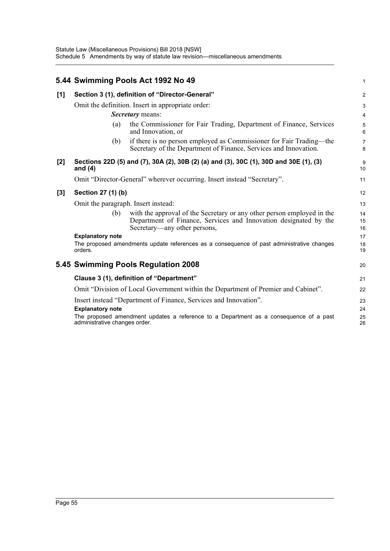|       |                                                                                   | 5.44 Swimming Pools Act 1992 No 49                                                                                                                                         | 1                   |  |
|-------|-----------------------------------------------------------------------------------|----------------------------------------------------------------------------------------------------------------------------------------------------------------------------|---------------------|--|
| [1]   | Section 3 (1), definition of "Director-General"                                   |                                                                                                                                                                            |                     |  |
|       | Omit the definition. Insert in appropriate order:<br><b>Secretary</b> means:      |                                                                                                                                                                            |                     |  |
|       | (a)                                                                               | the Commissioner for Fair Trading, Department of Finance, Services<br>and Innovation, or                                                                                   | 4<br>5<br>6         |  |
|       | (b)                                                                               | if there is no person employed as Commissioner for Fair Trading—the<br>Secretary of the Department of Finance, Services and Innovation.                                    | $\overline{7}$<br>8 |  |
| $[2]$ | and $(4)$                                                                         | Sections 22D (5) and (7), 30A (2), 30B (2) (a) and (3), 30C (1), 30D and 30E (1), (3)                                                                                      | 9<br>10             |  |
|       |                                                                                   | Omit "Director-General" wherever occurring. Insert instead "Secretary".                                                                                                    | 11                  |  |
| $[3]$ | Section 27 (1) (b)                                                                |                                                                                                                                                                            |                     |  |
|       | Omit the paragraph. Insert instead:                                               |                                                                                                                                                                            |                     |  |
|       | (b)                                                                               | with the approval of the Secretary or any other person employed in the<br>Department of Finance, Services and Innovation designated by the<br>Secretary—any other persons, | 14<br>15<br>16      |  |
|       | <b>Explanatory note</b>                                                           |                                                                                                                                                                            | 17                  |  |
|       | orders.                                                                           | The proposed amendments update references as a consequence of past administrative changes                                                                                  | 18<br>19            |  |
|       | 5.45 Swimming Pools Regulation 2008                                               |                                                                                                                                                                            |                     |  |
|       | Clause 3 (1), definition of "Department"                                          |                                                                                                                                                                            |                     |  |
|       | Omit "Division of Local Government within the Department of Premier and Cabinet". |                                                                                                                                                                            |                     |  |
|       | <b>Explanatory note</b>                                                           | Insert instead "Department of Finance, Services and Innovation".<br>The proposed amendment updates a reference to a Department as a consequence of a past                  | 23<br>24<br>25      |  |
|       | administrative changes order.                                                     |                                                                                                                                                                            | 26                  |  |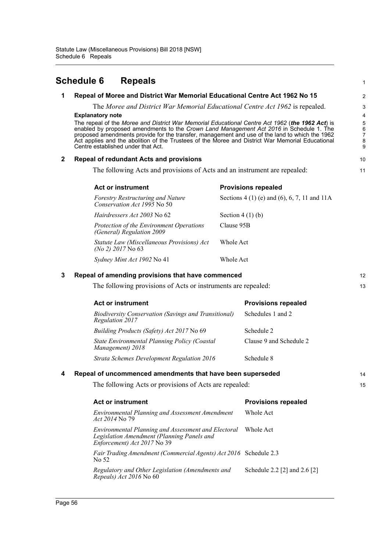<span id="page-59-0"></span>

|                                                                                  | <b>Schedule 6</b>                                                                                                                                                                                                                                                                                                                                                                                                                                                 | <b>Repeals</b>                                                                                                                   |                   |                                               | $\mathbf{1}$ |
|----------------------------------------------------------------------------------|-------------------------------------------------------------------------------------------------------------------------------------------------------------------------------------------------------------------------------------------------------------------------------------------------------------------------------------------------------------------------------------------------------------------------------------------------------------------|----------------------------------------------------------------------------------------------------------------------------------|-------------------|-----------------------------------------------|--------------|
| Repeal of Moree and District War Memorial Educational Centre Act 1962 No 15<br>1 |                                                                                                                                                                                                                                                                                                                                                                                                                                                                   |                                                                                                                                  |                   |                                               | 2            |
|                                                                                  | The Moree and District War Memorial Educational Centre Act 1962 is repealed.                                                                                                                                                                                                                                                                                                                                                                                      |                                                                                                                                  |                   |                                               | 3            |
|                                                                                  | <b>Explanatory note</b><br>The repeal of the Moree and District War Memorial Educational Centre Act 1962 (the 1962 Act) is<br>enabled by proposed amendments to the Crown Land Management Act 2016 in Schedule 1. The<br>proposed amendments provide for the transfer, management and use of the land to which the 1962<br>Act applies and the abolition of the Trustees of the Moree and District War Memorial Educational<br>Centre established under that Act. |                                                                                                                                  |                   | 4<br>5<br>6<br>$\overline{7}$<br>8<br>9       |              |
| $\mathbf{2}$                                                                     | <b>Repeal of redundant Acts and provisions</b>                                                                                                                                                                                                                                                                                                                                                                                                                    |                                                                                                                                  |                   |                                               | 10           |
|                                                                                  | The following Acts and provisions of Acts and an instrument are repealed:                                                                                                                                                                                                                                                                                                                                                                                         |                                                                                                                                  |                   |                                               | 11           |
|                                                                                  |                                                                                                                                                                                                                                                                                                                                                                                                                                                                   | <b>Act or instrument</b>                                                                                                         |                   | <b>Provisions repealed</b>                    |              |
|                                                                                  |                                                                                                                                                                                                                                                                                                                                                                                                                                                                   | <b>Forestry Restructuring and Nature</b><br>Conservation Act 1995 No 50                                                          |                   | Sections $4(1)$ (e) and (6), 6, 7, 11 and 11A |              |
|                                                                                  |                                                                                                                                                                                                                                                                                                                                                                                                                                                                   | Hairdressers Act 2003 No 62                                                                                                      | Section $4(1)(b)$ |                                               |              |
|                                                                                  |                                                                                                                                                                                                                                                                                                                                                                                                                                                                   | Protection of the Environment Operations<br>(General) Regulation 2009                                                            | Clause 95B        |                                               |              |
|                                                                                  |                                                                                                                                                                                                                                                                                                                                                                                                                                                                   | Statute Law (Miscellaneous Provisions) Act<br>$(No 2)$ 2017 No 63                                                                | Whole Act         |                                               |              |
|                                                                                  |                                                                                                                                                                                                                                                                                                                                                                                                                                                                   | Sydney Mint Act 1902 No 41                                                                                                       | Whole Act         |                                               |              |
| 3                                                                                | Repeal of amending provisions that have commenced                                                                                                                                                                                                                                                                                                                                                                                                                 |                                                                                                                                  |                   |                                               | 12           |
|                                                                                  | The following provisions of Acts or instruments are repealed:                                                                                                                                                                                                                                                                                                                                                                                                     |                                                                                                                                  |                   |                                               | 13           |
|                                                                                  |                                                                                                                                                                                                                                                                                                                                                                                                                                                                   | <b>Act or instrument</b>                                                                                                         |                   | <b>Provisions repealed</b>                    |              |
|                                                                                  | Regulation 2017                                                                                                                                                                                                                                                                                                                                                                                                                                                   | <b>Biodiversity Conservation (Savings and Transitional)</b>                                                                      |                   | Schedules 1 and 2                             |              |
|                                                                                  |                                                                                                                                                                                                                                                                                                                                                                                                                                                                   | Building Products (Safety) Act 2017 No 69                                                                                        |                   | Schedule 2                                    |              |
|                                                                                  |                                                                                                                                                                                                                                                                                                                                                                                                                                                                   | State Environmental Planning Policy (Coastal<br>Management) 2018                                                                 |                   | Clause 9 and Schedule 2                       |              |
|                                                                                  |                                                                                                                                                                                                                                                                                                                                                                                                                                                                   | <b>Strata Schemes Development Regulation 2016</b>                                                                                |                   | Schedule 8                                    |              |
| 4                                                                                | Repeal of uncommenced amendments that have been superseded                                                                                                                                                                                                                                                                                                                                                                                                        |                                                                                                                                  |                   | 14                                            |              |
|                                                                                  |                                                                                                                                                                                                                                                                                                                                                                                                                                                                   | The following Acts or provisions of Acts are repealed:                                                                           |                   |                                               | 15           |
|                                                                                  |                                                                                                                                                                                                                                                                                                                                                                                                                                                                   | <b>Act or instrument</b>                                                                                                         |                   | <b>Provisions repealed</b>                    |              |
|                                                                                  | Act 2014 No 79                                                                                                                                                                                                                                                                                                                                                                                                                                                    | <b>Environmental Planning and Assessment Amendment</b>                                                                           |                   | Whole Act                                     |              |
|                                                                                  |                                                                                                                                                                                                                                                                                                                                                                                                                                                                   | Environmental Planning and Assessment and Electoral<br>Legislation Amendment (Planning Panels and<br>Enforcement) Act 2017 No 39 |                   | Whole Act                                     |              |
|                                                                                  | No 52                                                                                                                                                                                                                                                                                                                                                                                                                                                             | Fair Trading Amendment (Commercial Agents) Act 2016 Schedule 2.3                                                                 |                   |                                               |              |
|                                                                                  |                                                                                                                                                                                                                                                                                                                                                                                                                                                                   | Regulatory and Other Legislation (Amendments and<br>Repeals) Act 2016 No 60                                                      |                   | Schedule 2.2 [2] and 2.6 [2]                  |              |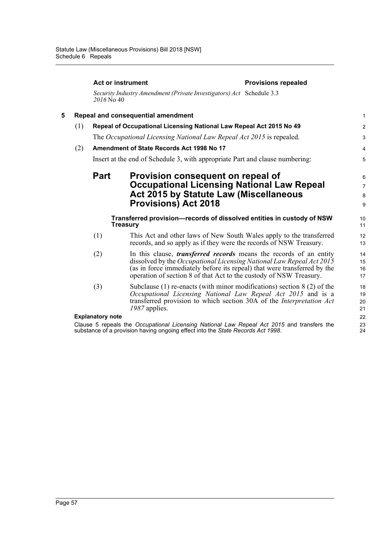|   |                                                                                                                                  |                                                                     | <b>Act or instrument</b>                                                                                                                                                                                                                                                                            | <b>Provisions repealed</b> |                          |  |
|---|----------------------------------------------------------------------------------------------------------------------------------|---------------------------------------------------------------------|-----------------------------------------------------------------------------------------------------------------------------------------------------------------------------------------------------------------------------------------------------------------------------------------------------|----------------------------|--------------------------|--|
|   |                                                                                                                                  | 2016 No 40                                                          | Security Industry Amendment (Private Investigators) Act Schedule 3.3                                                                                                                                                                                                                                |                            |                          |  |
| 5 |                                                                                                                                  | Repeal and consequential amendment                                  |                                                                                                                                                                                                                                                                                                     |                            |                          |  |
|   | (1)                                                                                                                              | Repeal of Occupational Licensing National Law Repeal Act 2015 No 49 |                                                                                                                                                                                                                                                                                                     |                            |                          |  |
|   | The Occupational Licensing National Law Repeal Act 2015 is repealed.                                                             |                                                                     |                                                                                                                                                                                                                                                                                                     |                            | 3                        |  |
|   | (2)<br>Amendment of State Records Act 1998 No 17<br>Insert at the end of Schedule 3, with appropriate Part and clause numbering: |                                                                     |                                                                                                                                                                                                                                                                                                     |                            | 4                        |  |
|   |                                                                                                                                  |                                                                     |                                                                                                                                                                                                                                                                                                     |                            | 5                        |  |
|   |                                                                                                                                  | <b>Part</b>                                                         | Provision consequent on repeal of<br><b>Occupational Licensing National Law Repeal</b><br><b>Act 2015 by Statute Law (Miscellaneous</b>                                                                                                                                                             |                            | 6<br>$\overline{7}$<br>8 |  |
|   |                                                                                                                                  |                                                                     | <b>Provisions) Act 2018</b>                                                                                                                                                                                                                                                                         |                            | 9                        |  |
|   |                                                                                                                                  |                                                                     | Transferred provision-records of dissolved entities in custody of NSW<br><b>Treasury</b>                                                                                                                                                                                                            |                            | 10<br>11                 |  |
|   |                                                                                                                                  | (1)                                                                 | This Act and other laws of New South Wales apply to the transferred<br>records, and so apply as if they were the records of NSW Treasury.                                                                                                                                                           |                            | 12<br>13                 |  |
|   |                                                                                                                                  | (2)                                                                 | In this clause, <i>transferred records</i> means the records of an entity<br>dissolved by the Occupational Licensing National Law Repeal Act 2015<br>(as in force immediately before its repeal) that were transferred by the<br>operation of section 8 of that Act to the custody of NSW Treasury. |                            | 14<br>15<br>16<br>17     |  |
|   |                                                                                                                                  | (3)                                                                 | Subclause $(1)$ re-enacts (with minor modifications) section $8(2)$ of the<br>Occupational Licensing National Law Repeal Act 2015 and is a<br>transferred provision to which section 30A of the Interpretation Act<br>1987 applies.                                                                 |                            | 18<br>19<br>20<br>21     |  |
|   |                                                                                                                                  | <b>Explanatory note</b>                                             |                                                                                                                                                                                                                                                                                                     |                            | 22                       |  |
|   |                                                                                                                                  |                                                                     | Clause 5 repeals the Occupational Licensing National Law Repeal Act 2015 and transfers the<br>substance of a provision having ongoing effect into the State Records Act 1998.                                                                                                                       |                            | 23<br>24                 |  |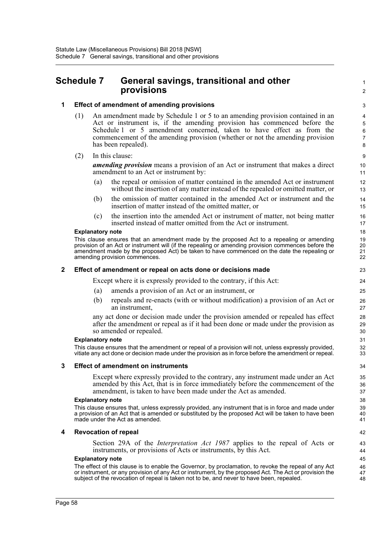# <span id="page-61-0"></span>**Schedule 7 General savings, transitional and other provisions**

#### **1 Effect of amendment of amending provisions**

- (1) An amendment made by Schedule 1 or 5 to an amending provision contained in an Act or instrument is, if the amending provision has commenced before the Schedule 1 or 5 amendment concerned, taken to have effect as from the commencement of the amending provision (whether or not the amending provision has been repealed).
- (2) In this clause:

*amending provision* means a provision of an Act or instrument that makes a direct amendment to an Act or instrument by:

(a) the repeal or omission of matter contained in the amended Act or instrument without the insertion of any matter instead of the repealed or omitted matter, or 1  $\mathfrak{p}$ 

- (b) the omission of matter contained in the amended Act or instrument and the insertion of matter instead of the omitted matter, or
- (c) the insertion into the amended Act or instrument of matter, not being matter inserted instead of matter omitted from the Act or instrument.

#### **Explanatory note**

This clause ensures that an amendment made by the proposed Act to a repealing or amending provision of an Act or instrument will (if the repealing or amending provision commences before the amendment made by the proposed Act) be taken to have commenced on the date the repealing or amending provision commences.

#### **2 Effect of amendment or repeal on acts done or decisions made**

Except where it is expressly provided to the contrary, if this Act:

- (a) amends a provision of an Act or an instrument, or
- (b) repeals and re-enacts (with or without modification) a provision of an Act or an instrument,

any act done or decision made under the provision amended or repealed has effect after the amendment or repeal as if it had been done or made under the provision as so amended or repealed.

#### **Explanatory note**

This clause ensures that the amendment or repeal of a provision will not, unless expressly provided, vitiate any act done or decision made under the provision as in force before the amendment or repeal.

#### **3 Effect of amendment on instruments**

Except where expressly provided to the contrary, any instrument made under an Act amended by this Act, that is in force immediately before the commencement of the amendment, is taken to have been made under the Act as amended.

#### **Explanatory note**

This clause ensures that, unless expressly provided, any instrument that is in force and made under a provision of an Act that is amended or substituted by the proposed Act will be taken to have been made under the Act as amended.

#### **4 Revocation of repeal**

Section 29A of the *Interpretation Act 1987* applies to the repeal of Acts or instruments, or provisions of Acts or instruments, by this Act.

#### **Explanatory note**

The effect of this clause is to enable the Governor, by proclamation, to revoke the repeal of any Act or instrument, or any provision of any Act or instrument, by the proposed Act. The Act or provision the subject of the revocation of repeal is taken not to be, and never to have been, repealed.